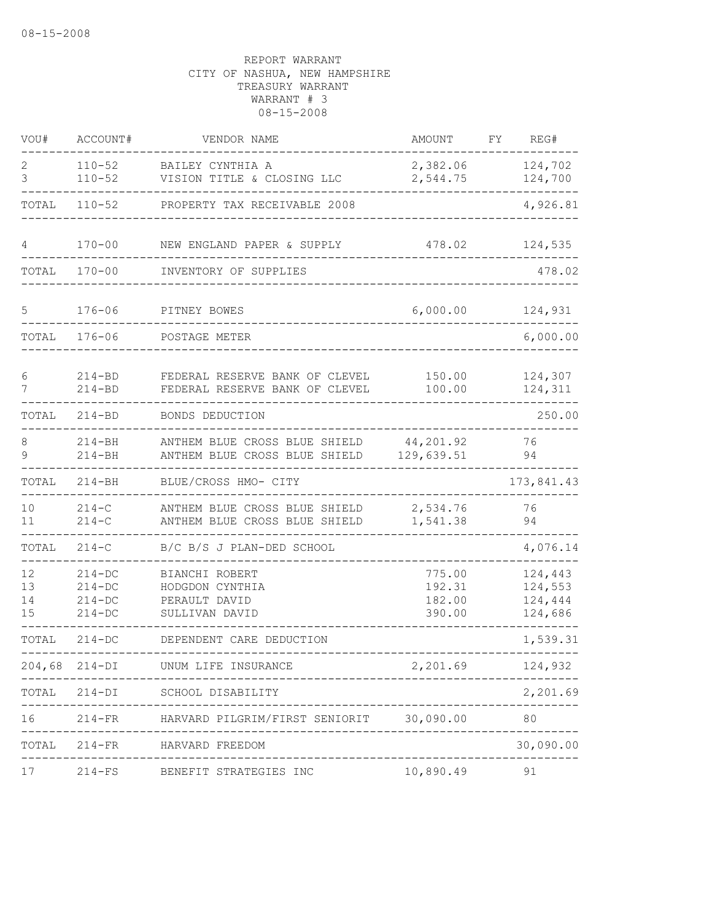| VOU#                 | ACCOUNT#                                         | VENDOR NAME                                                          | AMOUNT                               | FΥ | REG#                                     |
|----------------------|--------------------------------------------------|----------------------------------------------------------------------|--------------------------------------|----|------------------------------------------|
| 2<br>3               | $110 - 52$<br>$110 - 52$                         | BAILEY CYNTHIA A<br>VISION TITLE & CLOSING LLC                       | 2,382.06<br>2,544.75                 |    | 124,702<br>124,700                       |
| TOTAL                | $110 - 52$                                       | PROPERTY TAX RECEIVABLE 2008                                         |                                      |    | 4,926.81                                 |
| 4                    | $170 - 00$                                       | NEW ENGLAND PAPER & SUPPLY                                           | 478.02                               |    | 124,535                                  |
| TOTAL                | $170 - 00$                                       | INVENTORY OF SUPPLIES                                                |                                      |    | 478.02                                   |
| 5                    | $176 - 06$                                       | PITNEY BOWES                                                         | 6,000.00                             |    | 124,931                                  |
| TOTAL                | $176 - 06$                                       | POSTAGE METER                                                        |                                      |    | 6,000.00                                 |
| 6<br>7               | $214 - BD$<br>$214 - BD$                         | FEDERAL RESERVE BANK OF CLEVEL<br>FEDERAL RESERVE BANK OF CLEVEL     | 150.00<br>100.00                     |    | 124,307<br>124,311                       |
| TOTAL                | $214 - BD$                                       | BONDS DEDUCTION                                                      |                                      |    | 250.00                                   |
| 8<br>9               | $214 - BH$<br>$214 - BH$                         | ANTHEM BLUE CROSS BLUE SHIELD<br>ANTHEM BLUE CROSS BLUE SHIELD       | 44,201.92<br>129,639.51              |    | 76<br>94                                 |
| TOTAL                | $214 - BH$                                       | BLUE/CROSS HMO- CITY                                                 |                                      |    | 173,841.43                               |
| 10<br>11             | $214 - C$<br>$214 - C$                           | ANTHEM BLUE CROSS BLUE SHIELD<br>ANTHEM BLUE CROSS BLUE SHIELD       | 2,534.76<br>1,541.38                 |    | 76<br>94                                 |
| TOTAL                | $214 - C$                                        | B/C B/S J PLAN-DED SCHOOL                                            |                                      |    | 4,076.14                                 |
| 12<br>13<br>14<br>15 | $214-DC$<br>$214 - DC$<br>$214-DC$<br>$214 - DC$ | BIANCHI ROBERT<br>HODGDON CYNTHIA<br>PERAULT DAVID<br>SULLIVAN DAVID | 775.00<br>192.31<br>182.00<br>390.00 |    | 124,443<br>124,553<br>124,444<br>124,686 |
| TOTAL                | $214-DC$                                         | DEPENDENT CARE DEDUCTION                                             |                                      |    | 1,539.31                                 |
| 204,68               | $214-DI$                                         | UNUM LIFE INSURANCE                                                  | 2,201.69                             |    | 124,932                                  |
| TOTAL                |                                                  | 214-DI SCHOOL DISABILITY                                             |                                      |    | 2,201.69                                 |
| 16                   |                                                  | 214-FR HARVARD PILGRIM/FIRST SENIORIT 30,090.00                      |                                      |    | 80                                       |
| TOTAL                | $214 - FR$                                       | HARVARD FREEDOM                                                      |                                      |    | 30,090.00                                |
| 17                   | $214-FS$                                         | BENEFIT STRATEGIES INC                                               | 10,890.49                            |    | 91                                       |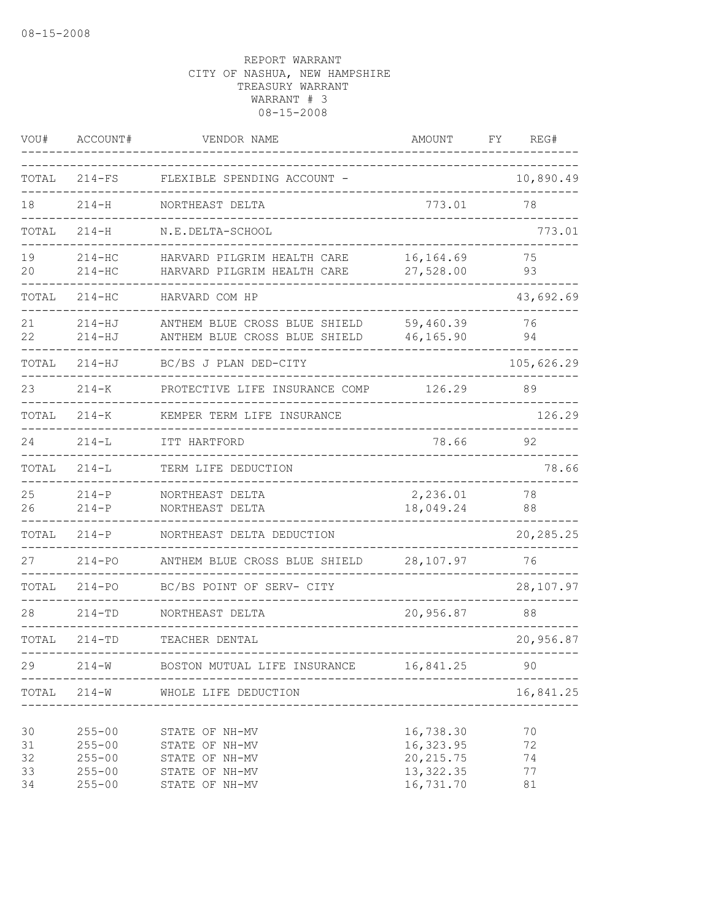| VOU#                       | ACCOUNT#                                                           | VENDOR NAME                                                                            | AMOUNT                                                          | REG#<br>FΥ                 |
|----------------------------|--------------------------------------------------------------------|----------------------------------------------------------------------------------------|-----------------------------------------------------------------|----------------------------|
| TOTAL                      | $214-FS$                                                           | FLEXIBLE SPENDING ACCOUNT -                                                            |                                                                 | 10,890.49                  |
| 18                         | $214 - H$                                                          | NORTHEAST DELTA                                                                        | 773.01                                                          | 78                         |
| TOTAL                      | $214 - H$                                                          | N.E.DELTA-SCHOOL                                                                       |                                                                 | 773.01                     |
| 19<br>20                   | $214 - HC$<br>$214 - HC$                                           | HARVARD PILGRIM HEALTH CARE<br>HARVARD PILGRIM HEALTH CARE                             | 16, 164.69<br>27,528.00                                         | 75<br>93                   |
| TOTAL                      | 214-нс                                                             | HARVARD COM HP                                                                         |                                                                 | 43,692.69                  |
| 21<br>22                   | $214 - HJ$<br>$214 - HJ$                                           | ANTHEM BLUE CROSS BLUE SHIELD<br>ANTHEM BLUE CROSS BLUE SHIELD                         | 59,460.39<br>46,165.90                                          | 76<br>94                   |
| TOTAL                      | $214 - HJ$                                                         | BC/BS J PLAN DED-CITY                                                                  |                                                                 | 105,626.29                 |
| 23                         | $214 - K$                                                          | PROTECTIVE LIFE INSURANCE COMP                                                         | 126.29                                                          | 89                         |
| TOTAL                      | $214 - K$                                                          | KEMPER TERM LIFE INSURANCE                                                             |                                                                 | 126.29                     |
| 24                         | $214 - L$                                                          | ITT HARTFORD                                                                           | 78.66                                                           | 92                         |
| TOTAL                      | $214 - L$                                                          | TERM LIFE DEDUCTION                                                                    |                                                                 | 78.66                      |
| 25<br>26                   | $214 - P$<br>$214 - P$                                             | NORTHEAST DELTA<br>NORTHEAST DELTA                                                     | 2,236.01<br>18,049.24                                           | 78<br>88                   |
| TOTAL                      | $214 - P$                                                          | NORTHEAST DELTA DEDUCTION                                                              |                                                                 | 20,285.25                  |
| 27                         | $214 - PQ$                                                         | ANTHEM BLUE CROSS BLUE SHIELD                                                          | 28,107.97                                                       | 76                         |
| TOTAL                      | $214 - PQ$                                                         | BC/BS POINT OF SERV- CITY                                                              |                                                                 | 28,107.97                  |
| 28                         | $214 - TD$                                                         | NORTHEAST DELTA                                                                        | 20,956.87                                                       | 88                         |
| TOTAL                      | $214 - TD$                                                         | TEACHER DENTAL                                                                         |                                                                 | 20,956.87                  |
| 29                         | $214 - W$                                                          | BOSTON MUTUAL LIFE INSURANCE                                                           | 16,841.25                                                       | 90                         |
| TOTAL                      | $214 - W$                                                          | WHOLE LIFE DEDUCTION                                                                   |                                                                 | 16,841.25                  |
| 30<br>31<br>32<br>33<br>34 | $255 - 00$<br>$255 - 00$<br>$255 - 00$<br>$255 - 00$<br>$255 - 00$ | STATE OF NH-MV<br>STATE OF NH-MV<br>STATE OF NH-MV<br>STATE OF NH-MV<br>STATE OF NH-MV | 16,738.30<br>16,323.95<br>20, 215.75<br>13, 322.35<br>16,731.70 | 70<br>72<br>74<br>77<br>81 |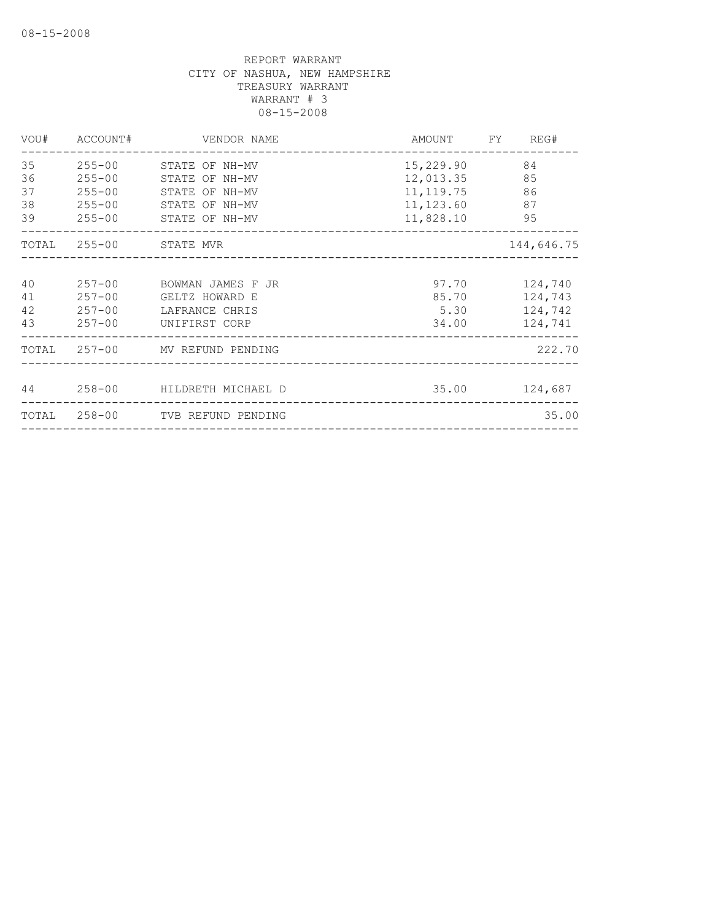|          | VOU# ACCOUNT# | VENDOR NAME                                       |                        | AMOUNT FY REG#<br>____________ |
|----------|---------------|---------------------------------------------------|------------------------|--------------------------------|
| 35<br>36 | $255 - 00$    | 255-00 STATE OF NH-MV<br>STATE OF NH-MV           | 15,229.90<br>12,013.35 | 84<br>85                       |
| 37       | $255 - 00$    | STATE OF NH-MV                                    | 11, 119. 75 86         |                                |
| 38       |               | 255-00 STATE OF NH-MV                             | 11, 123.60 87          |                                |
| 39       |               | 255-00 STATE OF NH-MV                             | 11,828.10 95           |                                |
|          |               | TOTAL 255-00 STATE MVR                            |                        | 144,646.75                     |
| 40<br>41 |               | 257-00 BOWMAN JAMES F JR<br>257-00 GELTZ HOWARD E | 85.70                  | 97.70 124,740<br>124,743       |
| 42       |               | 257-00 LAFRANCE CHRIS                             | 5.30                   | 124,742                        |
| 43       |               | 257-00 UNIFIRST CORP                              |                        | 34.00 124,741                  |
|          |               | TOTAL 257-00 MV REFUND PENDING                    |                        | 222.70                         |
|          |               | 44 258-00 HILDRETH MICHAEL D                      |                        | 35.00 124,687                  |
|          |               | TOTAL 258-00 TVB REFUND PENDING                   |                        | 35.00                          |
|          |               |                                                   |                        |                                |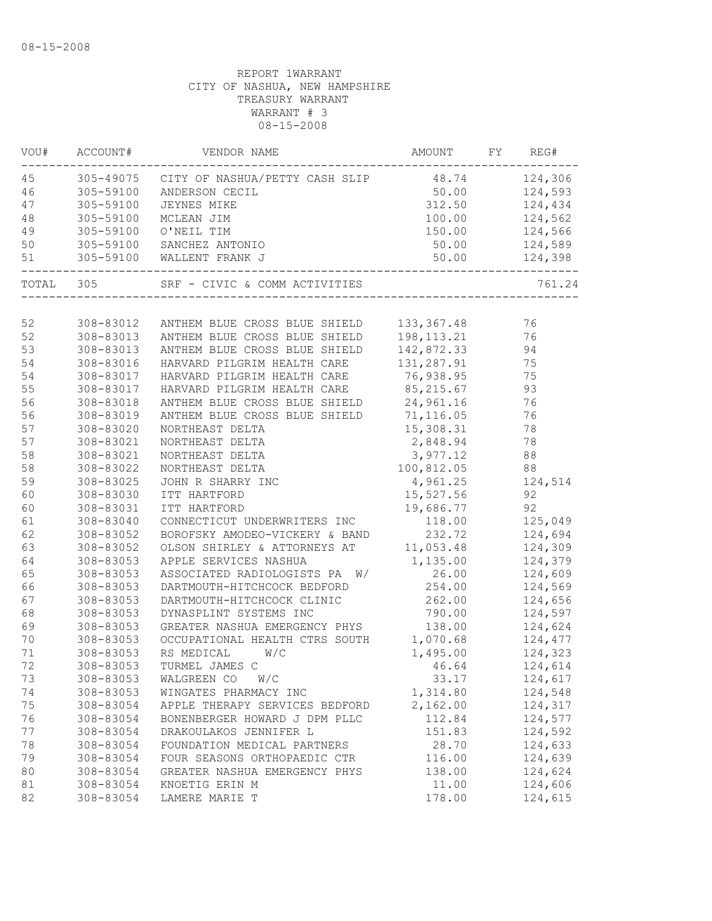| VOU# | ACCOUNT#  | VENDOR NAME                                            | AMOUNT FY REG# |                |
|------|-----------|--------------------------------------------------------|----------------|----------------|
| 45   |           | 305-49075 CITY OF NASHUA/PETTY CASH SLIP 48.74 124,306 |                |                |
| 46   | 305-59100 | ANDERSON CECIL                                         | 50.00          | 124,593        |
| 47   | 305-59100 | JEYNES MIKE                                            | 312.50         | 124,434        |
| 48   | 305-59100 | MCLEAN JIM                                             | 100.00         | 124,562        |
| 49   | 305-59100 | O'NEIL TIM                                             |                | 150.00 124,566 |
| 50   | 305-59100 | SANCHEZ ANTONIO                                        |                | 50.00 124,589  |
| 51   |           |                                                        |                |                |
|      |           | TOTAL 305 SRF - CIVIC & COMM ACTIVITIES                |                | 761.24         |
|      |           |                                                        |                |                |
| 52   | 308-83012 | ANTHEM BLUE CROSS BLUE SHIELD                          | 133, 367. 48   | 76             |
| 52   | 308-83013 | ANTHEM BLUE CROSS BLUE SHIELD                          | 198, 113. 21   | 76             |
| 53   | 308-83013 | ANTHEM BLUE CROSS BLUE SHIELD                          | 142,872.33     | 94             |
| 54   | 308-83016 | HARVARD PILGRIM HEALTH CARE                            | 131,287.91     | 75             |
| 54   | 308-83017 | HARVARD PILGRIM HEALTH CARE                            | 76,938.95      | 75             |
| 55   | 308-83017 | HARVARD PILGRIM HEALTH CARE                            | 85, 215.67     | 93             |
| 56   | 308-83018 | ANTHEM BLUE CROSS BLUE SHIELD                          | 24,961.16      | 76             |
| 56   | 308-83019 | ANTHEM BLUE CROSS BLUE SHIELD                          | 71,116.05      | 76             |
| 57   | 308-83020 | NORTHEAST DELTA                                        | 15,308.31      | 78             |
| 57   | 308-83021 | NORTHEAST DELTA                                        | 2,848.94       | 78             |
| 58   | 308-83021 | NORTHEAST DELTA                                        | 3,977.12       | 88             |
| 58   | 308-83022 | NORTHEAST DELTA                                        | 100,812.05     | 88             |
| 59   | 308-83025 | JOHN R SHARRY INC                                      | 4,961.25       | 124,514        |
| 60   | 308-83030 | ITT HARTFORD                                           | 15,527.56      | 92             |
| 60   | 308-83031 | ITT HARTFORD                                           | 19,686.77      | 92             |
| 61   | 308-83040 | CONNECTICUT UNDERWRITERS INC                           | 118.00         | 125,049        |
| 62   | 308-83052 | BOROFSKY AMODEO-VICKERY & BAND                         | 232.72         | 124,694        |
| 63   | 308-83052 | OLSON SHIRLEY & ATTORNEYS AT 11,053.48                 |                | 124,309        |
| 64   | 308-83053 | APPLE SERVICES NASHUA                                  | 1,135.00       | 124,379        |
| 65   | 308-83053 | ASSOCIATED RADIOLOGISTS PA W/                          | 26.00          | 124,609        |
| 66   | 308-83053 | DARTMOUTH-HITCHCOCK BEDFORD                            | 254.00         | 124,569        |
| 67   | 308-83053 | DARTMOUTH-HITCHCOCK CLINIC                             | 262.00         | 124,656        |
| 68   | 308-83053 | DYNASPLINT SYSTEMS INC                                 | 790.00         | 124,597        |
| 69   | 308-83053 | GREATER NASHUA EMERGENCY PHYS                          | 138.00         | 124,624        |
| 70   | 308-83053 | OCCUPATIONAL HEALTH CTRS SOUTH 1,070.68                |                | 124,477        |
| 71   | 308-83053 | W/C<br>RS MEDICAL                                      | 1,495.00       | 124,323        |
| 72   | 308-83053 | TURMEL JAMES C                                         | 46.64          | 124,614        |
| 73   | 308-83053 | WALGREEN CO<br>W/C                                     | 33.17          | 124,617        |
| 74   | 308-83053 | WINGATES PHARMACY INC                                  | 1,314.80       | 124,548        |
| 75   | 308-83054 | APPLE THERAPY SERVICES BEDFORD                         | 2,162.00       | 124,317        |
| 76   | 308-83054 | BONENBERGER HOWARD J DPM PLLC                          | 112.84         | 124,577        |
| 77   | 308-83054 | DRAKOULAKOS JENNIFER L                                 | 151.83         | 124,592        |
| 78   | 308-83054 | FOUNDATION MEDICAL PARTNERS                            | 28.70          | 124,633        |
| 79   | 308-83054 | FOUR SEASONS ORTHOPAEDIC CTR                           | 116.00         | 124,639        |
| 80   | 308-83054 | GREATER NASHUA EMERGENCY PHYS                          | 138.00         | 124,624        |
| 81   | 308-83054 | KNOETIG ERIN M                                         | 11.00          | 124,606        |
| 82   | 308-83054 | LAMERE MARIE T                                         | 178.00         | 124,615        |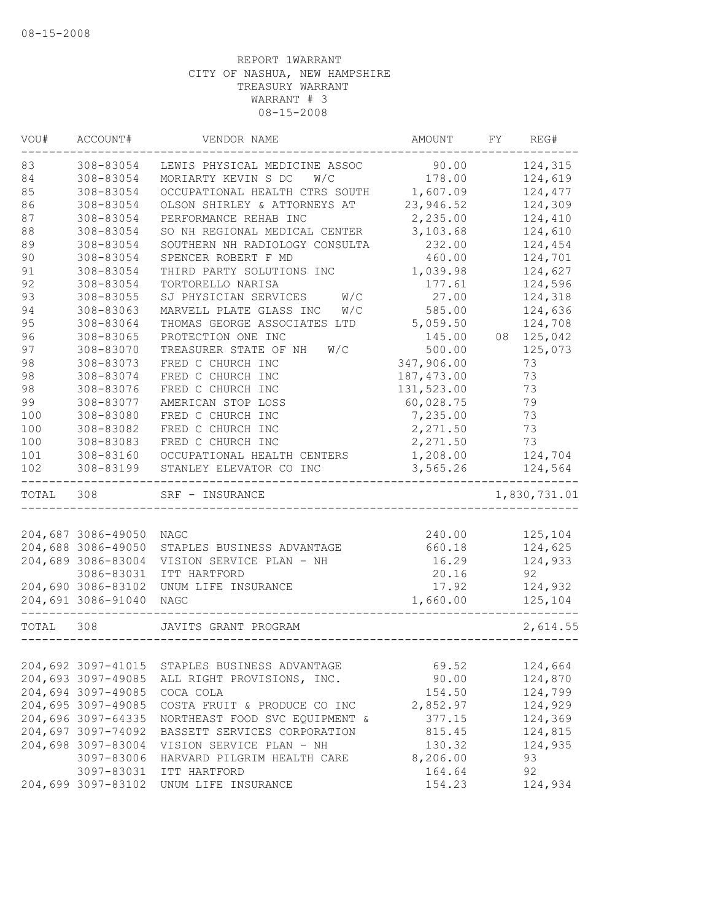| 90.00<br>124,315<br>308-83054<br>LEWIS PHYSICAL MEDICINE ASSOC<br>308-83054<br>178.00<br>124,619<br>MORIARTY KEVIN S DC<br>W/C<br>308-83054<br>OCCUPATIONAL HEALTH CTRS SOUTH 1,607.09<br>124,477<br>23,946.52<br>124,309<br>308-83054<br>OLSON SHIRLEY & ATTORNEYS AT<br>124,410<br>308-83054<br>PERFORMANCE REHAB INC<br>2,235.00<br>308-83054<br>SO NH REGIONAL MEDICAL CENTER<br>3,103.68<br>124,610<br>308-83054<br>232.00<br>124,454<br>SOUTHERN NH RADIOLOGY CONSULTA<br>308-83054<br>124,701<br>SPENCER ROBERT F MD<br>460.00<br>1,039.98<br>124,627<br>308-83054<br>THIRD PARTY SOLUTIONS INC<br>308-83054<br>TORTORELLO NARISA<br>177.61<br>124,596<br>SJ PHYSICIAN SERVICES W/C<br>308-83055<br>27.00<br>124,318<br>308-83063<br>MARVELL PLATE GLASS INC<br>W/C<br>585.00<br>124,636<br>95<br>5,059.50<br>308-83064<br>THOMAS GEORGE ASSOCIATES LTD<br>124,708<br>96<br>08 125,042<br>308-83065<br>PROTECTION ONE INC<br>145.00<br>97<br>500.00<br>308-83070<br>TREASURER STATE OF NH<br>125,073<br>W/C<br>347,906.00<br>98<br>308-83073<br>FRED C CHURCH INC<br>73<br>187, 473.00<br>98<br>308-83074<br>FRED C CHURCH INC<br>73<br>131,523.00<br>98<br>308-83076<br>FRED C CHURCH INC<br>73<br>99<br>60,028.75<br>79<br>308-83077<br>AMERICAN STOP LOSS<br>100<br>308-83080<br>FRED C CHURCH INC<br>7,235.00<br>73<br>100<br>308-83082<br>FRED C CHURCH INC<br>2,271.50<br>73<br>FRED C CHURCH INC<br>2,271.50<br>73<br>100<br>308-83083<br>101<br>1,208.00<br>124,704<br>308-83160<br>OCCUPATIONAL HEALTH CENTERS<br>308-83199<br>124,564<br>STANLEY ELEVATOR CO INC<br>3,565.26<br>1,830,731.01<br>TOTAL 308<br>SRF - INSURANCE<br>204,687 3086-49050<br>125,104<br>240.00<br>NAGC<br>204,688 3086-49050<br>STAPLES BUSINESS ADVANTAGE<br>124,625<br>660.18<br>204,689 3086-83004<br>124,933<br>VISION SERVICE PLAN - NH<br>16.29<br>3086-83031<br>20.16<br>92<br>ITT HARTFORD<br>17.92<br>124,932<br>204,690 3086-83102<br>UNUM LIFE INSURANCE<br>204,691 3086-91040<br>1,660.00<br>125,104<br>NAGC<br>TOTAL 308<br>2,614.55<br>JAVITS GRANT PROGRAM<br>204,692 3097-41015<br>69.52<br>124,664<br>STAPLES BUSINESS ADVANTAGE<br>204,693 3097-49085<br>90.00<br>124,870<br>ALL RIGHT PROVISIONS, INC.<br>204,694 3097-49085<br>154.50<br>124,799<br>COCA COLA<br>204,695 3097-49085<br>2,852.97<br>124,929<br>COSTA FRUIT & PRODUCE CO INC<br>204,696 3097-64335<br>377.15<br>124,369<br>NORTHEAST FOOD SVC EQUIPMENT &<br>204,697 3097-74092<br>BASSETT SERVICES CORPORATION<br>815.45<br>124,815<br>204,698 3097-83004<br>124,935<br>VISION SERVICE PLAN - NH<br>130.32<br>8,206.00<br>93<br>3097-83006<br>HARVARD PILGRIM HEALTH CARE<br>3097-83031<br>164.64<br>92<br>ITT HARTFORD<br>204,699 3097-83102<br>UNUM LIFE INSURANCE<br>154.23<br>124,934 | VOU# | ACCOUNT# | VENDOR NAME | AMOUNT | FY | REG# |
|------------------------------------------------------------------------------------------------------------------------------------------------------------------------------------------------------------------------------------------------------------------------------------------------------------------------------------------------------------------------------------------------------------------------------------------------------------------------------------------------------------------------------------------------------------------------------------------------------------------------------------------------------------------------------------------------------------------------------------------------------------------------------------------------------------------------------------------------------------------------------------------------------------------------------------------------------------------------------------------------------------------------------------------------------------------------------------------------------------------------------------------------------------------------------------------------------------------------------------------------------------------------------------------------------------------------------------------------------------------------------------------------------------------------------------------------------------------------------------------------------------------------------------------------------------------------------------------------------------------------------------------------------------------------------------------------------------------------------------------------------------------------------------------------------------------------------------------------------------------------------------------------------------------------------------------------------------------------------------------------------------------------------------------------------------------------------------------------------------------------------------------------------------------------------------------------------------------------------------------------------------------------------------------------------------------------------------------------------------------------------------------------------------------------------------------------------------------------------------------------------------------------------------------------------------------------------------------------------------------------------------------------------------------------------------------------------------------------------------------------------------------------|------|----------|-------------|--------|----|------|
|                                                                                                                                                                                                                                                                                                                                                                                                                                                                                                                                                                                                                                                                                                                                                                                                                                                                                                                                                                                                                                                                                                                                                                                                                                                                                                                                                                                                                                                                                                                                                                                                                                                                                                                                                                                                                                                                                                                                                                                                                                                                                                                                                                                                                                                                                                                                                                                                                                                                                                                                                                                                                                                                                                                                                                        | 83   |          |             |        |    |      |
|                                                                                                                                                                                                                                                                                                                                                                                                                                                                                                                                                                                                                                                                                                                                                                                                                                                                                                                                                                                                                                                                                                                                                                                                                                                                                                                                                                                                                                                                                                                                                                                                                                                                                                                                                                                                                                                                                                                                                                                                                                                                                                                                                                                                                                                                                                                                                                                                                                                                                                                                                                                                                                                                                                                                                                        | 84   |          |             |        |    |      |
|                                                                                                                                                                                                                                                                                                                                                                                                                                                                                                                                                                                                                                                                                                                                                                                                                                                                                                                                                                                                                                                                                                                                                                                                                                                                                                                                                                                                                                                                                                                                                                                                                                                                                                                                                                                                                                                                                                                                                                                                                                                                                                                                                                                                                                                                                                                                                                                                                                                                                                                                                                                                                                                                                                                                                                        | 85   |          |             |        |    |      |
|                                                                                                                                                                                                                                                                                                                                                                                                                                                                                                                                                                                                                                                                                                                                                                                                                                                                                                                                                                                                                                                                                                                                                                                                                                                                                                                                                                                                                                                                                                                                                                                                                                                                                                                                                                                                                                                                                                                                                                                                                                                                                                                                                                                                                                                                                                                                                                                                                                                                                                                                                                                                                                                                                                                                                                        | 86   |          |             |        |    |      |
|                                                                                                                                                                                                                                                                                                                                                                                                                                                                                                                                                                                                                                                                                                                                                                                                                                                                                                                                                                                                                                                                                                                                                                                                                                                                                                                                                                                                                                                                                                                                                                                                                                                                                                                                                                                                                                                                                                                                                                                                                                                                                                                                                                                                                                                                                                                                                                                                                                                                                                                                                                                                                                                                                                                                                                        | 87   |          |             |        |    |      |
|                                                                                                                                                                                                                                                                                                                                                                                                                                                                                                                                                                                                                                                                                                                                                                                                                                                                                                                                                                                                                                                                                                                                                                                                                                                                                                                                                                                                                                                                                                                                                                                                                                                                                                                                                                                                                                                                                                                                                                                                                                                                                                                                                                                                                                                                                                                                                                                                                                                                                                                                                                                                                                                                                                                                                                        | 88   |          |             |        |    |      |
|                                                                                                                                                                                                                                                                                                                                                                                                                                                                                                                                                                                                                                                                                                                                                                                                                                                                                                                                                                                                                                                                                                                                                                                                                                                                                                                                                                                                                                                                                                                                                                                                                                                                                                                                                                                                                                                                                                                                                                                                                                                                                                                                                                                                                                                                                                                                                                                                                                                                                                                                                                                                                                                                                                                                                                        | 89   |          |             |        |    |      |
|                                                                                                                                                                                                                                                                                                                                                                                                                                                                                                                                                                                                                                                                                                                                                                                                                                                                                                                                                                                                                                                                                                                                                                                                                                                                                                                                                                                                                                                                                                                                                                                                                                                                                                                                                                                                                                                                                                                                                                                                                                                                                                                                                                                                                                                                                                                                                                                                                                                                                                                                                                                                                                                                                                                                                                        | 90   |          |             |        |    |      |
|                                                                                                                                                                                                                                                                                                                                                                                                                                                                                                                                                                                                                                                                                                                                                                                                                                                                                                                                                                                                                                                                                                                                                                                                                                                                                                                                                                                                                                                                                                                                                                                                                                                                                                                                                                                                                                                                                                                                                                                                                                                                                                                                                                                                                                                                                                                                                                                                                                                                                                                                                                                                                                                                                                                                                                        | 91   |          |             |        |    |      |
|                                                                                                                                                                                                                                                                                                                                                                                                                                                                                                                                                                                                                                                                                                                                                                                                                                                                                                                                                                                                                                                                                                                                                                                                                                                                                                                                                                                                                                                                                                                                                                                                                                                                                                                                                                                                                                                                                                                                                                                                                                                                                                                                                                                                                                                                                                                                                                                                                                                                                                                                                                                                                                                                                                                                                                        | 92   |          |             |        |    |      |
|                                                                                                                                                                                                                                                                                                                                                                                                                                                                                                                                                                                                                                                                                                                                                                                                                                                                                                                                                                                                                                                                                                                                                                                                                                                                                                                                                                                                                                                                                                                                                                                                                                                                                                                                                                                                                                                                                                                                                                                                                                                                                                                                                                                                                                                                                                                                                                                                                                                                                                                                                                                                                                                                                                                                                                        | 93   |          |             |        |    |      |
|                                                                                                                                                                                                                                                                                                                                                                                                                                                                                                                                                                                                                                                                                                                                                                                                                                                                                                                                                                                                                                                                                                                                                                                                                                                                                                                                                                                                                                                                                                                                                                                                                                                                                                                                                                                                                                                                                                                                                                                                                                                                                                                                                                                                                                                                                                                                                                                                                                                                                                                                                                                                                                                                                                                                                                        | 94   |          |             |        |    |      |
|                                                                                                                                                                                                                                                                                                                                                                                                                                                                                                                                                                                                                                                                                                                                                                                                                                                                                                                                                                                                                                                                                                                                                                                                                                                                                                                                                                                                                                                                                                                                                                                                                                                                                                                                                                                                                                                                                                                                                                                                                                                                                                                                                                                                                                                                                                                                                                                                                                                                                                                                                                                                                                                                                                                                                                        |      |          |             |        |    |      |
|                                                                                                                                                                                                                                                                                                                                                                                                                                                                                                                                                                                                                                                                                                                                                                                                                                                                                                                                                                                                                                                                                                                                                                                                                                                                                                                                                                                                                                                                                                                                                                                                                                                                                                                                                                                                                                                                                                                                                                                                                                                                                                                                                                                                                                                                                                                                                                                                                                                                                                                                                                                                                                                                                                                                                                        |      |          |             |        |    |      |
|                                                                                                                                                                                                                                                                                                                                                                                                                                                                                                                                                                                                                                                                                                                                                                                                                                                                                                                                                                                                                                                                                                                                                                                                                                                                                                                                                                                                                                                                                                                                                                                                                                                                                                                                                                                                                                                                                                                                                                                                                                                                                                                                                                                                                                                                                                                                                                                                                                                                                                                                                                                                                                                                                                                                                                        |      |          |             |        |    |      |
|                                                                                                                                                                                                                                                                                                                                                                                                                                                                                                                                                                                                                                                                                                                                                                                                                                                                                                                                                                                                                                                                                                                                                                                                                                                                                                                                                                                                                                                                                                                                                                                                                                                                                                                                                                                                                                                                                                                                                                                                                                                                                                                                                                                                                                                                                                                                                                                                                                                                                                                                                                                                                                                                                                                                                                        |      |          |             |        |    |      |
|                                                                                                                                                                                                                                                                                                                                                                                                                                                                                                                                                                                                                                                                                                                                                                                                                                                                                                                                                                                                                                                                                                                                                                                                                                                                                                                                                                                                                                                                                                                                                                                                                                                                                                                                                                                                                                                                                                                                                                                                                                                                                                                                                                                                                                                                                                                                                                                                                                                                                                                                                                                                                                                                                                                                                                        |      |          |             |        |    |      |
|                                                                                                                                                                                                                                                                                                                                                                                                                                                                                                                                                                                                                                                                                                                                                                                                                                                                                                                                                                                                                                                                                                                                                                                                                                                                                                                                                                                                                                                                                                                                                                                                                                                                                                                                                                                                                                                                                                                                                                                                                                                                                                                                                                                                                                                                                                                                                                                                                                                                                                                                                                                                                                                                                                                                                                        |      |          |             |        |    |      |
|                                                                                                                                                                                                                                                                                                                                                                                                                                                                                                                                                                                                                                                                                                                                                                                                                                                                                                                                                                                                                                                                                                                                                                                                                                                                                                                                                                                                                                                                                                                                                                                                                                                                                                                                                                                                                                                                                                                                                                                                                                                                                                                                                                                                                                                                                                                                                                                                                                                                                                                                                                                                                                                                                                                                                                        |      |          |             |        |    |      |
|                                                                                                                                                                                                                                                                                                                                                                                                                                                                                                                                                                                                                                                                                                                                                                                                                                                                                                                                                                                                                                                                                                                                                                                                                                                                                                                                                                                                                                                                                                                                                                                                                                                                                                                                                                                                                                                                                                                                                                                                                                                                                                                                                                                                                                                                                                                                                                                                                                                                                                                                                                                                                                                                                                                                                                        |      |          |             |        |    |      |
|                                                                                                                                                                                                                                                                                                                                                                                                                                                                                                                                                                                                                                                                                                                                                                                                                                                                                                                                                                                                                                                                                                                                                                                                                                                                                                                                                                                                                                                                                                                                                                                                                                                                                                                                                                                                                                                                                                                                                                                                                                                                                                                                                                                                                                                                                                                                                                                                                                                                                                                                                                                                                                                                                                                                                                        |      |          |             |        |    |      |
|                                                                                                                                                                                                                                                                                                                                                                                                                                                                                                                                                                                                                                                                                                                                                                                                                                                                                                                                                                                                                                                                                                                                                                                                                                                                                                                                                                                                                                                                                                                                                                                                                                                                                                                                                                                                                                                                                                                                                                                                                                                                                                                                                                                                                                                                                                                                                                                                                                                                                                                                                                                                                                                                                                                                                                        |      |          |             |        |    |      |
|                                                                                                                                                                                                                                                                                                                                                                                                                                                                                                                                                                                                                                                                                                                                                                                                                                                                                                                                                                                                                                                                                                                                                                                                                                                                                                                                                                                                                                                                                                                                                                                                                                                                                                                                                                                                                                                                                                                                                                                                                                                                                                                                                                                                                                                                                                                                                                                                                                                                                                                                                                                                                                                                                                                                                                        |      |          |             |        |    |      |
|                                                                                                                                                                                                                                                                                                                                                                                                                                                                                                                                                                                                                                                                                                                                                                                                                                                                                                                                                                                                                                                                                                                                                                                                                                                                                                                                                                                                                                                                                                                                                                                                                                                                                                                                                                                                                                                                                                                                                                                                                                                                                                                                                                                                                                                                                                                                                                                                                                                                                                                                                                                                                                                                                                                                                                        | 102  |          |             |        |    |      |
|                                                                                                                                                                                                                                                                                                                                                                                                                                                                                                                                                                                                                                                                                                                                                                                                                                                                                                                                                                                                                                                                                                                                                                                                                                                                                                                                                                                                                                                                                                                                                                                                                                                                                                                                                                                                                                                                                                                                                                                                                                                                                                                                                                                                                                                                                                                                                                                                                                                                                                                                                                                                                                                                                                                                                                        |      |          |             |        |    |      |
|                                                                                                                                                                                                                                                                                                                                                                                                                                                                                                                                                                                                                                                                                                                                                                                                                                                                                                                                                                                                                                                                                                                                                                                                                                                                                                                                                                                                                                                                                                                                                                                                                                                                                                                                                                                                                                                                                                                                                                                                                                                                                                                                                                                                                                                                                                                                                                                                                                                                                                                                                                                                                                                                                                                                                                        |      |          |             |        |    |      |
|                                                                                                                                                                                                                                                                                                                                                                                                                                                                                                                                                                                                                                                                                                                                                                                                                                                                                                                                                                                                                                                                                                                                                                                                                                                                                                                                                                                                                                                                                                                                                                                                                                                                                                                                                                                                                                                                                                                                                                                                                                                                                                                                                                                                                                                                                                                                                                                                                                                                                                                                                                                                                                                                                                                                                                        |      |          |             |        |    |      |
|                                                                                                                                                                                                                                                                                                                                                                                                                                                                                                                                                                                                                                                                                                                                                                                                                                                                                                                                                                                                                                                                                                                                                                                                                                                                                                                                                                                                                                                                                                                                                                                                                                                                                                                                                                                                                                                                                                                                                                                                                                                                                                                                                                                                                                                                                                                                                                                                                                                                                                                                                                                                                                                                                                                                                                        |      |          |             |        |    |      |
|                                                                                                                                                                                                                                                                                                                                                                                                                                                                                                                                                                                                                                                                                                                                                                                                                                                                                                                                                                                                                                                                                                                                                                                                                                                                                                                                                                                                                                                                                                                                                                                                                                                                                                                                                                                                                                                                                                                                                                                                                                                                                                                                                                                                                                                                                                                                                                                                                                                                                                                                                                                                                                                                                                                                                                        |      |          |             |        |    |      |
|                                                                                                                                                                                                                                                                                                                                                                                                                                                                                                                                                                                                                                                                                                                                                                                                                                                                                                                                                                                                                                                                                                                                                                                                                                                                                                                                                                                                                                                                                                                                                                                                                                                                                                                                                                                                                                                                                                                                                                                                                                                                                                                                                                                                                                                                                                                                                                                                                                                                                                                                                                                                                                                                                                                                                                        |      |          |             |        |    |      |
|                                                                                                                                                                                                                                                                                                                                                                                                                                                                                                                                                                                                                                                                                                                                                                                                                                                                                                                                                                                                                                                                                                                                                                                                                                                                                                                                                                                                                                                                                                                                                                                                                                                                                                                                                                                                                                                                                                                                                                                                                                                                                                                                                                                                                                                                                                                                                                                                                                                                                                                                                                                                                                                                                                                                                                        |      |          |             |        |    |      |
|                                                                                                                                                                                                                                                                                                                                                                                                                                                                                                                                                                                                                                                                                                                                                                                                                                                                                                                                                                                                                                                                                                                                                                                                                                                                                                                                                                                                                                                                                                                                                                                                                                                                                                                                                                                                                                                                                                                                                                                                                                                                                                                                                                                                                                                                                                                                                                                                                                                                                                                                                                                                                                                                                                                                                                        |      |          |             |        |    |      |
|                                                                                                                                                                                                                                                                                                                                                                                                                                                                                                                                                                                                                                                                                                                                                                                                                                                                                                                                                                                                                                                                                                                                                                                                                                                                                                                                                                                                                                                                                                                                                                                                                                                                                                                                                                                                                                                                                                                                                                                                                                                                                                                                                                                                                                                                                                                                                                                                                                                                                                                                                                                                                                                                                                                                                                        |      |          |             |        |    |      |
|                                                                                                                                                                                                                                                                                                                                                                                                                                                                                                                                                                                                                                                                                                                                                                                                                                                                                                                                                                                                                                                                                                                                                                                                                                                                                                                                                                                                                                                                                                                                                                                                                                                                                                                                                                                                                                                                                                                                                                                                                                                                                                                                                                                                                                                                                                                                                                                                                                                                                                                                                                                                                                                                                                                                                                        |      |          |             |        |    |      |
|                                                                                                                                                                                                                                                                                                                                                                                                                                                                                                                                                                                                                                                                                                                                                                                                                                                                                                                                                                                                                                                                                                                                                                                                                                                                                                                                                                                                                                                                                                                                                                                                                                                                                                                                                                                                                                                                                                                                                                                                                                                                                                                                                                                                                                                                                                                                                                                                                                                                                                                                                                                                                                                                                                                                                                        |      |          |             |        |    |      |
|                                                                                                                                                                                                                                                                                                                                                                                                                                                                                                                                                                                                                                                                                                                                                                                                                                                                                                                                                                                                                                                                                                                                                                                                                                                                                                                                                                                                                                                                                                                                                                                                                                                                                                                                                                                                                                                                                                                                                                                                                                                                                                                                                                                                                                                                                                                                                                                                                                                                                                                                                                                                                                                                                                                                                                        |      |          |             |        |    |      |
|                                                                                                                                                                                                                                                                                                                                                                                                                                                                                                                                                                                                                                                                                                                                                                                                                                                                                                                                                                                                                                                                                                                                                                                                                                                                                                                                                                                                                                                                                                                                                                                                                                                                                                                                                                                                                                                                                                                                                                                                                                                                                                                                                                                                                                                                                                                                                                                                                                                                                                                                                                                                                                                                                                                                                                        |      |          |             |        |    |      |
|                                                                                                                                                                                                                                                                                                                                                                                                                                                                                                                                                                                                                                                                                                                                                                                                                                                                                                                                                                                                                                                                                                                                                                                                                                                                                                                                                                                                                                                                                                                                                                                                                                                                                                                                                                                                                                                                                                                                                                                                                                                                                                                                                                                                                                                                                                                                                                                                                                                                                                                                                                                                                                                                                                                                                                        |      |          |             |        |    |      |
|                                                                                                                                                                                                                                                                                                                                                                                                                                                                                                                                                                                                                                                                                                                                                                                                                                                                                                                                                                                                                                                                                                                                                                                                                                                                                                                                                                                                                                                                                                                                                                                                                                                                                                                                                                                                                                                                                                                                                                                                                                                                                                                                                                                                                                                                                                                                                                                                                                                                                                                                                                                                                                                                                                                                                                        |      |          |             |        |    |      |
|                                                                                                                                                                                                                                                                                                                                                                                                                                                                                                                                                                                                                                                                                                                                                                                                                                                                                                                                                                                                                                                                                                                                                                                                                                                                                                                                                                                                                                                                                                                                                                                                                                                                                                                                                                                                                                                                                                                                                                                                                                                                                                                                                                                                                                                                                                                                                                                                                                                                                                                                                                                                                                                                                                                                                                        |      |          |             |        |    |      |
|                                                                                                                                                                                                                                                                                                                                                                                                                                                                                                                                                                                                                                                                                                                                                                                                                                                                                                                                                                                                                                                                                                                                                                                                                                                                                                                                                                                                                                                                                                                                                                                                                                                                                                                                                                                                                                                                                                                                                                                                                                                                                                                                                                                                                                                                                                                                                                                                                                                                                                                                                                                                                                                                                                                                                                        |      |          |             |        |    |      |
|                                                                                                                                                                                                                                                                                                                                                                                                                                                                                                                                                                                                                                                                                                                                                                                                                                                                                                                                                                                                                                                                                                                                                                                                                                                                                                                                                                                                                                                                                                                                                                                                                                                                                                                                                                                                                                                                                                                                                                                                                                                                                                                                                                                                                                                                                                                                                                                                                                                                                                                                                                                                                                                                                                                                                                        |      |          |             |        |    |      |
|                                                                                                                                                                                                                                                                                                                                                                                                                                                                                                                                                                                                                                                                                                                                                                                                                                                                                                                                                                                                                                                                                                                                                                                                                                                                                                                                                                                                                                                                                                                                                                                                                                                                                                                                                                                                                                                                                                                                                                                                                                                                                                                                                                                                                                                                                                                                                                                                                                                                                                                                                                                                                                                                                                                                                                        |      |          |             |        |    |      |
|                                                                                                                                                                                                                                                                                                                                                                                                                                                                                                                                                                                                                                                                                                                                                                                                                                                                                                                                                                                                                                                                                                                                                                                                                                                                                                                                                                                                                                                                                                                                                                                                                                                                                                                                                                                                                                                                                                                                                                                                                                                                                                                                                                                                                                                                                                                                                                                                                                                                                                                                                                                                                                                                                                                                                                        |      |          |             |        |    |      |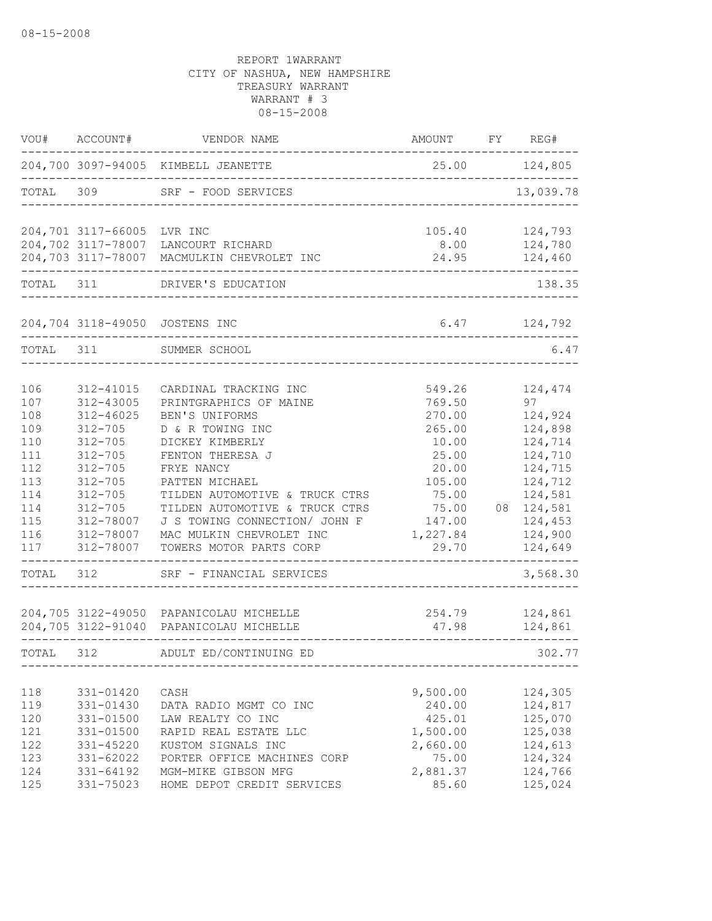| VOU#              | ACCOUNT#                                  | VENDOR NAME                                                                        | <b>AMOUNT</b>             | FY REG#                          |
|-------------------|-------------------------------------------|------------------------------------------------------------------------------------|---------------------------|----------------------------------|
|                   |                                           | 204,700 3097-94005 KIMBELL JEANETTE                                                | 25.00                     | 124,805                          |
| TOTAL             | 309                                       | SRF - FOOD SERVICES                                                                |                           | 13,039.78                        |
|                   | 204,701 3117-66005 LVR INC                | 204,702 3117-78007 LANCOURT RICHARD                                                | 105.40<br>8.00            | 124,793<br>124,780               |
|                   |                                           | 204,703 3117-78007 MACMULKIN CHEVROLET INC                                         | 24.95                     | 124,460                          |
| TOTAL 311         |                                           | DRIVER'S EDUCATION                                                                 |                           | 138.35                           |
|                   | 204,704 3118-49050                        | JOSTENS INC                                                                        | 6.47                      | 124,792                          |
| TOTAL             | 311                                       | SUMMER SCHOOL                                                                      |                           | 6.47                             |
| 106<br>107        | 312-41015<br>312-43005                    | CARDINAL TRACKING INC<br>PRINTGRAPHICS OF MAINE                                    | 549.26<br>769.50          | 124,474<br>97                    |
| 108<br>109<br>110 | 312-46025<br>$312 - 705$<br>$312 - 705$   | BEN'S UNIFORMS<br>D & R TOWING INC<br>DICKEY KIMBERLY                              | 270.00<br>265.00<br>10.00 | 124,924<br>124,898<br>124,714    |
| 111<br>112        | $312 - 705$<br>$312 - 705$                | FENTON THERESA J<br>FRYE NANCY                                                     | 25.00<br>20.00            | 124,710<br>124,715               |
| 113<br>114<br>114 | $312 - 705$<br>$312 - 705$<br>$312 - 705$ | PATTEN MICHAEL<br>TILDEN AUTOMOTIVE & TRUCK CTRS<br>TILDEN AUTOMOTIVE & TRUCK CTRS | 105.00<br>75.00<br>75.00  | 124,712<br>124,581<br>08 124,581 |
| 115<br>116        | 312-78007<br>312-78007                    | J S TOWING CONNECTION/ JOHN F<br>MAC MULKIN CHEVROLET INC                          | 147.00<br>1,227.84        | 124,453<br>124,900               |
| 117               | 312-78007                                 | TOWERS MOTOR PARTS CORP                                                            | 29.70                     | 124,649                          |
| TOTAL             | 312                                       | SRF - FINANCIAL SERVICES                                                           |                           | 3,568.30                         |
|                   |                                           | 204,705 3122-49050 PAPANICOLAU MICHELLE<br>204,705 3122-91040 PAPANICOLAU MICHELLE | 254.79<br>47.98           | 124,861<br>124,861               |
| TOTAL             | 312                                       | ADULT ED/CONTINUING ED                                                             |                           | 302.77                           |
| 118               | 331-01420                                 | CASH                                                                               | 9,500.00                  | 124,305                          |
| 119               | 331-01430                                 | DATA RADIO MGMT CO INC                                                             | 240.00                    | 124,817                          |
| 120               | 331-01500                                 | LAW REALTY CO INC                                                                  | 425.01                    | 125,070                          |
| 121               | 331-01500                                 | RAPID REAL ESTATE LLC                                                              | 1,500.00                  | 125,038                          |
| 122               | 331-45220                                 | KUSTOM SIGNALS INC                                                                 | 2,660.00                  | 124,613                          |
| 123               | 331-62022                                 | PORTER OFFICE MACHINES CORP                                                        | 75.00                     | 124,324                          |
| 124               | 331-64192                                 | MGM-MIKE GIBSON MFG                                                                | 2,881.37                  | 124,766                          |
| 125               | 331-75023                                 | HOME DEPOT CREDIT SERVICES                                                         | 85.60                     | 125,024                          |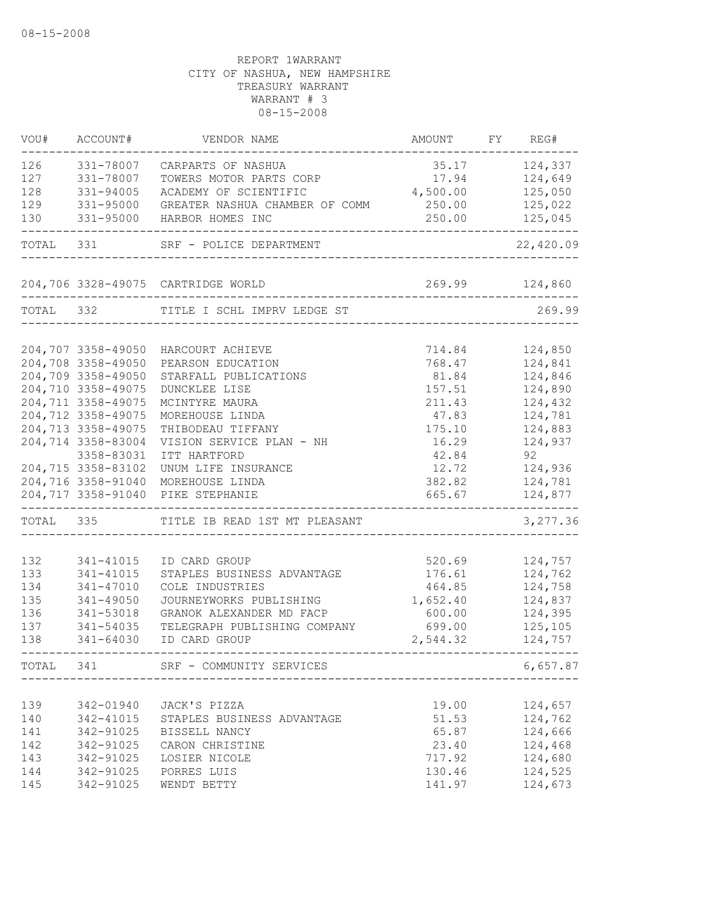| VOU#       | ACCOUNT#                                 | VENDOR NAME                                | AMOUNT              | FY REG#            |
|------------|------------------------------------------|--------------------------------------------|---------------------|--------------------|
| 126        | 331-78007                                | CARPARTS OF NASHUA                         | 35.17               | 124,337            |
| 127        | 331-78007                                | TOWERS MOTOR PARTS CORP                    | 17.94               | 124,649            |
| 128        | 331-94005                                | ACADEMY OF SCIENTIFIC                      | 4,500.00            | 125,050            |
| 129        | 331-95000                                | GREATER NASHUA CHAMBER OF COMM             | 250.00              | 125,022            |
| 130        | 331-95000                                | HARBOR HOMES INC                           | 250.00              | 125,045            |
| TOTAL      | 331                                      | SRF - POLICE DEPARTMENT                    |                     | 22,420.09          |
|            |                                          | 204,706 3328-49075 CARTRIDGE WORLD         | ------------------- | 269.99 124,860     |
| TOTAL 332  |                                          | TITLE I SCHL IMPRV LEDGE ST                |                     | 269.99             |
|            |                                          |                                            |                     |                    |
|            | 204,707 3358-49050                       | HARCOURT ACHIEVE                           | 714.84              | 124,850            |
|            | 204,708 3358-49050                       | PEARSON EDUCATION                          | 768.47              | 124,841            |
|            | 204,709 3358-49050<br>204,710 3358-49075 | STARFALL PUBLICATIONS                      | 81.84               | 124,846            |
|            | 204,711 3358-49075                       | DUNCKLEE LISE                              | 157.51<br>211.43    | 124,890<br>124,432 |
|            | 204,712 3358-49075                       | MCINTYRE MAURA<br>MOREHOUSE LINDA          |                     | 124,781            |
|            | 204,713 3358-49075                       | THIBODEAU TIFFANY                          | 47.83<br>175.10     | 124,883            |
|            | 204,714 3358-83004                       | VISION SERVICE PLAN - NH                   | 16.29               | 124,937            |
|            | 3358-83031                               | ITT HARTFORD                               | 42.84               | 92                 |
|            | 204,715 3358-83102                       | UNUM LIFE INSURANCE                        | 12.72               | 124,936            |
|            | 204,716 3358-91040                       | MOREHOUSE LINDA                            | 382.82              | 124,781            |
|            | 204,717 3358-91040                       | PIKE STEPHANIE                             | 665.67              | 124,877            |
| TOTAL 335  |                                          | TITLE IB READ 1ST MT PLEASANT              |                     | 3,277.36           |
|            |                                          |                                            |                     |                    |
| 132        | 341-41015                                | ID CARD GROUP                              | 520.69              | 124,757            |
| 133<br>134 | 341-41015<br>341-47010                   | STAPLES BUSINESS ADVANTAGE                 | 176.61              | 124,762<br>124,758 |
| 135        | 341-49050                                | COLE INDUSTRIES<br>JOURNEYWORKS PUBLISHING | 464.85<br>1,652.40  | 124,837            |
| 136        | 341-53018                                | GRANOK ALEXANDER MD FACP                   | 600.00              | 124,395            |
| 137        | 341-54035                                | TELEGRAPH PUBLISHING COMPANY               | 699.00              | 125,105            |
| 138        | $341 - 64030$                            | ID CARD GROUP                              | 2,544.32            | 124,757            |
| TOTAL      | 341                                      | SRF - COMMUNITY SERVICES                   |                     | 6,657.87           |
|            |                                          |                                            |                     |                    |
| 139        | 342-01940                                | JACK'S PIZZA                               | 19.00               | 124,657            |
| 140        | 342-41015                                | STAPLES BUSINESS ADVANTAGE                 | 51.53               | 124,762            |
| 141        | 342-91025                                | BISSELL NANCY                              | 65.87               | 124,666            |
| 142        | 342-91025                                | CARON CHRISTINE                            | 23.40               | 124,468            |
| 143        | 342-91025                                | LOSIER NICOLE                              | 717.92              | 124,680            |
| 144<br>145 | 342-91025<br>342-91025                   | PORRES LUIS<br>WENDT BETTY                 | 130.46<br>141.97    | 124,525<br>124,673 |
|            |                                          |                                            |                     |                    |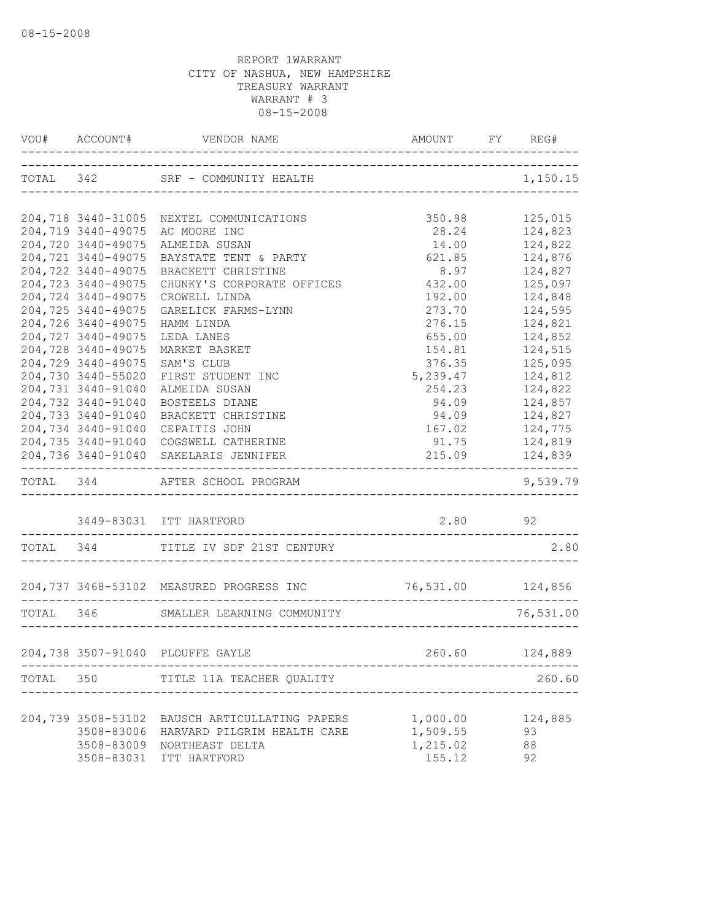|           | VOU# ACCOUNT#                            | VENDOR NAME AMOUNT                                                           | AMOUNT FY REG#              |                                    |
|-----------|------------------------------------------|------------------------------------------------------------------------------|-----------------------------|------------------------------------|
|           |                                          | TOTAL 342 SRF - COMMUNITY HEALTH                                             | --------------------------  | 1,150.15                           |
|           |                                          |                                                                              |                             |                                    |
|           | 204,718 3440-31005                       | NEXTEL COMMUNICATIONS                                                        | 350.98                      | 125,015                            |
|           | 204,719 3440-49075<br>204,720 3440-49075 | AC MOORE INC                                                                 | 28.24                       | 124,823<br>124,822                 |
|           | 204,721 3440-49075                       | ALMEIDA SUSAN<br>BAYSTATE TENT & PARTY                                       | 14.00<br>621.85             | 124,876                            |
|           | 204,722 3440-49075                       | BRACKETT CHRISTINE                                                           | 8.97                        | 124,827                            |
|           | 204,723 3440-49075                       | CHUNKY'S CORPORATE OFFICES                                                   | 432.00                      | 125,097                            |
|           | 204,724 3440-49075                       | CROWELL LINDA                                                                | 192.00                      | 124,848                            |
|           | 204,725 3440-49075                       | GARELICK FARMS-LYNN                                                          | 273.70                      | 124,595                            |
|           | 204,726 3440-49075                       | HAMM LINDA                                                                   | 276.15                      | 124,821                            |
|           | 204,727 3440-49075                       | LEDA LANES                                                                   | 655.00                      | 124,852                            |
|           | 204,728 3440-49075                       | MARKET BASKET                                                                | 154.81                      | 124,515                            |
|           | 204,729 3440-49075                       | SAM'S CLUB                                                                   | 376.35                      | 125,095                            |
|           | 204,730 3440-55020                       | FIRST STUDENT INC                                                            | 5,239.47                    | 124,812                            |
|           | 204,731 3440-91040                       | ALMEIDA SUSAN                                                                | 254.23                      | 124,822                            |
|           | 204,732 3440-91040                       | BOSTEELS DIANE                                                               | 94.09                       | 124,857                            |
|           | 204,733 3440-91040                       | BRACKETT CHRISTINE                                                           | 94.09                       | 124,827                            |
|           | 204,734 3440-91040                       | CEPAITIS JOHN                                                                | 167.02                      | 124,775                            |
|           | 204,735 3440-91040                       | COGSWELL CATHERINE                                                           | 91.75                       | 124,819                            |
|           |                                          | 204,736 3440-91040 SAKELARIS JENNIFER<br>----------------------------------- |                             | 215.09 124,839<br>---------------- |
|           |                                          | TOTAL 344 AFTER SCHOOL PROGRAM                                               |                             | 9,539.79                           |
|           |                                          | 3449-83031 ITT HARTFORD                                                      | 2.80 92                     |                                    |
|           |                                          | TOTAL 344 TITLE IV SDF 21ST CENTURY                                          | -----------------------     | 2.80                               |
|           |                                          | 204,737 3468-53102 MEASURED PROGRESS INC                                     | 76,531.00 124,856           |                                    |
|           |                                          |                                                                              |                             |                                    |
| TOTAL 346 |                                          | SMALLER LEARNING COMMUNITY                                                   |                             | 76,531.00                          |
|           |                                          | 204,738 3507-91040 PLOUFFE GAYLE                                             |                             | 260.60 124,889                     |
|           |                                          | TOTAL 350 TITLE 11A TEACHER QUALITY                                          | ___________________________ | 260.60                             |
|           |                                          |                                                                              |                             |                                    |
|           | 204,739 3508-53102                       | BAUSCH ARTICULLATING PAPERS                                                  | 1,000.00                    | 124,885                            |
|           | 3508-83006                               | HARVARD PILGRIM HEALTH CARE                                                  | 1,509.55                    | 93                                 |
|           |                                          | 3508-83009 NORTHEAST DELTA                                                   | 1,215.02                    | 88                                 |
|           |                                          | 3508-83031 ITT HARTFORD                                                      | 155.12                      | 92                                 |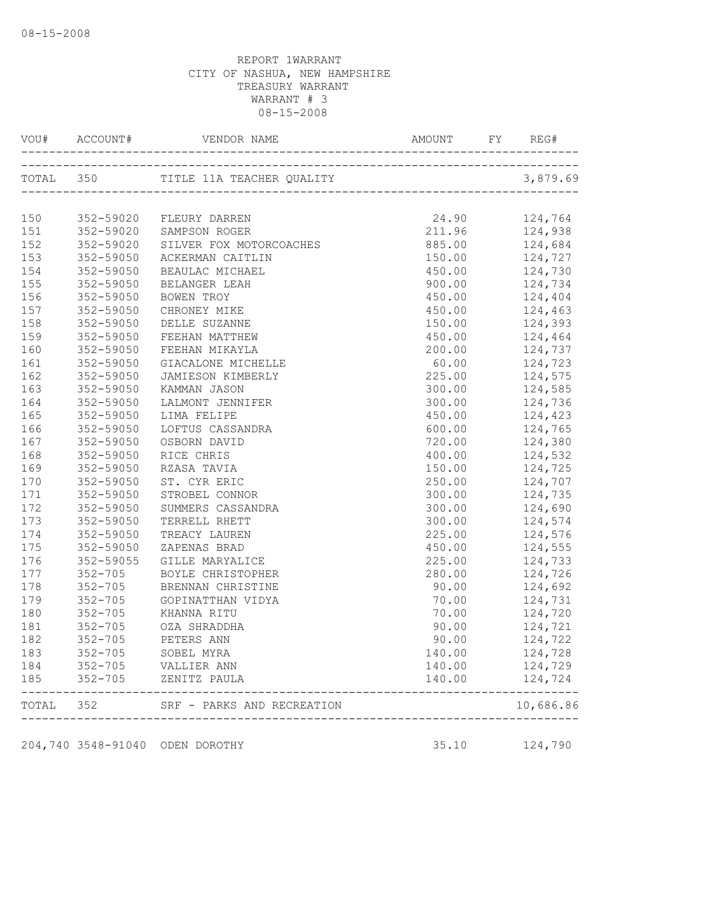|       |                                                                  | 150 352-59020 FLEURY DARREN       | 24.90 124,764  |                                                                                                                                    |
|-------|------------------------------------------------------------------|-----------------------------------|----------------|------------------------------------------------------------------------------------------------------------------------------------|
|       |                                                                  | 151 352-59020 SAMPSON ROGER       | 211.96 124,938 |                                                                                                                                    |
| 152   |                                                                  | 352-59020 SILVER FOX MOTORCOACHES | 885.00 124,684 |                                                                                                                                    |
|       |                                                                  | 153 352-59050 ACKERMAN CAITLIN    |                | 150.00 124,727                                                                                                                     |
|       | 154 352-59050<br>155 352-59050<br>156 352-59050<br>157 352-59050 | BEAULAC MICHAEL                   |                | $\begin{array}{llll} 450.00 & 124,730 \\ 900.00 & 124,734 \\ 450.00 & 124,404 \\ 450.00 & 124,463 \\ 150.00 & 124,393 \end{array}$ |
|       |                                                                  | BELANGER LEAH                     |                |                                                                                                                                    |
|       |                                                                  | BOWEN TROY                        |                |                                                                                                                                    |
|       |                                                                  | CHRONEY MIKE                      |                |                                                                                                                                    |
| 158   | 352-59050                                                        | DELLE SUZANNE                     |                |                                                                                                                                    |
|       | 159 352-59050                                                    | FEEHAN MATTHEW                    |                | 450.00 124,464                                                                                                                     |
| 160   | 352-59050                                                        | FEEHAN MIKAYLA                    |                | 200.00 124,737                                                                                                                     |
| 161   | 352-59050                                                        | GIACALONE MICHELLE                | 60.00 124,723  |                                                                                                                                    |
| 162   | 352-59050                                                        | JAMIESON KIMBERLY                 |                | 225.00 124,575                                                                                                                     |
| 163   | 352-59050                                                        | KAMMAN JASON                      | 300.00         |                                                                                                                                    |
| 164   | 352-59050<br>352-59050<br>352-59050                              | LALMONT JENNIFER                  | 300.00         | 124,585<br>124,736<br>124,423<br>124,765<br>124,380                                                                                |
| 165   |                                                                  | LIMA FELIPE                       | 450.00         |                                                                                                                                    |
| 166   |                                                                  | LOFTUS CASSANDRA                  | 600.00         |                                                                                                                                    |
| 167   | 352-59050                                                        | OSBORN DAVID                      | 720.00         |                                                                                                                                    |
| 168   | 352-59050                                                        | RICE CHRIS                        |                | 400.00 124,532                                                                                                                     |
|       | 169 352-59050                                                    | RZASA TAVIA                       |                | 150.00 124,725                                                                                                                     |
|       | 170 352-59050                                                    | ST. CYR ERIC                      |                | 250.00 124,707                                                                                                                     |
| 171   | 352-59050                                                        | STROBEL CONNOR                    |                | 300.00 124,735                                                                                                                     |
| 172   | $352 - 59050$                                                    | SUMMERS CASSANDRA                 |                |                                                                                                                                    |
| 173   | 352-59050<br>352-59050<br>352-59050                              | TERRELL RHETT                     |                | $\begin{array}{cc} 300.00 & 124,690 \\ 300.00 & 124,574 \\ 225.00 & 124,576 \\ 450.00 & 124,555 \end{array}$                       |
| 174   |                                                                  | TREACY LAUREN                     |                |                                                                                                                                    |
| 175   |                                                                  | ZAPENAS BRAD                      |                |                                                                                                                                    |
| 176   | 352-59055                                                        | GILLE MARYALICE                   |                | 225.00 124,733                                                                                                                     |
| 177   | $352 - 705$                                                      | BOYLE CHRISTOPHER                 |                | 280.00 124,726                                                                                                                     |
| 178   |                                                                  | 352-705 BRENNAN CHRISTINE         |                | 90.00 124,692                                                                                                                      |
| 179   |                                                                  | 352-705 GOPINATTHAN VIDYA         |                |                                                                                                                                    |
| 180   |                                                                  | 352-705 KHANNA RITU               |                |                                                                                                                                    |
| 181   |                                                                  |                                   | 90.00          |                                                                                                                                    |
| 182   |                                                                  |                                   | 90.00          | 124,721<br>124,722                                                                                                                 |
| 183   | $352 - 705$                                                      | SOBEL MYRA                        | 140.00         | 124,728                                                                                                                            |
| 184   | $352 - 705$                                                      | VALLIER ANN                       | 140.00         | 124,729                                                                                                                            |
| 185   | $352 - 705$                                                      | ZENITZ PAULA                      | 140.00         | 124,724                                                                                                                            |
| TOTAL | 352                                                              | SRF - PARKS AND RECREATION        |                | 10,686.86                                                                                                                          |
|       |                                                                  |                                   |                |                                                                                                                                    |
|       |                                                                  | 204,740 3548-91040 ODEN DOROTHY   | 35.10          | 124,790                                                                                                                            |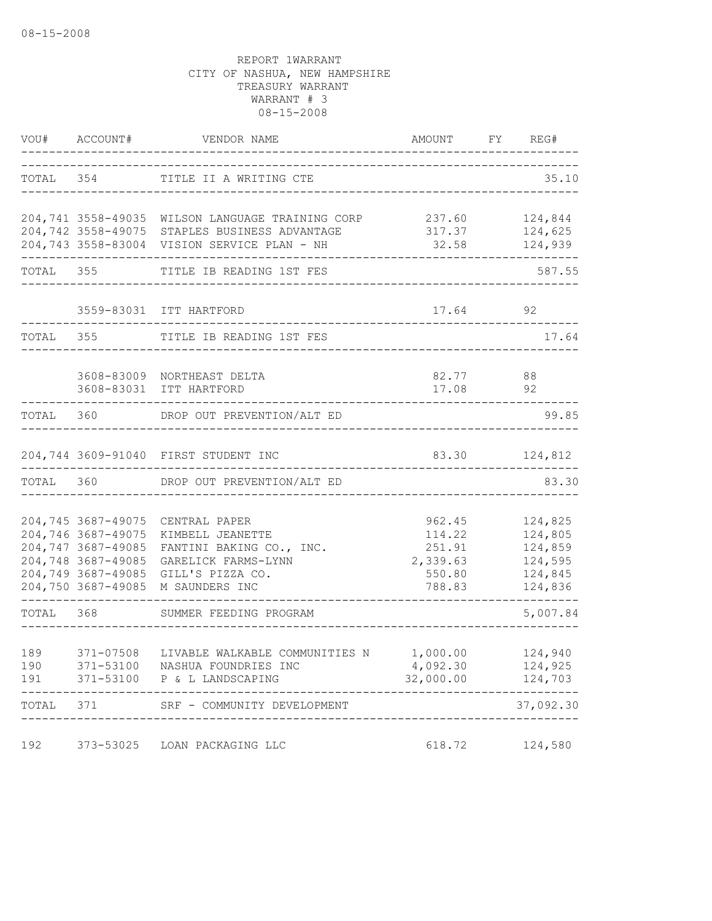|           | VOU# ACCOUNT#      | VENDOR NAME                                               | AMOUNT<br>_____________ | FY REG#            |
|-----------|--------------------|-----------------------------------------------------------|-------------------------|--------------------|
|           |                    | TOTAL 354 TITLE II A WRITING CTE                          |                         | 35.10              |
|           |                    |                                                           |                         |                    |
|           |                    | 204,741 3558-49035 WILSON LANGUAGE TRAINING CORP          | 237.60                  | 124,844            |
|           |                    | 204,742 3558-49075 STAPLES BUSINESS ADVANTAGE             | 317.37                  | 124,625            |
|           |                    | 204,743 3558-83004 VISION SERVICE PLAN - NH               | 32.58                   | 124,939            |
| TOTAL     | 355                | TITLE IB READING 1ST FES                                  |                         | 587.55             |
|           |                    | 3559-83031 ITT HARTFORD                                   | 17.64                   | 92                 |
| TOTAL 355 |                    | TITLE IB READING 1ST FES                                  |                         | 17.64              |
|           |                    |                                                           |                         |                    |
|           |                    | 3608-83009 NORTHEAST DELTA                                | 82.77                   | 88                 |
|           |                    | 3608-83031 ITT HARTFORD                                   | 17.08                   | 92                 |
| TOTAL     | 360                | DROP OUT PREVENTION/ALT ED                                |                         | 99.85              |
|           |                    | 204,744 3609-91040 FIRST STUDENT INC                      | 83.30                   | 124,812            |
| TOTAL     | 360                | DROP OUT PREVENTION/ALT ED                                |                         | 83.30              |
|           |                    |                                                           |                         |                    |
|           | 204,746 3687-49075 | 204,745 3687-49075 CENTRAL PAPER<br>KIMBELL JEANETTE      | 962.45<br>114.22        | 124,825<br>124,805 |
|           | 204,747 3687-49085 | FANTINI BAKING CO., INC.                                  | 251.91                  | 124,859            |
|           | 204,748 3687-49085 | GARELICK FARMS-LYNN                                       | 2,339.63                | 124,595            |
|           | 204,749 3687-49085 | GILL'S PIZZA CO.                                          | 550.80                  | 124,845            |
|           | 204,750 3687-49085 | M SAUNDERS INC                                            | 788.83                  | 124,836            |
| TOTAL     | 368                | SUMMER FEEDING PROGRAM                                    |                         | 5,007.84           |
|           |                    |                                                           |                         |                    |
| 189       |                    | 371-07508 LIVABLE WALKABLE COMMUNITIES N 1,000.00 124,940 |                         |                    |
| 190       |                    | 371-53100 NASHUA FOUNDRIES INC                            | 4,092.30                | 124,925            |
| 191       | 371-53100          | P & L LANDSCAPING                                         | 32,000.00               | 124,703            |
| TOTAL     | 371                | SRF - COMMUNITY DEVELOPMENT                               |                         | 37,092.30          |
| 192       |                    | 373-53025 LOAN PACKAGING LLC                              | 618.72                  | 124,580            |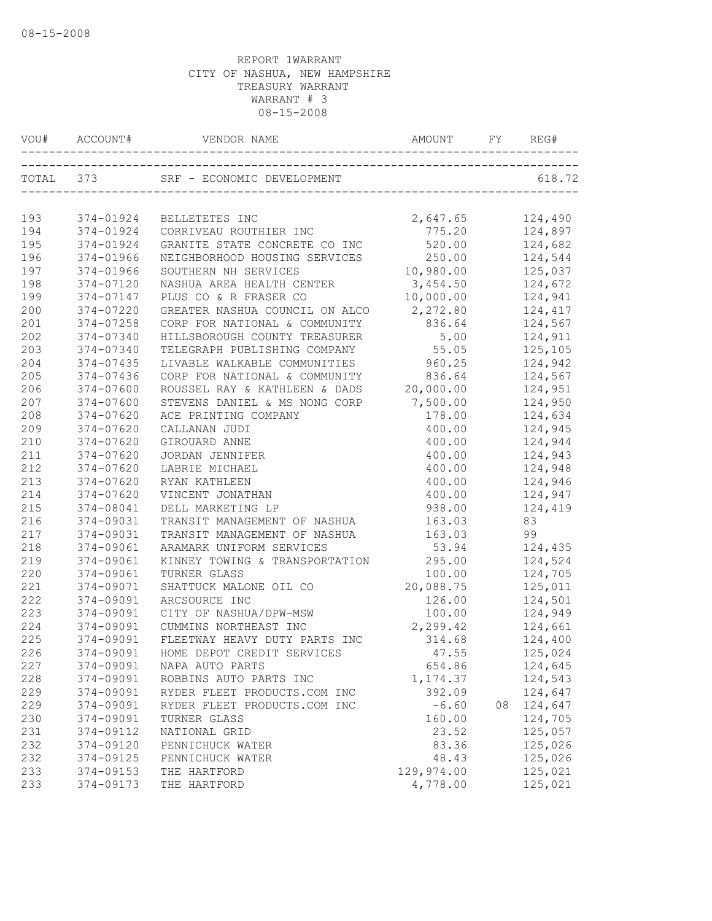| VOU# |           |                                |                           |    | REG#    |
|------|-----------|--------------------------------|---------------------------|----|---------|
|      | TOTAL 373 | SRF - ECONOMIC DEVELOPMENT     | ------------------------- |    | 618.72  |
| 193  | 374-01924 | BELLETETES INC                 | 2,647.65                  |    | 124,490 |
| 194  | 374-01924 | CORRIVEAU ROUTHIER INC         | 775.20                    |    | 124,897 |
| 195  | 374-01924 | GRANITE STATE CONCRETE CO INC  | 520.00                    |    | 124,682 |
| 196  | 374-01966 | NEIGHBORHOOD HOUSING SERVICES  | 250.00                    |    | 124,544 |
| 197  | 374-01966 | SOUTHERN NH SERVICES           | 10,980.00                 |    | 125,037 |
| 198  | 374-07120 | NASHUA AREA HEALTH CENTER      | 3,454.50                  |    | 124,672 |
| 199  | 374-07147 | PLUS CO & R FRASER CO          | 10,000.00                 |    | 124,941 |
| 200  | 374-07220 | GREATER NASHUA COUNCIL ON ALCO | 2,272.80                  |    | 124,417 |
| 201  | 374-07258 | CORP FOR NATIONAL & COMMUNITY  | 836.64                    |    | 124,567 |
| 202  | 374-07340 | HILLSBOROUGH COUNTY TREASURER  | 5.00                      |    | 124,911 |
| 203  | 374-07340 | TELEGRAPH PUBLISHING COMPANY   | 55.05                     |    | 125,105 |
| 204  | 374-07435 | LIVABLE WALKABLE COMMUNITIES   | 960.25                    |    | 124,942 |
| 205  | 374-07436 | CORP FOR NATIONAL & COMMUNITY  | 836.64                    |    | 124,567 |
| 206  | 374-07600 | ROUSSEL RAY & KATHLEEN & DADS  | 20,000.00                 |    | 124,951 |
| 207  | 374-07600 | STEVENS DANIEL & MS NONG CORP  | 7,500.00                  |    | 124,950 |
| 208  | 374-07620 | ACE PRINTING COMPANY           | 178.00                    |    | 124,634 |
| 209  | 374-07620 | CALLANAN JUDI                  | 400.00                    |    | 124,945 |
| 210  | 374-07620 | GIROUARD ANNE                  | 400.00                    |    | 124,944 |
| 211  | 374-07620 | JORDAN JENNIFER                | 400.00                    |    | 124,943 |
| 212  | 374-07620 | LABRIE MICHAEL                 | 400.00                    |    | 124,948 |
| 213  | 374-07620 | RYAN KATHLEEN                  | 400.00                    |    | 124,946 |
| 214  | 374-07620 | VINCENT JONATHAN               | 400.00                    |    | 124,947 |
| 215  | 374-08041 | DELL MARKETING LP              | 938.00                    |    | 124,419 |
| 216  | 374-09031 | TRANSIT MANAGEMENT OF NASHUA   | 163.03                    |    | 83      |
| 217  | 374-09031 | TRANSIT MANAGEMENT OF NASHUA   | 163.03                    |    | 99      |
| 218  | 374-09061 | ARAMARK UNIFORM SERVICES       | 53.94                     |    | 124,435 |
| 219  | 374-09061 | KINNEY TOWING & TRANSPORTATION | 295.00                    |    | 124,524 |
| 220  | 374-09061 | TURNER GLASS                   | 100.00                    |    | 124,705 |
| 221  | 374-09071 | SHATTUCK MALONE OIL CO         | 20,088.75                 |    | 125,011 |
| 222  | 374-09091 | ARCSOURCE INC                  | 126.00                    |    | 124,501 |
| 223  | 374-09091 | CITY OF NASHUA/DPW-MSW         | 100.00                    |    | 124,949 |
| 224  | 374-09091 | CUMMINS NORTHEAST INC          | 2,299.42                  |    | 124,661 |
| 225  | 374-09091 | FLEETWAY HEAVY DUTY PARTS INC  | 314.68                    |    | 124,400 |
| 226  | 374-09091 | HOME DEPOT CREDIT SERVICES     | 47.55                     |    | 125,024 |
| 227  | 374-09091 | NAPA AUTO PARTS                | 654.86                    |    | 124,645 |
| 228  | 374-09091 | ROBBINS AUTO PARTS INC         | 1,174.37                  |    | 124,543 |
| 229  | 374-09091 | RYDER FLEET PRODUCTS.COM INC   | 392.09                    |    | 124,647 |
| 229  | 374-09091 | RYDER FLEET PRODUCTS.COM INC   | $-6.60$                   | 08 | 124,647 |
| 230  | 374-09091 | TURNER GLASS                   | 160.00                    |    | 124,705 |
| 231  | 374-09112 | NATIONAL GRID                  | 23.52                     |    | 125,057 |
| 232  | 374-09120 | PENNICHUCK WATER               | 83.36                     |    | 125,026 |
| 232  | 374-09125 | PENNICHUCK WATER               | 48.43                     |    | 125,026 |
| 233  | 374-09153 | THE HARTFORD                   | 129,974.00                |    | 125,021 |
| 233  | 374-09173 | THE HARTFORD                   | 4,778.00                  |    | 125,021 |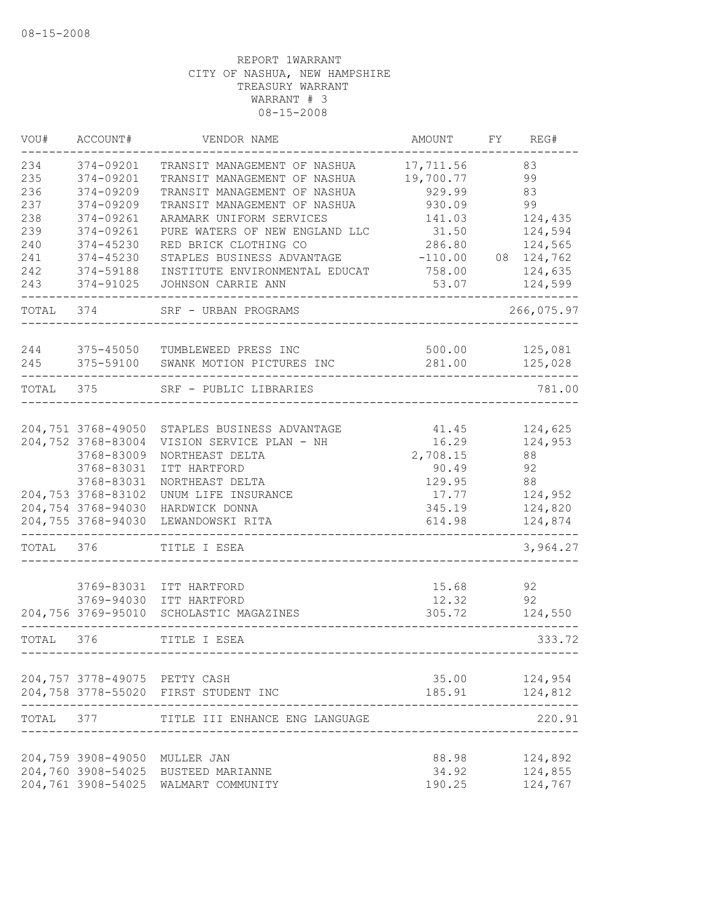| VOU#       | ACCOUNT#                                 | VENDOR NAME                                                  | AMOUNT                 | FY | REG#               |
|------------|------------------------------------------|--------------------------------------------------------------|------------------------|----|--------------------|
| 234<br>235 | 374-09201<br>374-09201                   | TRANSIT MANAGEMENT OF NASHUA<br>TRANSIT MANAGEMENT OF NASHUA | 17,711.56<br>19,700.77 |    | 83<br>99           |
| 236        | 374-09209                                | TRANSIT MANAGEMENT OF NASHUA                                 | 929.99                 |    | 83                 |
| 237        | 374-09209                                | TRANSIT MANAGEMENT OF NASHUA                                 | 930.09                 |    | 99                 |
| 238        | 374-09261                                | ARAMARK UNIFORM SERVICES                                     | 141.03                 |    | 124,435            |
| 239        | 374-09261                                | PURE WATERS OF NEW ENGLAND LLC                               | 31.50                  |    | 124,594            |
| 240        | 374-45230                                | RED BRICK CLOTHING CO                                        | 286.80                 |    | 124,565            |
| 241        | $374 - 45230$                            | STAPLES BUSINESS ADVANTAGE                                   | $-110.00$              |    | 08 124,762         |
| 242<br>243 | 374-59188<br>374-91025                   | INSTITUTE ENVIRONMENTAL EDUCAT<br>JOHNSON CARRIE ANN         | 758.00<br>53.07        |    | 124,635<br>124,599 |
|            |                                          |                                                              |                        |    |                    |
| TOTAL      | 374                                      | SRF - URBAN PROGRAMS                                         |                        |    | 266,075.97         |
| 244        | 375-45050                                | TUMBLEWEED PRESS INC                                         | 500.00                 |    | 125,081            |
| 245        | 375-59100                                | SWANK MOTION PICTURES INC                                    | 281.00                 |    | 125,028            |
| TOTAL 375  |                                          | SRF - PUBLIC LIBRARIES                                       |                        |    | 781.00             |
|            |                                          |                                                              |                        |    |                    |
|            | 204,751 3768-49050                       | STAPLES BUSINESS ADVANTAGE                                   | 41.45                  |    | 124,625            |
|            | 204,752 3768-83004<br>3768-83009         | VISION SERVICE PLAN - NH                                     | 16.29<br>2,708.15      |    | 124,953<br>88      |
|            | 3768-83031                               | NORTHEAST DELTA<br>ITT HARTFORD                              | 90.49                  |    | 92                 |
|            | 3768-83031                               | NORTHEAST DELTA                                              | 129.95                 |    | 88                 |
|            | 204,753 3768-83102                       | UNUM LIFE INSURANCE                                          | 17.77                  |    | 124,952            |
|            | 204,754 3768-94030                       | HARDWICK DONNA                                               | 345.19                 |    | 124,820            |
|            | 204,755 3768-94030                       | LEWANDOWSKI RITA                                             | 614.98                 |    | 124,874            |
| TOTAL      | 376                                      | TITLE I ESEA                                                 |                        |    | 3,964.27           |
|            |                                          |                                                              |                        |    |                    |
|            | 3769-83031<br>3769-94030                 | ITT HARTFORD<br>ITT HARTFORD                                 | 15.68<br>12.32         |    | 92<br>92           |
|            | 204,756 3769-95010                       | SCHOLASTIC MAGAZINES                                         | 305.72                 |    | 124,550            |
|            |                                          |                                                              |                        |    |                    |
| TOTAL      | 376                                      | TITLE I ESEA                                                 |                        |    | 333.72             |
|            | 204,757 3778-49075 PETTY CASH            |                                                              | 35.00                  |    | 124,954            |
|            |                                          | 204,758 3778-55020 FIRST STUDENT INC                         | 185.91                 |    | 124,812            |
| TOTAL 377  |                                          | TITLE III ENHANCE ENG LANGUAGE                               |                        |    | 220.91             |
|            |                                          |                                                              |                        |    |                    |
|            | 204,759 3908-49050<br>204,760 3908-54025 | MULLER JAN<br>BUSTEED MARIANNE                               | 88.98<br>34.92         |    | 124,892<br>124,855 |
|            | 204,761 3908-54025                       | WALMART COMMUNITY                                            | 190.25                 |    | 124,767            |
|            |                                          |                                                              |                        |    |                    |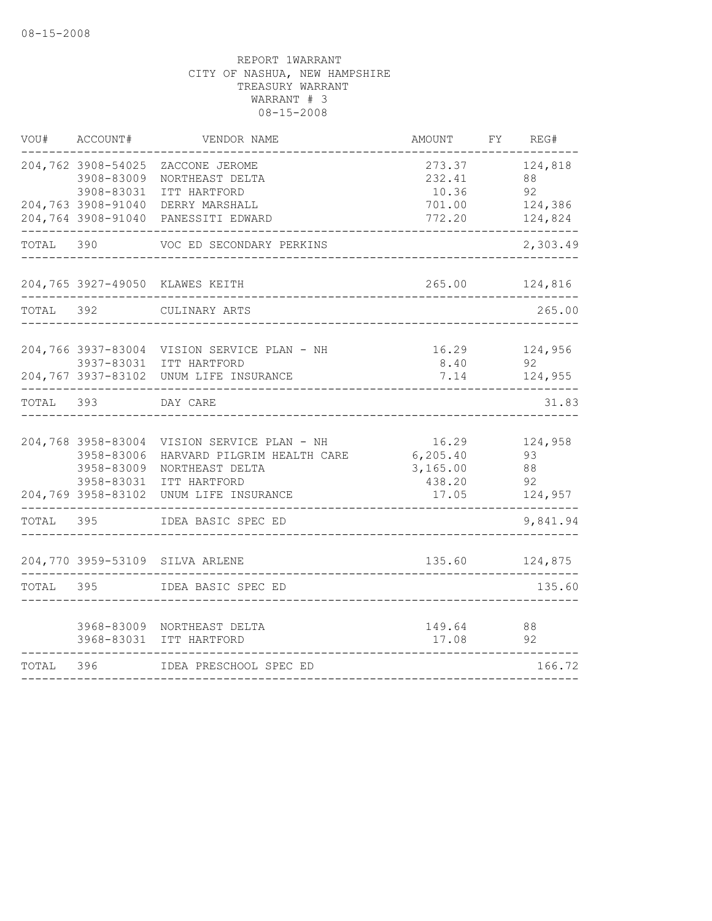| WOU#      | ACCOUNT#           | VENDOR NAME                                                            | AMOUNT        | FY REG#        |
|-----------|--------------------|------------------------------------------------------------------------|---------------|----------------|
|           | 204,762 3908-54025 | ZACCONE JEROME                                                         | 273.37        | 124,818        |
|           | 3908-83009         | NORTHEAST DELTA                                                        | 232.41        | 88             |
|           | 3908-83031         | ITT HARTFORD                                                           | 10.36         | 92             |
|           | 204,763 3908-91040 | DERRY MARSHALL                                                         | 701.00        | 124,386        |
|           |                    | 204,764 3908-91040 PANESSITI EDWARD                                    | 772.20        | 124,824        |
| TOTAL 390 |                    | VOC ED SECONDARY PERKINS                                               |               | 2,303.49       |
|           |                    | 204,765 3927-49050 KLAWES KEITH                                        |               | 265.00 124,816 |
| TOTAL     | 392                | CULINARY ARTS                                                          |               | 265.00         |
|           |                    |                                                                        |               |                |
|           |                    | 204,766 3937-83004 VISION SERVICE PLAN - NH<br>3937-83031 ITT HARTFORD | 16.29<br>8.40 | 124,956<br>92  |
|           |                    | 204,767 3937-83102 UNUM LIFE INSURANCE                                 | 7.14          | 124,955        |
|           |                    |                                                                        |               |                |
| TOTAL 393 |                    | DAY CARE                                                               |               | 31.83          |
|           |                    | 204,768 3958-83004 VISION SERVICE PLAN - NH                            | 16.29         | 124,958        |
|           | 3958-83006         | HARVARD PILGRIM HEALTH CARE                                            | 6, 205.40     | 93             |
|           | 3958-83009         | NORTHEAST DELTA                                                        | 3,165.00      | 88             |
|           | 3958-83031         | ITT HARTFORD                                                           | 438.20        | 92             |
|           |                    | 204,769 3958-83102 UNUM LIFE INSURANCE                                 | 17.05         | 124,957        |
| TOTAL 395 |                    | IDEA BASIC SPEC ED                                                     |               | 9,841.94       |
|           |                    | 204,770 3959-53109 SILVA ARLENE                                        |               | 135.60 124,875 |
| TOTAL 395 |                    | IDEA BASIC SPEC ED                                                     |               | 135.60         |
|           |                    | 3968-83009 NORTHEAST DELTA                                             | 149.64        | 88             |
|           |                    | 3968-83031 ITT HARTFORD                                                | 17.08         | 92             |
| TOTAL     | 396                | IDEA PRESCHOOL SPEC ED                                                 |               | 166.72         |
|           |                    |                                                                        |               |                |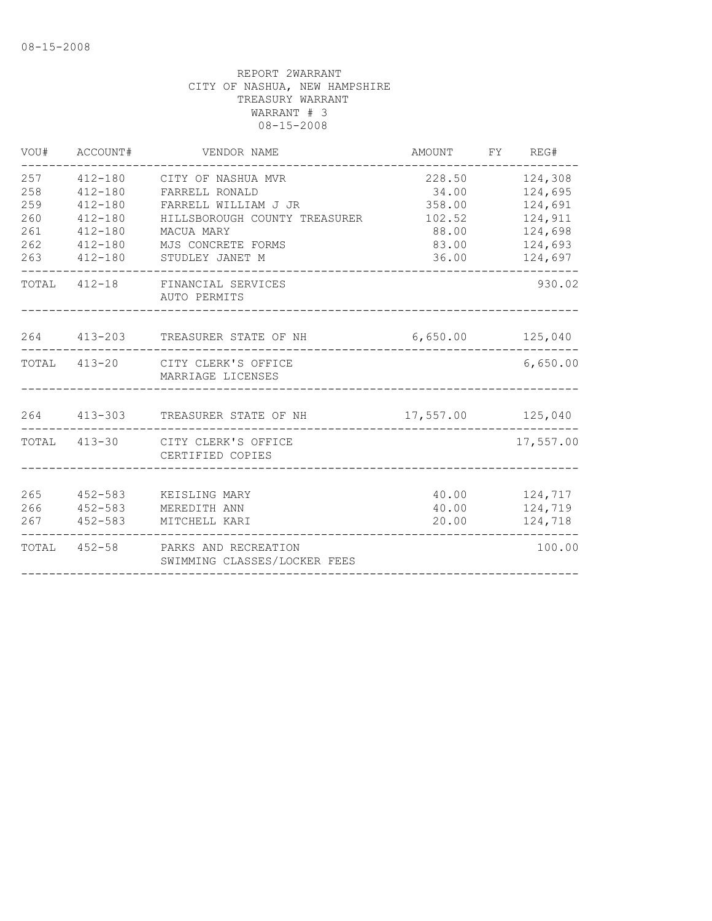| VOU#                                          | ACCOUNT#                                                                                              | VENDOR NAME                                                                                                                                          | AMOUNT                                                         | FY REG#                                                                   |
|-----------------------------------------------|-------------------------------------------------------------------------------------------------------|------------------------------------------------------------------------------------------------------------------------------------------------------|----------------------------------------------------------------|---------------------------------------------------------------------------|
| 257<br>258<br>259<br>260<br>261<br>262<br>263 | $412 - 180$<br>$412 - 180$<br>$412 - 180$<br>$412 - 180$<br>$412 - 180$<br>$412 - 180$<br>$412 - 180$ | CITY OF NASHUA MVR<br>FARRELL RONALD<br>FARRELL WILLIAM J JR<br>HILLSBOROUGH COUNTY TREASURER<br>MACUA MARY<br>MJS CONCRETE FORMS<br>STUDLEY JANET M | 228.50<br>34.00<br>358.00<br>102.52<br>88.00<br>83.00<br>36.00 | 124,308<br>124,695<br>124,691<br>124,911<br>124,698<br>124,693<br>124,697 |
|                                               |                                                                                                       | TOTAL 412-18 FINANCIAL SERVICES<br>AUTO PERMITS                                                                                                      |                                                                | 930.02                                                                    |
|                                               |                                                                                                       | 264 413-203 TREASURER STATE OF NH                                                                                                                    | 6,650.00 125,040                                               |                                                                           |
|                                               |                                                                                                       | TOTAL 413-20 CITY CLERK'S OFFICE<br>MARRIAGE LICENSES                                                                                                |                                                                | 6,650.00                                                                  |
|                                               |                                                                                                       | 264 413-303 TREASURER STATE OF NH                                                                                                                    | 17,557.00 125,040                                              |                                                                           |
|                                               |                                                                                                       | TOTAL 413-30 CITY CLERK'S OFFICE<br>CERTIFIED COPIES                                                                                                 |                                                                | 17,557.00                                                                 |
| 265<br>266<br>267                             | 452-583<br>$452 - 583$<br>452-583                                                                     | KEISLING MARY<br>MEREDITH ANN<br>MITCHELL KARI                                                                                                       | 40.00<br>20.00                                                 | 40.00 124,717<br>124,719<br>124,718                                       |
|                                               |                                                                                                       | TOTAL 452-58 PARKS AND RECREATION<br>SWIMMING CLASSES/LOCKER FEES                                                                                    |                                                                | 100.00                                                                    |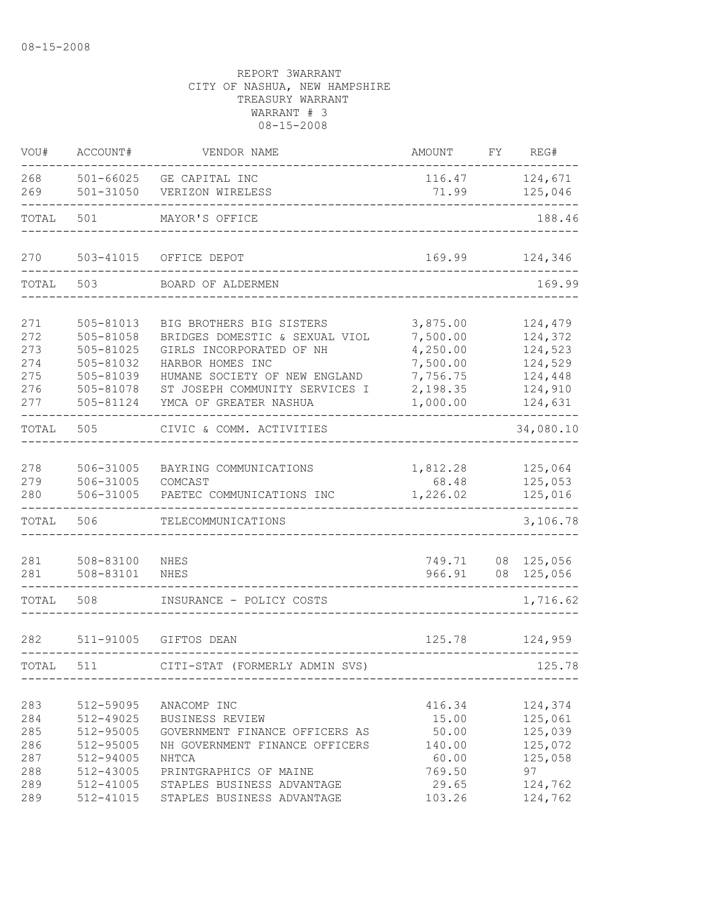| VOU#                                          | ACCOUNT#                                                                                | VENDOR NAME                                                                                                                                                                                             | AMOUNT                                                                           | FY | REG#                                                                      |
|-----------------------------------------------|-----------------------------------------------------------------------------------------|---------------------------------------------------------------------------------------------------------------------------------------------------------------------------------------------------------|----------------------------------------------------------------------------------|----|---------------------------------------------------------------------------|
| 268<br>269                                    | 501-66025<br>$501 - 31050$                                                              | GE CAPITAL INC<br>VERIZON WIRELESS                                                                                                                                                                      | 116.47<br>71.99                                                                  |    | 124,671<br>125,046                                                        |
| TOTAL                                         | 501                                                                                     | MAYOR'S OFFICE                                                                                                                                                                                          |                                                                                  |    | 188.46                                                                    |
| 270                                           | 503-41015                                                                               | OFFICE DEPOT                                                                                                                                                                                            | 169.99                                                                           |    | 124,346                                                                   |
| TOTAL                                         | 503                                                                                     | BOARD OF ALDERMEN                                                                                                                                                                                       |                                                                                  |    | 169.99                                                                    |
| 271<br>272<br>273<br>274<br>275<br>276<br>277 | 505-81013<br>505-81058<br>505-81025<br>505-81032<br>505-81039<br>505-81078<br>505-81124 | BIG BROTHERS BIG SISTERS<br>BRIDGES DOMESTIC & SEXUAL VIOL<br>GIRLS INCORPORATED OF NH<br>HARBOR HOMES INC<br>HUMANE SOCIETY OF NEW ENGLAND<br>ST JOSEPH COMMUNITY SERVICES I<br>YMCA OF GREATER NASHUA | 3,875.00<br>7,500.00<br>4,250.00<br>7,500.00<br>7,756.75<br>2,198.35<br>1,000.00 |    | 124,479<br>124,372<br>124,523<br>124,529<br>124,448<br>124,910<br>124,631 |
| TOTAL                                         | 505                                                                                     | CIVIC & COMM. ACTIVITIES                                                                                                                                                                                |                                                                                  |    | 34,080.10                                                                 |
| 278<br>279<br>280                             | 506-31005<br>506-31005<br>506-31005                                                     | BAYRING COMMUNICATIONS<br>COMCAST<br>PAETEC COMMUNICATIONS INC                                                                                                                                          | 1,812.28<br>68.48<br>1,226.02                                                    |    | 125,064<br>125,053<br>125,016                                             |
| TOTAL                                         | 506                                                                                     | TELECOMMUNICATIONS                                                                                                                                                                                      |                                                                                  |    | 3,106.78                                                                  |
| 281<br>281                                    | 508-83100<br>508-83101                                                                  | NHES<br><b>NHES</b>                                                                                                                                                                                     | 749.71<br>966.91                                                                 |    | 08 125,056<br>08 125,056                                                  |
| TOTAL                                         | 508                                                                                     | INSURANCE - POLICY COSTS                                                                                                                                                                                |                                                                                  |    | 1,716.62                                                                  |
| 282                                           | 511-91005                                                                               | GIFTOS DEAN                                                                                                                                                                                             | 125.78                                                                           |    | 124,959                                                                   |
| TOTAL                                         | 511                                                                                     | CITI-STAT (FORMERLY ADMIN SVS)                                                                                                                                                                          |                                                                                  |    | 125.78                                                                    |
| 283<br>284<br>285<br>286<br>287<br>288        | 512-59095<br>512-49025<br>512-95005<br>512-95005<br>512-94005<br>512-43005              | ANACOMP INC<br>BUSINESS REVIEW<br>GOVERNMENT FINANCE OFFICERS AS<br>NH GOVERNMENT FINANCE OFFICERS<br>NHTCA<br>PRINTGRAPHICS OF MAINE                                                                   | 416.34<br>15.00<br>50.00<br>140.00<br>60.00<br>769.50                            |    | 124,374<br>125,061<br>125,039<br>125,072<br>125,058<br>97                 |
| 289<br>289                                    | 512-41005                                                                               | STAPLES BUSINESS ADVANTAGE<br>512-41015 STAPLES BUSINESS ADVANTAGE                                                                                                                                      | 29.65<br>103.26                                                                  |    | 124,762<br>124,762                                                        |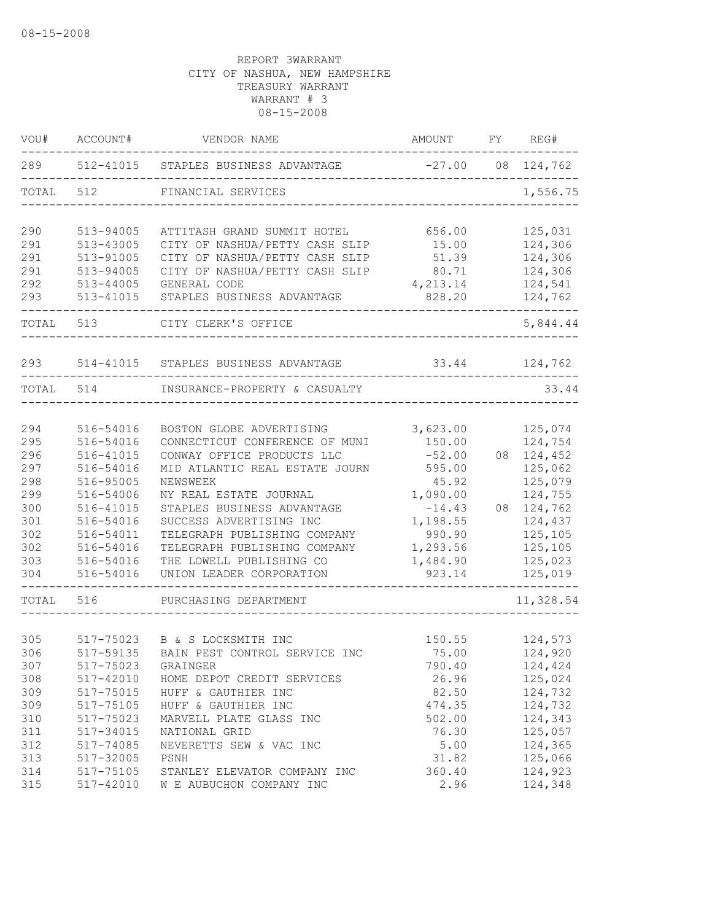| VOU#  | ACCOUNT#  | VENDOR NAME                          | AMOUNT   | FY | REG#       |
|-------|-----------|--------------------------------------|----------|----|------------|
| 289   |           | 512-41015 STAPLES BUSINESS ADVANTAGE | $-27.00$ |    | 08 124,762 |
| TOTAL | 512       | FINANCIAL SERVICES                   |          |    | 1,556.75   |
| 290   | 513-94005 | ATTITASH GRAND SUMMIT HOTEL          | 656.00   |    | 125,031    |
| 291   | 513-43005 | CITY OF NASHUA/PETTY CASH SLIP       | 15.00    |    | 124,306    |
| 291   | 513-91005 | CITY OF NASHUA/PETTY CASH SLIP       | 51.39    |    | 124,306    |
| 291   | 513-94005 | CITY OF NASHUA/PETTY CASH SLIP       | 80.71    |    | 124,306    |
| 292   | 513-44005 | GENERAL CODE                         | 4,213.14 |    | 124,541    |
| 293   | 513-41015 | STAPLES BUSINESS ADVANTAGE           | 828.20   |    | 124,762    |
| TOTAL | 513       | CITY CLERK'S OFFICE                  |          |    | 5,844.44   |
| 293   | 514-41015 | STAPLES BUSINESS ADVANTAGE           | 33.44    |    | 124,762    |
| TOTAL | 514       | INSURANCE-PROPERTY & CASUALTY        |          |    | 33.44      |
|       |           |                                      |          |    |            |
| 294   | 516-54016 | BOSTON GLOBE ADVERTISING             | 3,623.00 |    | 125,074    |
| 295   | 516-54016 | CONNECTICUT CONFERENCE OF MUNI       | 150.00   |    | 124,754    |
| 296   | 516-41015 | CONWAY OFFICE PRODUCTS LLC           | $-52.00$ | 08 | 124,452    |
| 297   | 516-54016 | MID ATLANTIC REAL ESTATE JOURN       | 595.00   |    | 125,062    |
| 298   | 516-95005 | NEWSWEEK                             | 45.92    |    | 125,079    |
| 299   | 516-54006 | NY REAL ESTATE JOURNAL               | 1,090.00 |    | 124,755    |
| 300   | 516-41015 | STAPLES BUSINESS ADVANTAGE           | $-14.43$ | 08 | 124,762    |
| 301   | 516-54016 | SUCCESS ADVERTISING INC              | 1,198.55 |    | 124,437    |
| 302   | 516-54011 | TELEGRAPH PUBLISHING COMPANY         | 990.90   |    | 125,105    |
| 302   | 516-54016 | TELEGRAPH PUBLISHING COMPANY         | 1,293.56 |    | 125,105    |
| 303   | 516-54016 | THE LOWELL PUBLISHING CO             | 1,484.90 |    | 125,023    |
| 304   | 516-54016 | UNION LEADER CORPORATION             | 923.14   |    | 125,019    |
| TOTAL | 516       | PURCHASING DEPARTMENT                |          |    | 11,328.54  |
|       |           |                                      |          |    |            |
| 305   | 517-75023 | B & S LOCKSMITH INC                  | 150.55   |    | 124,573    |
| 306   | 517-59135 | BAIN PEST CONTROL SERVICE INC        | 75.00    |    | 124,920    |
| 307   | 517-75023 | GRAINGER                             | 790.40   |    | 124,424    |
| 308   | 517-42010 | HOME DEPOT CREDIT SERVICES           | 26.96    |    | 125,024    |
| 309   | 517-75015 | HUFF & GAUTHIER INC                  | 82.50    |    | 124,732    |
| 309   | 517-75105 | HUFF & GAUTHIER INC                  | 474.35   |    | 124,732    |
| 310   | 517-75023 | MARVELL PLATE GLASS INC              | 502.00   |    | 124,343    |
| 311   | 517-34015 | NATIONAL GRID                        | 76.30    |    | 125,057    |
| 312   | 517-74085 | NEVERETTS SEW & VAC INC              | 5.00     |    | 124,365    |
| 313   | 517-32005 | PSNH                                 | 31.82    |    | 125,066    |
| 314   | 517-75105 | STANLEY ELEVATOR COMPANY INC         | 360.40   |    | 124,923    |
| 315   | 517-42010 | W E AUBUCHON COMPANY INC             | 2.96     |    | 124,348    |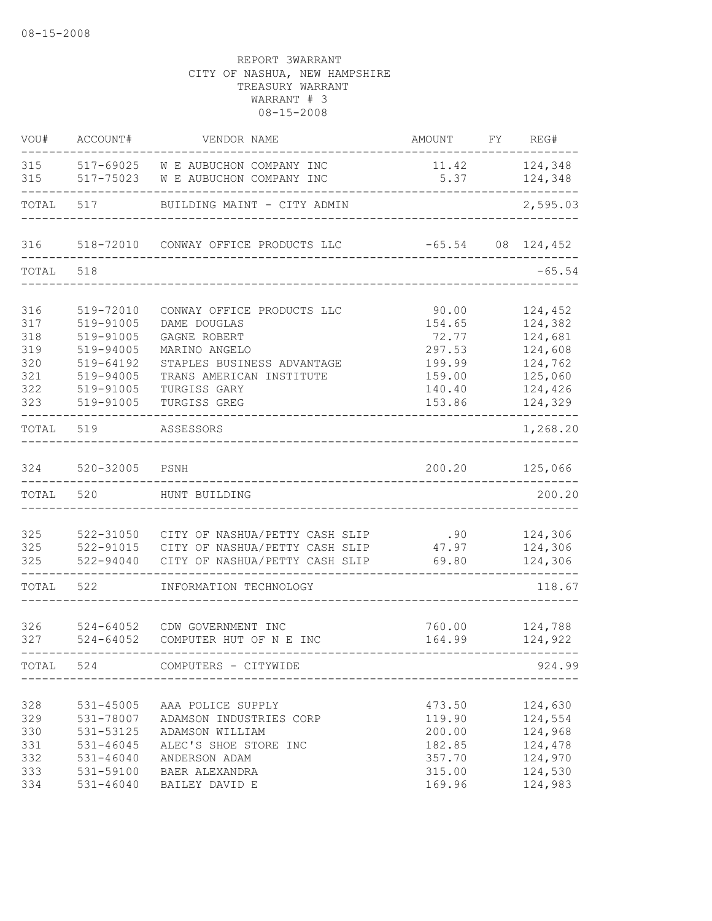| WOU#                                          | ACCOUNT#                                                                                | VENDOR NAME                                                                                                                                   | AMOUNT                                                             | FY | REG#                                                                      |
|-----------------------------------------------|-----------------------------------------------------------------------------------------|-----------------------------------------------------------------------------------------------------------------------------------------------|--------------------------------------------------------------------|----|---------------------------------------------------------------------------|
| 315<br>315                                    | 517-75023                                                                               | 517-69025 W E AUBUCHON COMPANY INC<br>W E AUBUCHON COMPANY INC                                                                                | 11.42<br>5.37                                                      |    | 124,348<br>124,348                                                        |
| TOTAL                                         | 517                                                                                     | BUILDING MAINT - CITY ADMIN                                                                                                                   |                                                                    |    | 2,595.03                                                                  |
| 316                                           |                                                                                         | 518-72010 CONWAY OFFICE PRODUCTS LLC                                                                                                          | $-65.54$                                                           |    | 08 124,452                                                                |
| TOTAL                                         | 518                                                                                     |                                                                                                                                               |                                                                    |    | $-65.54$                                                                  |
| 316<br>317<br>318                             | 519-72010<br>519-91005<br>519-91005                                                     | CONWAY OFFICE PRODUCTS LLC<br>DAME DOUGLAS<br>GAGNE ROBERT                                                                                    | 90.00<br>154.65<br>72.77                                           |    | 124,452<br>124,382<br>124,681                                             |
| 319<br>320<br>321<br>322                      | 519-94005<br>519-64192<br>519-94005<br>519-91005                                        | MARINO ANGELO<br>STAPLES BUSINESS ADVANTAGE<br>TRANS AMERICAN INSTITUTE<br>TURGISS GARY                                                       | 297.53<br>199.99<br>159.00<br>140.40                               |    | 124,608<br>124,762<br>125,060<br>124,426                                  |
| 323<br>TOTAL                                  | 519-91005<br>519                                                                        | TURGISS GREG<br>ASSESSORS                                                                                                                     | 153.86                                                             |    | 124,329<br>1,268.20                                                       |
| 324                                           | 520-32005                                                                               | PSNH                                                                                                                                          | 200.20                                                             |    | 125,066                                                                   |
| TOTAL                                         | 520                                                                                     | HUNT BUILDING                                                                                                                                 |                                                                    |    | 200.20                                                                    |
| 325<br>325<br>325                             | 522-31050<br>522-91015<br>522-94040                                                     | CITY OF NASHUA/PETTY CASH SLIP .90<br>CITY OF NASHUA/PETTY CASH SLIP<br>CITY OF NASHUA/PETTY CASH SLIP                                        | 47.97<br>69.80                                                     |    | 124,306<br>124,306<br>124,306                                             |
| TOTAL                                         | 522                                                                                     | INFORMATION TECHNOLOGY                                                                                                                        |                                                                    |    | 118.67                                                                    |
| 326<br>327                                    | $524 - 64052$<br>$524 - 64052$                                                          | CDW GOVERNMENT INC<br>COMPUTER HUT OF N E INC                                                                                                 | 760.00<br>164.99                                                   |    | 124,788<br>124,922                                                        |
| TOTAL                                         | 524                                                                                     | COMPUTERS - CITYWIDE                                                                                                                          |                                                                    |    | 924.99                                                                    |
| 328<br>329<br>330<br>331<br>332<br>333<br>334 | 531-45005<br>531-78007<br>531-53125<br>531-46045<br>531-46040<br>531-59100<br>531-46040 | AAA POLICE SUPPLY<br>ADAMSON INDUSTRIES CORP<br>ADAMSON WILLIAM<br>ALEC'S SHOE STORE INC<br>ANDERSON ADAM<br>BAER ALEXANDRA<br>BAILEY DAVID E | 473.50<br>119.90<br>200.00<br>182.85<br>357.70<br>315.00<br>169.96 |    | 124,630<br>124,554<br>124,968<br>124,478<br>124,970<br>124,530<br>124,983 |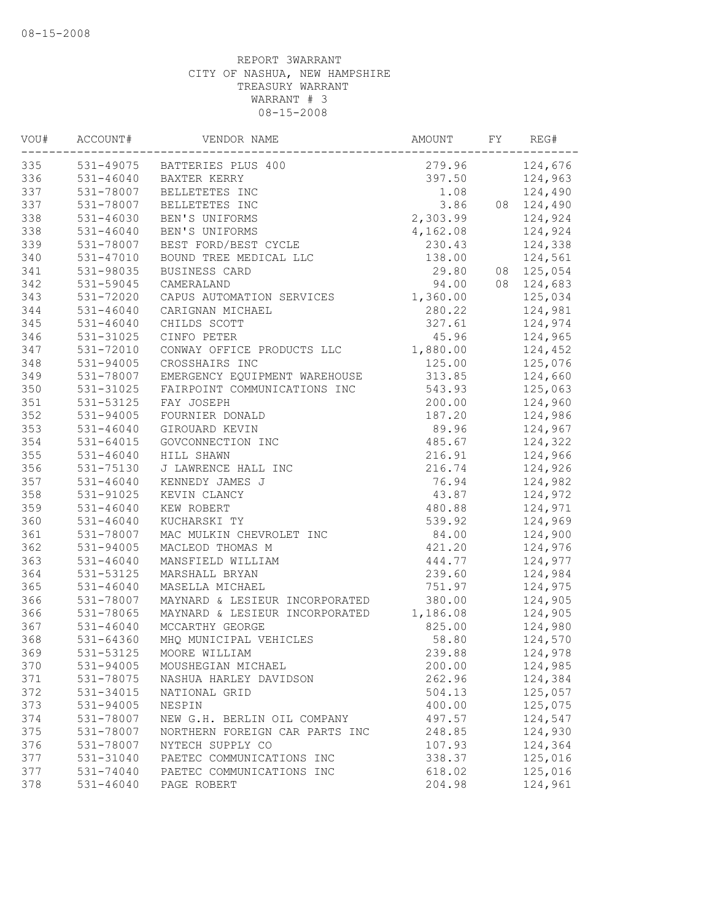| VOU# | ACCOUNT#      | VENDOR NAME                    | AMOUNT   | FY | REG#       |
|------|---------------|--------------------------------|----------|----|------------|
| 335  |               | 531-49075 BATTERIES PLUS 400   | 279.96   |    | 124,676    |
| 336  | 531-46040     | BAXTER KERRY                   | 397.50   |    | 124,963    |
| 337  | 531-78007     | BELLETETES INC                 | 1.08     |    | 124,490    |
| 337  | 531-78007     | BELLETETES INC                 | 3.86     |    | 08 124,490 |
| 338  | 531-46030     | BEN'S UNIFORMS                 | 2,303.99 |    | 124,924    |
| 338  | $531 - 46040$ | BEN'S UNIFORMS                 | 4,162.08 |    | 124,924    |
| 339  | 531-78007     | BEST FORD/BEST CYCLE           | 230.43   |    | 124,338    |
| 340  | 531-47010     | BOUND TREE MEDICAL LLC         | 138.00   |    | 124,561    |
| 341  | 531-98035     | BUSINESS CARD                  | 29.80    |    | 08 125,054 |
| 342  | 531-59045     | CAMERALAND                     | 94.00    |    | 08 124,683 |
| 343  | 531-72020     | CAPUS AUTOMATION SERVICES      | 1,360.00 |    | 125,034    |
| 344  | $531 - 46040$ | CARIGNAN MICHAEL               | 280.22   |    | 124,981    |
| 345  | $531 - 46040$ | CHILDS SCOTT                   | 327.61   |    | 124,974    |
| 346  | 531-31025     | CINFO PETER                    | 45.96    |    | 124,965    |
| 347  | 531-72010     | CONWAY OFFICE PRODUCTS LLC     | 1,880.00 |    | 124,452    |
| 348  | 531-94005     | CROSSHAIRS INC                 | 125.00   |    | 125,076    |
| 349  | 531-78007     | EMERGENCY EQUIPMENT WAREHOUSE  | 313.85   |    | 124,660    |
| 350  | 531-31025     | FAIRPOINT COMMUNICATIONS INC   | 543.93   |    | 125,063    |
| 351  | 531-53125     | FAY JOSEPH                     | 200.00   |    | 124,960    |
| 352  | 531-94005     | FOURNIER DONALD                | 187.20   |    | 124,986    |
| 353  | $531 - 46040$ | GIROUARD KEVIN                 | 89.96    |    | 124,967    |
| 354  | $531 - 64015$ | GOVCONNECTION INC              | 485.67   |    | 124,322    |
| 355  | $531 - 46040$ | HILL SHAWN                     | 216.91   |    | 124,966    |
| 356  | 531-75130     | J LAWRENCE HALL INC            | 216.74   |    | 124,926    |
| 357  | $531 - 46040$ | KENNEDY JAMES J                | 76.94    |    | 124,982    |
| 358  | 531-91025     | KEVIN CLANCY                   | 43.87    |    | 124,972    |
| 359  | $531 - 46040$ | KEW ROBERT                     | 480.88   |    | 124,971    |
| 360  | $531 - 46040$ | KUCHARSKI TY                   | 539.92   |    | 124,969    |
| 361  | 531-78007     | MAC MULKIN CHEVROLET INC       | 84.00    |    | 124,900    |
| 362  | 531-94005     | MACLEOD THOMAS M               | 421.20   |    | 124,976    |
| 363  | $531 - 46040$ | MANSFIELD WILLIAM              | 444.77   |    | 124,977    |
| 364  | 531-53125     | MARSHALL BRYAN                 | 239.60   |    | 124,984    |
| 365  | $531 - 46040$ | MASELLA MICHAEL                | 751.97   |    | 124,975    |
| 366  | 531-78007     | MAYNARD & LESIEUR INCORPORATED | 380.00   |    | 124,905    |
| 366  | 531-78065     | MAYNARD & LESIEUR INCORPORATED | 1,186.08 |    | 124,905    |
| 367  | $531 - 46040$ | MCCARTHY GEORGE                | 825.00   |    | 124,980    |
| 368  | 531-64360     | MHQ MUNICIPAL VEHICLES         | 58.80    |    | 124,570    |
| 369  | 531-53125     | MOORE WILLIAM                  | 239.88   |    | 124,978    |
| 370  | 531-94005     | MOUSHEGIAN MICHAEL             | 200.00   |    | 124,985    |
| 371  | 531-78075     | NASHUA HARLEY DAVIDSON         | 262.96   |    | 124,384    |
| 372  | 531-34015     | NATIONAL GRID                  | 504.13   |    | 125,057    |
| 373  | 531-94005     | NESPIN                         | 400.00   |    | 125,075    |
| 374  | 531-78007     | NEW G.H. BERLIN OIL COMPANY    | 497.57   |    | 124,547    |
| 375  | 531-78007     | NORTHERN FOREIGN CAR PARTS INC | 248.85   |    | 124,930    |
| 376  | 531-78007     | NYTECH SUPPLY CO               | 107.93   |    | 124,364    |
| 377  | 531-31040     | PAETEC COMMUNICATIONS INC      | 338.37   |    | 125,016    |
| 377  | 531-74040     | PAETEC COMMUNICATIONS INC      | 618.02   |    | 125,016    |
| 378  | $531 - 46040$ | PAGE ROBERT                    | 204.98   |    | 124,961    |
|      |               |                                |          |    |            |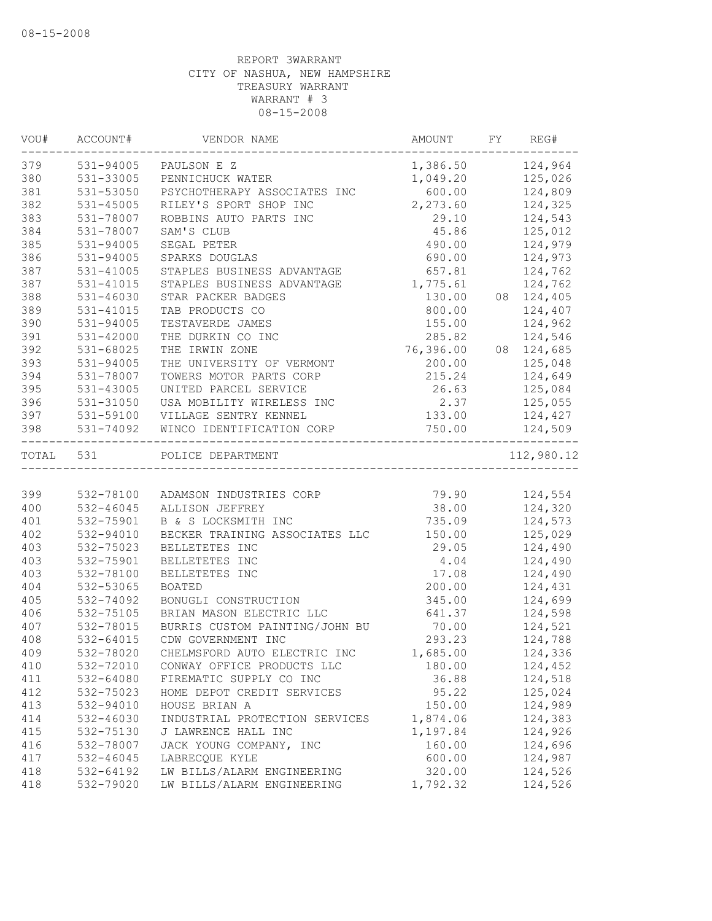| VOU# | ACCOUNT#      | VENDOR NAME                    | AMOUNT           | FY | REG#       |
|------|---------------|--------------------------------|------------------|----|------------|
| 379  | 531-94005     | PAULSON E Z                    | 1,386.50 124,964 |    |            |
| 380  | 531-33005     | PENNICHUCK WATER               | 1,049.20         |    | 125,026    |
| 381  | 531-53050     | PSYCHOTHERAPY ASSOCIATES INC   | 600.00           |    | 124,809    |
| 382  | 531-45005     | RILEY'S SPORT SHOP INC         | 2,273.60         |    | 124,325    |
| 383  | 531-78007     | ROBBINS AUTO PARTS INC         | 29.10            |    | 124,543    |
| 384  | 531-78007     | SAM'S CLUB                     | 45.86            |    | 125,012    |
| 385  | 531-94005     | SEGAL PETER                    | 490.00           |    | 124,979    |
| 386  | 531-94005     | SPARKS DOUGLAS                 | 690.00           |    | 124,973    |
| 387  | 531-41005     | STAPLES BUSINESS ADVANTAGE     | 657.81           |    | 124,762    |
| 387  | 531-41015     | STAPLES BUSINESS ADVANTAGE     | 1,775.61         |    | 124,762    |
| 388  | 531-46030     | STAR PACKER BADGES             | 130.00           |    | 08 124,405 |
| 389  | 531-41015     | TAB PRODUCTS CO                | 800.00           |    | 124,407    |
| 390  | $531 - 94005$ | TESTAVERDE JAMES               | 155.00           |    | 124,962    |
| 391  | 531-42000     | THE DURKIN CO INC              | 285.82           |    | 124,546    |
| 392  | 531-68025     | THE IRWIN ZONE                 | 76,396.00        |    | 08 124,685 |
| 393  | 531-94005     | THE UNIVERSITY OF VERMONT      | 200.00           |    | 125,048    |
| 394  | 531-78007     | TOWERS MOTOR PARTS CORP        | 215.24           |    | 124,649    |
| 395  | 531-43005     | UNITED PARCEL SERVICE          | 26.63            |    | 125,084    |
| 396  | 531-31050     | USA MOBILITY WIRELESS INC      | 2.37             |    | 125,055    |
| 397  | 531-59100     | VILLAGE SENTRY KENNEL          | 133.00           |    | 124,427    |
| 398  | 531-74092     | WINCO IDENTIFICATION CORP      | 750.00           |    | 124,509    |
|      | TOTAL 531     | POLICE DEPARTMENT              |                  |    | 112,980.12 |
|      |               |                                |                  |    |            |
| 399  | 532-78100     | ADAMSON INDUSTRIES CORP        | 79.90            |    | 124,554    |
| 400  | 532-46045     | ALLISON JEFFREY                | 38.00            |    | 124,320    |
| 401  | 532-75901     | B & S LOCKSMITH INC            | 735.09           |    | 124,573    |
| 402  | 532-94010     | BECKER TRAINING ASSOCIATES LLC | 150.00           |    | 125,029    |
| 403  | 532-75023     | BELLETETES INC                 | 29.05            |    | 124,490    |
| 403  | 532-75901     | BELLETETES INC                 | 4.04             |    | 124,490    |
| 403  | 532-78100     | BELLETETES INC                 | 17.08            |    | 124,490    |
| 404  | 532-53065     | <b>BOATED</b>                  | 200.00           |    | 124,431    |
| 405  | 532-74092     | BONUGLI CONSTRUCTION           | 345.00           |    | 124,699    |
| 406  | 532-75105     | BRIAN MASON ELECTRIC LLC       | 641.37           |    | 124,598    |
| 407  | 532-78015     | BURRIS CUSTOM PAINTING/JOHN BU | 70.00            |    | 124,521    |
| 408  | 532-64015     | CDW GOVERNMENT INC             | 293.23           |    | 124,788    |
| 409  | 532-78020     | CHELMSFORD AUTO ELECTRIC INC   | 1,685.00         |    | 124,336    |
| 410  | 532-72010     | CONWAY OFFICE PRODUCTS LLC     | 180.00           |    | 124,452    |
| 411  | 532-64080     | FIREMATIC SUPPLY CO INC        | 36.88            |    | 124,518    |
| 412  | 532-75023     | HOME DEPOT CREDIT SERVICES     | 95.22            |    | 125,024    |
| 413  | 532-94010     | HOUSE BRIAN A                  | 150.00           |    | 124,989    |
| 414  | 532-46030     | INDUSTRIAL PROTECTION SERVICES | 1,874.06         |    | 124,383    |
| 415  | 532-75130     | J LAWRENCE HALL INC            | 1,197.84         |    | 124,926    |
| 416  | 532-78007     | JACK YOUNG COMPANY, INC        | 160.00           |    | 124,696    |
| 417  | 532-46045     | LABRECQUE KYLE                 | 600.00           |    | 124,987    |
| 418  | 532-64192     | LW BILLS/ALARM ENGINEERING     | 320.00           |    | 124,526    |
| 418  | 532-79020     | LW BILLS/ALARM ENGINEERING     | 1,792.32         |    | 124,526    |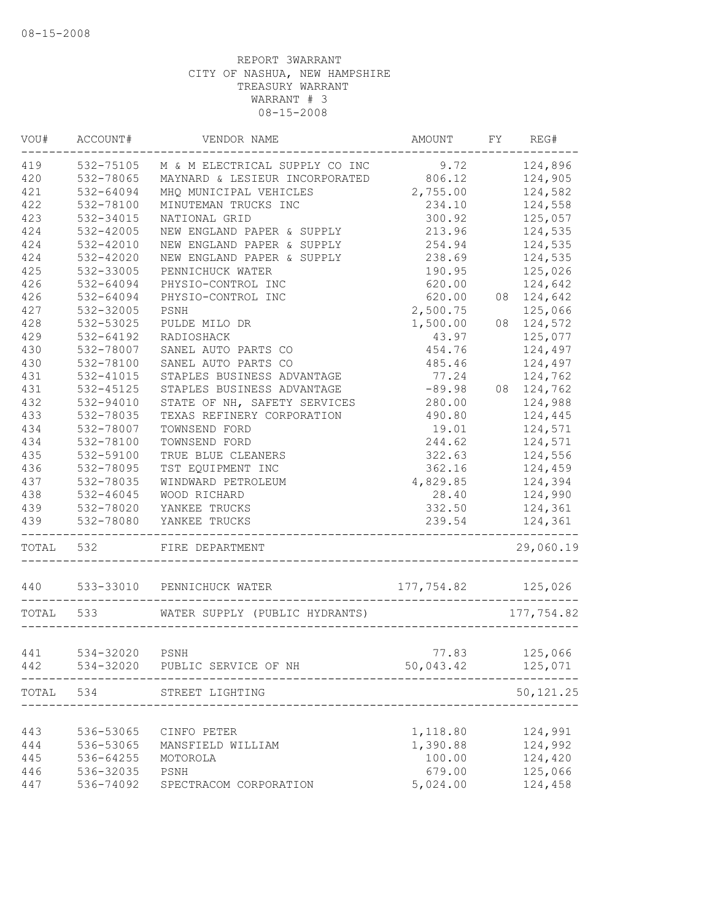| VOU#  | ACCOUNT#       | VENDOR NAME                           | AMOUNT FY REG#       |            |
|-------|----------------|---------------------------------------|----------------------|------------|
| 419   | 532-75105      | M & M ELECTRICAL SUPPLY CO INC 9.72   |                      | 124,896    |
| 420   | 532-78065      | MAYNARD & LESIEUR INCORPORATED 806.12 |                      | 124,905    |
| 421   | 532-64094      | MHQ MUNICIPAL VEHICLES                | 2,755.00             | 124,582    |
| 422   | 532-78100      | MINUTEMAN TRUCKS INC                  | 234.10               | 124,558    |
| 423   | 532-34015      | NATIONAL GRID                         | 300.92               | 125,057    |
| 424   | 532-42005      | NEW ENGLAND PAPER & SUPPLY            | 213.96               | 124,535    |
| 424   | 532-42010      | NEW ENGLAND PAPER & SUPPLY            | 254.94               | 124,535    |
| 424   | 532-42020      | NEW ENGLAND PAPER & SUPPLY            | 238.69               | 124,535    |
| 425   | 532-33005      | PENNICHUCK WATER                      | 190.95               | 125,026    |
| 426   | 532-64094      | PHYSIO-CONTROL INC                    | 620.00               | 124,642    |
| 426   | 532-64094      | PHYSIO-CONTROL INC                    | 620.00               | 08 124,642 |
| 427   | 532-32005      | PSNH                                  | 2,500.75             | 125,066    |
| 428   | 532-53025      | PULDE MILO DR                         | 1,500.00             | 08 124,572 |
| 429   | 532-64192      | RADIOSHACK                            | 43.97                | 125,077    |
| 430   | 532-78007      | SANEL AUTO PARTS CO                   | 454.76               | 124,497    |
| 430   | 532-78100      | SANEL AUTO PARTS CO                   | 485.46               | 124,497    |
| 431   | 532-41015      | STAPLES BUSINESS ADVANTAGE            | 77.24                | 124,762    |
| 431   | 532-45125      | STAPLES BUSINESS ADVANTAGE            | $-89.98$             | 08 124,762 |
| 432   | 532-94010      | STATE OF NH, SAFETY SERVICES          | 280.00               | 124,988    |
| 433   | 532-78035      | TEXAS REFINERY CORPORATION            | 490.80               | 124,445    |
| 434   | 532-78007      | TOWNSEND FORD                         | 19.01                | 124,571    |
| 434   | 532-78100      | TOWNSEND FORD                         | 244.62               | 124,571    |
| 435   | 532-59100      | TRUE BLUE CLEANERS                    | 322.63               | 124,556    |
| 436   | 532-78095      | TST EQUIPMENT INC                     | 362.16               | 124,459    |
| 437   | 532-78035      | WINDWARD PETROLEUM                    | 4,829.85             | 124,394    |
| 438   | 532-46045      | WOOD RICHARD                          | 28.40                | 124,990    |
| 439   | 532-78020      | YANKEE TRUCKS                         | 332.50               | 124,361    |
| 439   | 532-78080      | YANKEE TRUCKS                         | 239.54               | 124,361    |
| TOTAL | 532            | FIRE DEPARTMENT                       |                      | 29,060.19  |
|       |                | 440 533-33010 PENNICHUCK WATER        | $177,754.82$ 125,026 |            |
|       | TOTAL 533      | WATER SUPPLY (PUBLIC HYDRANTS)        |                      | 177,754.82 |
|       |                |                                       |                      |            |
| 441   | 534-32020 PSNH |                                       | 77.83                | 125,066    |
| 442   |                | 534-32020 PUBLIC SERVICE OF NH        | 50,043.42            | 125,071    |
| TOTAL | 534            | STREET LIGHTING                       |                      | 50, 121.25 |
|       |                |                                       |                      |            |
| 443   | 536-53065      | CINFO PETER                           | 1,118.80             | 124,991    |
| 444   | 536-53065      | MANSFIELD WILLIAM                     | 1,390.88             | 124,992    |
| 445   | 536-64255      | MOTOROLA                              | 100.00               | 124,420    |
| 446   | 536-32035      | PSNH                                  | 679.00               | 125,066    |
| 447   | 536-74092      | SPECTRACOM CORPORATION                | 5,024.00             | 124,458    |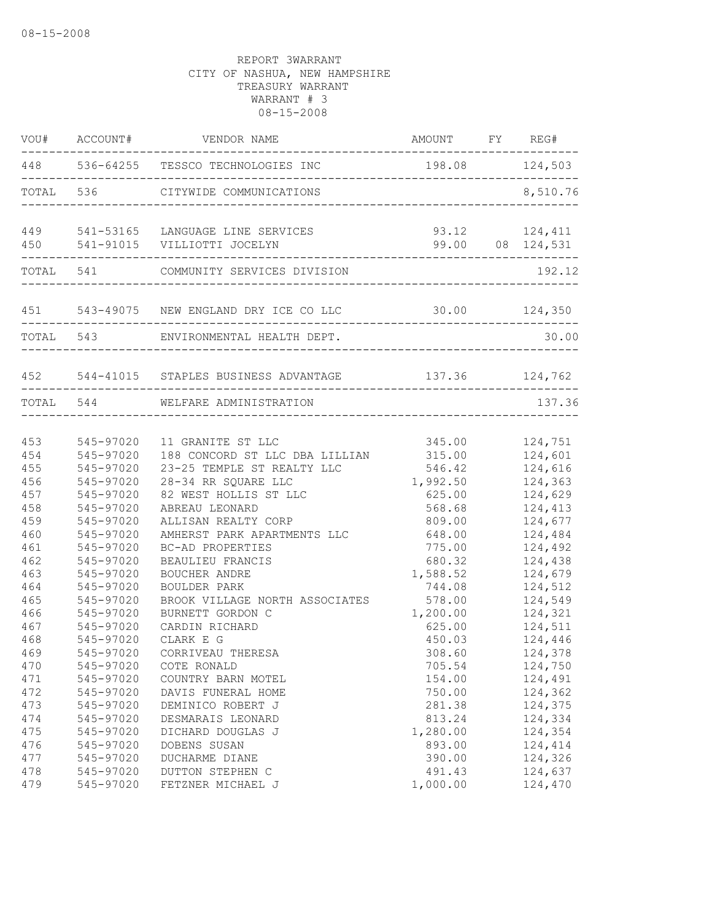|                          |                                                  | AMOUNT FY REG#<br>VOU# ACCOUNT# VENDOR NAME                                                                             |                                        |                                          |
|--------------------------|--------------------------------------------------|-------------------------------------------------------------------------------------------------------------------------|----------------------------------------|------------------------------------------|
|                          |                                                  | 448 536-64255 TESSCO TECHNOLOGIES INC 198.08 124,503                                                                    |                                        |                                          |
|                          |                                                  | TOTAL 536 CITYWIDE COMMUNICATIONS                                                                                       | ______________________________________ | 8,510.76                                 |
|                          |                                                  | 449 541-53165 LANGUAGE LINE SERVICES<br>450 541-91015 VILLIOTTI JOCELYN                                                 |                                        | 93.12 124,411<br>99.00 08 124,531        |
|                          |                                                  | TOTAL 541 COMMUNITY SERVICES DIVISION                                                                                   |                                        | 192.12                                   |
|                          |                                                  | 451 543-49075 NEW ENGLAND DRY ICE CO LLC 30.00 124,350                                                                  |                                        |                                          |
|                          |                                                  | TOTAL 543 ENVIRONMENTAL HEALTH DEPT.                                                                                    |                                        | 30.00                                    |
|                          |                                                  | 452 544-41015 STAPLES BUSINESS ADVANTAGE 137.36 124,762                                                                 |                                        |                                          |
|                          | TOTAL 544                                        | WELFARE ADMINISTRATION                                                                                                  |                                        | 137.36                                   |
| 453<br>454<br>455<br>456 | 545-97020<br>545-97020<br>545-97020<br>545-97020 | 11 GRANITE ST LLC<br>188 CONCORD ST LLC DBA LILLIAN 315.00 124,601<br>23-25 TEMPLE ST REALTY LLC<br>28-34 RR SQUARE LLC | 345.00 124,751<br>546.42<br>1,992.50   | 124,616<br>124,363                       |
| 457<br>458<br>459        | 545-97020<br>545-97020<br>545-97020              | 82 WEST HOLLIS ST LLC<br>ABREAU LEONARD<br>ALLISAN REALTY CORP                                                          | 625.00<br>568.68<br>809.00             | 124,629<br>124,413<br>124,677            |
| 460<br>461<br>462<br>463 | 545-97020<br>545-97020<br>545-97020<br>545-97020 | AMHERST PARK APARTMENTS LLC<br>BC-AD PROPERTIES<br>BEAULIEU FRANCIS<br>BOUCHER ANDRE                                    | 648.00<br>775.00<br>680.32<br>1,588.52 | 124,484<br>124,492<br>124,438<br>124,679 |
| 464<br>465<br>466<br>467 | 545-97020<br>545-97020<br>545-97020<br>545-97020 | BOULDER PARK<br>BROOK VILLAGE NORTH ASSOCIATES<br>BURNETT GORDON C<br>CARDIN RICHARD                                    | 744.08<br>578.00<br>1,200.00<br>625.00 | 124,512<br>124,549<br>124,321<br>124,511 |
| 468<br>469<br>470<br>471 | 545-97020<br>545-97020<br>545-97020<br>545-97020 | CLARK E G<br>CORRIVEAU THERESA<br>COTE RONALD<br>COUNTRY BARN MOTEL                                                     | 450.03<br>308.60<br>705.54<br>154.00   | 124,446<br>124,378<br>124,750<br>124,491 |
| 472<br>473<br>474        | 545-97020<br>545-97020<br>545-97020              | DAVIS FUNERAL HOME<br>DEMINICO ROBERT J<br>DESMARAIS LEONARD                                                            | 750.00<br>281.38<br>813.24             | 124,362<br>124,375<br>124,334            |
| 475<br>476<br>477<br>478 | 545-97020<br>545-97020<br>545-97020<br>545-97020 | DICHARD DOUGLAS J<br>DOBENS SUSAN<br>DUCHARME DIANE<br>DUTTON STEPHEN C                                                 | 1,280.00<br>893.00<br>390.00<br>491.43 | 124,354<br>124,414<br>124,326<br>124,637 |
| 479                      | 545-97020                                        | FETZNER MICHAEL J                                                                                                       | 1,000.00                               | 124,470                                  |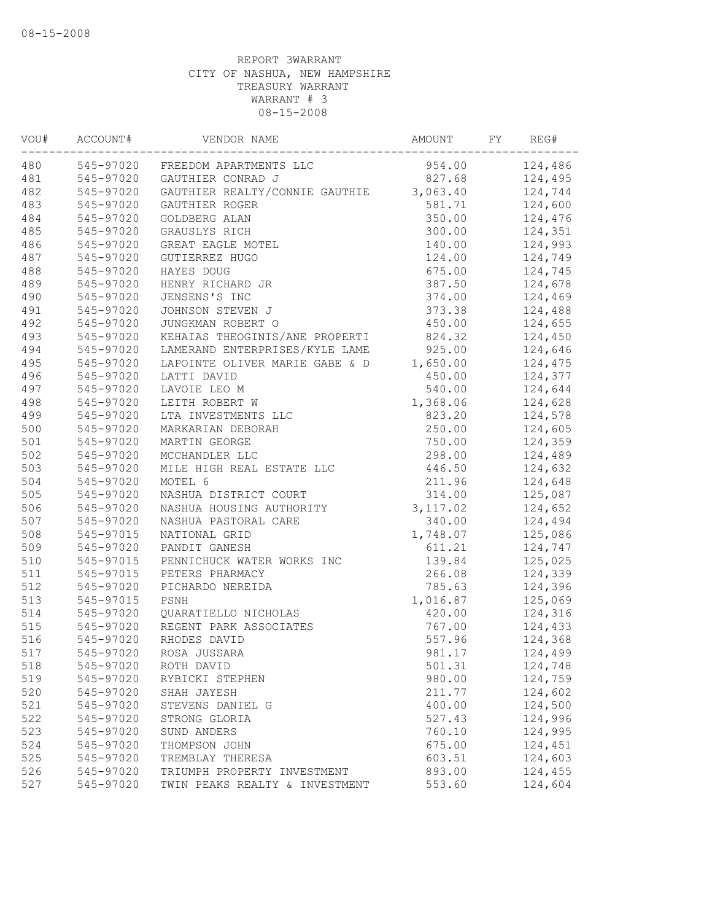| VOU# | ACCOUNT#  | VENDOR NAME                             | AMOUNT    | FY | REG#    |
|------|-----------|-----------------------------------------|-----------|----|---------|
| 480  |           | 545-97020 FREEDOM APARTMENTS LLC        | 954.00    |    | 124,486 |
| 481  | 545-97020 | GAUTHIER CONRAD J                       | 827.68    |    | 124,495 |
| 482  | 545-97020 | GAUTHIER REALTY/CONNIE GAUTHIE 3,063.40 |           |    | 124,744 |
| 483  | 545-97020 | GAUTHIER ROGER                          | 581.71    |    | 124,600 |
| 484  | 545-97020 | GOLDBERG ALAN                           | 350.00    |    | 124,476 |
| 485  | 545-97020 | GRAUSLYS RICH                           | 300.00    |    | 124,351 |
| 486  | 545-97020 | GREAT EAGLE MOTEL                       | 140.00    |    | 124,993 |
| 487  | 545-97020 | GUTIERREZ HUGO                          | 124.00    |    | 124,749 |
| 488  | 545-97020 | HAYES DOUG                              | 675.00    |    | 124,745 |
| 489  | 545-97020 | HENRY RICHARD JR                        | 387.50    |    | 124,678 |
| 490  | 545-97020 | JENSENS'S INC                           | 374.00    |    | 124,469 |
| 491  | 545-97020 | JOHNSON STEVEN J                        | 373.38    |    | 124,488 |
| 492  | 545-97020 | JUNGKMAN ROBERT O                       | 450.00    |    | 124,655 |
| 493  | 545-97020 | KEHAIAS THEOGINIS/ANE PROPERTI          | 824.32    |    | 124,450 |
| 494  | 545-97020 | LAMERAND ENTERPRISES/KYLE LAME          | 925.00    |    | 124,646 |
| 495  | 545-97020 | LAPOINTE OLIVER MARIE GABE & D          | 1,650.00  |    | 124,475 |
| 496  | 545-97020 | LATTI DAVID                             | 450.00    |    | 124,377 |
| 497  | 545-97020 | LAVOIE LEO M                            | 540.00    |    | 124,644 |
| 498  | 545-97020 | LEITH ROBERT W                          | 1,368.06  |    | 124,628 |
| 499  | 545-97020 | LTA INVESTMENTS LLC                     | 823.20    |    | 124,578 |
| 500  | 545-97020 | MARKARIAN DEBORAH                       | 250.00    |    | 124,605 |
| 501  | 545-97020 | MARTIN GEORGE                           | 750.00    |    | 124,359 |
| 502  | 545-97020 | MCCHANDLER LLC                          | 298.00    |    | 124,489 |
| 503  | 545-97020 | MILE HIGH REAL ESTATE LLC               | 446.50    |    | 124,632 |
| 504  | 545-97020 | MOTEL 6                                 | 211.96    |    | 124,648 |
| 505  | 545-97020 | NASHUA DISTRICT COURT                   | 314.00    |    | 125,087 |
| 506  | 545-97020 | NASHUA HOUSING AUTHORITY                | 3, 117.02 |    | 124,652 |
| 507  | 545-97020 | NASHUA PASTORAL CARE                    | 340.00    |    | 124,494 |
| 508  | 545-97015 | NATIONAL GRID                           | 1,748.07  |    | 125,086 |
| 509  | 545-97020 | PANDIT GANESH                           | 611.21    |    | 124,747 |
| 510  | 545-97015 | PENNICHUCK WATER WORKS INC              | 139.84    |    | 125,025 |
| 511  | 545-97015 | PETERS PHARMACY                         | 266.08    |    | 124,339 |
| 512  | 545-97020 | PICHARDO NEREIDA                        | 785.63    |    | 124,396 |
| 513  | 545-97015 | PSNH                                    | 1,016.87  |    | 125,069 |
| 514  | 545-97020 | QUARATIELLO NICHOLAS                    | 420.00    |    | 124,316 |
| 515  | 545-97020 | REGENT PARK ASSOCIATES                  | 767.00    |    | 124,433 |
| 516  | 545-97020 | RHODES DAVID                            | 557.96    |    | 124,368 |
| 517  | 545-97020 | ROSA JUSSARA                            | 981.17    |    | 124,499 |
| 518  | 545-97020 | ROTH DAVID                              | 501.31    |    | 124,748 |
| 519  | 545-97020 | RYBICKI STEPHEN                         | 980.00    |    | 124,759 |
| 520  | 545-97020 | SHAH JAYESH                             | 211.77    |    | 124,602 |
| 521  | 545-97020 | STEVENS DANIEL G                        | 400.00    |    | 124,500 |
| 522  | 545-97020 | STRONG GLORIA                           | 527.43    |    | 124,996 |
| 523  | 545-97020 | SUND ANDERS                             | 760.10    |    | 124,995 |
| 524  | 545-97020 | THOMPSON JOHN                           | 675.00    |    | 124,451 |
| 525  | 545-97020 | TREMBLAY THERESA                        | 603.51    |    | 124,603 |
| 526  | 545-97020 | TRIUMPH PROPERTY INVESTMENT             | 893.00    |    | 124,455 |
| 527  | 545-97020 | TWIN PEAKS REALTY & INVESTMENT          | 553.60    |    | 124,604 |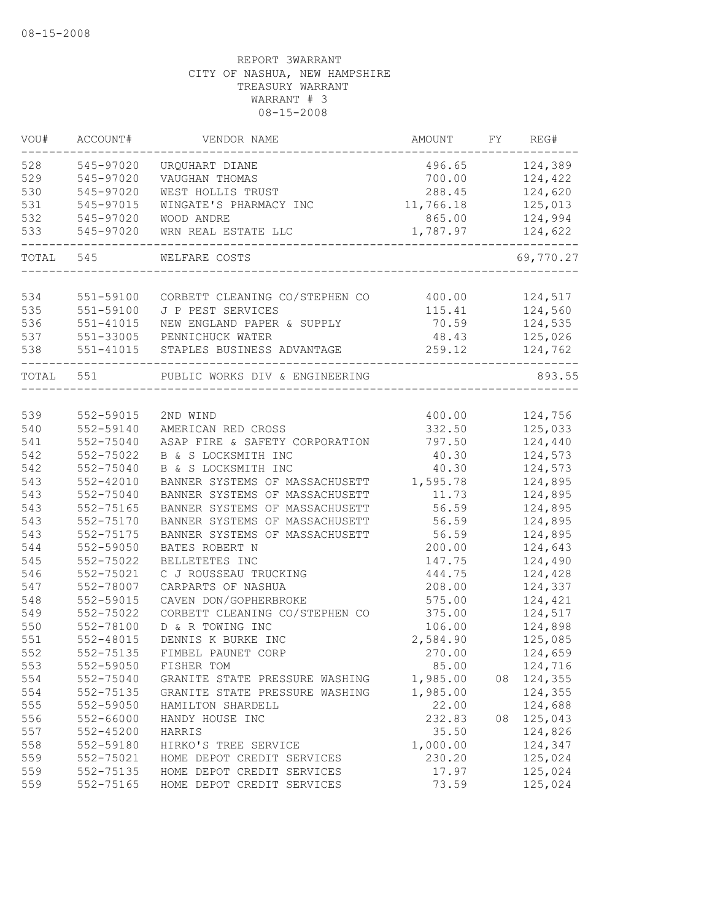| VOU#      | ACCOUNT#  | VENDOR NAME                                   | AMOUNT                  | FY | REG#      |
|-----------|-----------|-----------------------------------------------|-------------------------|----|-----------|
| 528       | 545-97020 | URQUHART DIANE                                | 496.65                  |    | 124,389   |
| 529       | 545-97020 | VAUGHAN THOMAS                                | 700.00                  |    | 124,422   |
| 530       | 545-97020 | WEST HOLLIS TRUST                             | 288.45                  |    | 124,620   |
| 531       | 545-97015 | WINGATE'S PHARMACY INC                        | 11,766.18               |    | 125,013   |
| 532       | 545-97020 | WOOD ANDRE                                    | 865.00                  |    | 124,994   |
| 533       | 545-97020 | WRN REAL ESTATE LLC                           | 1,787.97<br>----------- |    | 124,622   |
| TOTAL 545 |           | WELFARE COSTS                                 |                         |    | 69,770.27 |
|           |           |                                               |                         |    |           |
| 534       | 551-59100 | CORBETT CLEANING CO/STEPHEN CO 400.00 124,517 |                         |    |           |
| 535       | 551-59100 | J P PEST SERVICES                             | 115.41                  |    | 124,560   |
| 536       | 551-41015 | NEW ENGLAND PAPER & SUPPLY                    | 70.59                   |    | 124,535   |
| 537       | 551-33005 | PENNICHUCK WATER                              | 48.43                   |    | 125,026   |
| 538       | 551-41015 | STAPLES BUSINESS ADVANTAGE                    | 259.12                  |    | 124,762   |
| TOTAL 551 |           | PUBLIC WORKS DIV & ENGINEERING                |                         |    | 893.55    |
|           |           |                                               |                         |    |           |
| 539       | 552-59015 | 2ND WIND                                      | 400.00                  |    | 124,756   |
| 540       | 552-59140 | AMERICAN RED CROSS                            | 332.50                  |    | 125,033   |
| 541       | 552-75040 | ASAP FIRE & SAFETY CORPORATION                | 797.50                  |    | 124,440   |
| 542       | 552-75022 | B & S LOCKSMITH INC                           | 40.30                   |    | 124,573   |
| 542       | 552-75040 | B & S LOCKSMITH INC                           | 40.30                   |    | 124,573   |
| 543       | 552-42010 | BANNER SYSTEMS OF MASSACHUSETT                | 1,595.78                |    | 124,895   |
| 543       | 552-75040 | BANNER SYSTEMS OF MASSACHUSETT                | 11.73                   |    | 124,895   |
| 543       | 552-75165 | BANNER SYSTEMS OF MASSACHUSETT                | 56.59                   |    | 124,895   |
| 543       | 552-75170 | BANNER SYSTEMS OF MASSACHUSETT                | 56.59                   |    | 124,895   |
| 543       | 552-75175 | BANNER SYSTEMS OF MASSACHUSETT                | 56.59                   |    | 124,895   |
| 544       | 552-59050 | BATES ROBERT N                                | 200.00                  |    | 124,643   |
| 545       | 552-75022 | BELLETETES INC                                | 147.75                  |    | 124,490   |
| 546       | 552-75021 | C J ROUSSEAU TRUCKING                         | 444.75                  |    | 124,428   |
| 547       | 552-78007 | CARPARTS OF NASHUA                            | 208.00                  |    | 124,337   |
| 548       | 552-59015 | CAVEN DON/GOPHERBROKE                         | 575.00                  |    | 124,421   |
| 549       | 552-75022 | CORBETT CLEANING CO/STEPHEN CO                | 375.00                  |    | 124,517   |
| 550       | 552-78100 | D & R TOWING INC                              | 106.00                  |    | 124,898   |
| 551       | 552-48015 | DENNIS K BURKE INC                            | 2,584.90                |    | 125,085   |
| 552       | 552-75135 | FIMBEL PAUNET CORP                            | 270.00                  |    | 124,659   |
| 553       | 552-59050 | FISHER TOM                                    | 85.00                   |    | 124,716   |
| 554       | 552-75040 | GRANITE STATE PRESSURE WASHING                | 1,985.00                | 08 | 124,355   |
| 554       | 552-75135 | GRANITE STATE PRESSURE WASHING                | 1,985.00                |    | 124,355   |
| 555       | 552-59050 | HAMILTON SHARDELL                             | 22.00                   |    | 124,688   |
| 556       | 552-66000 | HANDY HOUSE INC                               | 232.83                  | 08 | 125,043   |
| 557       | 552-45200 | HARRIS                                        | 35.50                   |    | 124,826   |
| 558       | 552-59180 | HIRKO'S TREE SERVICE                          | 1,000.00                |    | 124,347   |
| 559       | 552-75021 | HOME DEPOT CREDIT SERVICES                    | 230.20                  |    | 125,024   |
| 559       | 552-75135 | HOME DEPOT CREDIT SERVICES                    | 17.97                   |    | 125,024   |
| 559       | 552-75165 | HOME DEPOT CREDIT SERVICES                    | 73.59                   |    | 125,024   |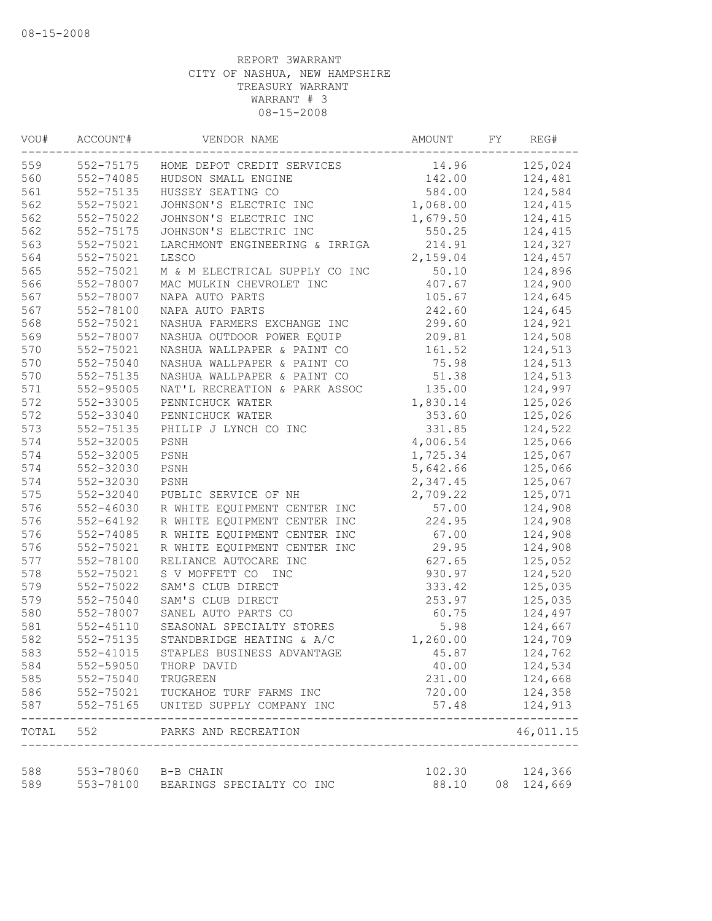| VOU#       | ACCOUNT#                         | VENDOR NAME                                                        | AMOUNT          | FY | REG#                  |
|------------|----------------------------------|--------------------------------------------------------------------|-----------------|----|-----------------------|
| 559        | 552-75175                        | HOME DEPOT CREDIT SERVICES                                         | 14.96           |    | 125,024               |
| 560        | 552-74085                        | HUDSON SMALL ENGINE                                                | 142.00          |    | 124,481               |
| 561        | 552-75135                        | HUSSEY SEATING CO                                                  | 584.00          |    | 124,584               |
| 562        | 552-75021                        | JOHNSON'S ELECTRIC INC                                             | 1,068.00        |    | 124,415               |
| 562        | 552-75022                        | JOHNSON'S ELECTRIC INC                                             | 1,679.50        |    | 124,415               |
| 562        | 552-75175                        | JOHNSON'S ELECTRIC INC                                             | 550.25          |    | 124,415               |
| 563        | 552-75021                        | LARCHMONT ENGINEERING & IRRIGA                                     | 214.91          |    | 124,327               |
| 564        | 552-75021                        | LESCO                                                              | 2,159.04        |    | 124,457               |
| 565        | 552-75021                        | M & M ELECTRICAL SUPPLY CO INC                                     | 50.10           |    | 124,896               |
| 566        | 552-78007                        | MAC MULKIN CHEVROLET INC                                           | 407.67          |    | 124,900               |
| 567        | 552-78007                        | NAPA AUTO PARTS                                                    | 105.67          |    | 124,645               |
| 567        | 552-78100                        | NAPA AUTO PARTS                                                    | 242.60          |    | 124,645               |
| 568        | 552-75021                        | NASHUA FARMERS EXCHANGE INC                                        | 299.60          |    | 124,921               |
| 569        | 552-78007                        | NASHUA OUTDOOR POWER EQUIP                                         | 209.81          |    | 124,508               |
| 570        | 552-75021                        | NASHUA WALLPAPER & PAINT CO                                        | 161.52          |    | 124,513               |
| 570        | 552-75040                        | NASHUA WALLPAPER & PAINT CO                                        | 75.98           |    | 124,513               |
| 570        | 552-75135                        | NASHUA WALLPAPER & PAINT CO                                        | 51.38           |    | 124,513               |
| 571        | 552-95005                        | NAT'L RECREATION & PARK ASSOC                                      | 135.00          |    | 124,997               |
| 572        | 552-33005                        | PENNICHUCK WATER                                                   | 1,830.14        |    | 125,026               |
| 572        | 552-33040                        | PENNICHUCK WATER                                                   | 353.60          |    | 125,026               |
| 573        | 552-75135                        | PHILIP J LYNCH CO INC                                              | 331.85          |    | 124,522               |
| 574        | 552-32005                        | PSNH                                                               | 4,006.54        |    | 125,066               |
| 574        | 552-32005                        | PSNH                                                               | 1,725.34        |    | 125,067               |
| 574        | 552-32030                        | PSNH                                                               | 5,642.66        |    | 125,066               |
| 574        | 552-32030                        | PSNH                                                               | 2,347.45        |    | 125,067               |
| 575        | 552-32040                        | PUBLIC SERVICE OF NH                                               | 2,709.22        |    | 125,071               |
| 576        | 552-46030                        | R WHITE EQUIPMENT CENTER INC                                       | 57.00           |    | 124,908               |
| 576        | 552-64192                        | R WHITE EQUIPMENT CENTER INC                                       | 224.95          |    | 124,908               |
| 576        | 552-74085                        | R WHITE EQUIPMENT CENTER INC                                       | 67.00           |    | 124,908               |
| 576        | 552-75021                        | R WHITE EQUIPMENT CENTER INC                                       | 29.95           |    | 124,908               |
| 577        | 552-78100                        | RELIANCE AUTOCARE INC                                              | 627.65          |    | 125,052               |
| 578        | 552-75021                        | S V MOFFETT CO INC                                                 | 930.97          |    | 124,520               |
| 579        | 552-75022                        | SAM'S CLUB DIRECT                                                  | 333.42          |    | 125,035               |
| 579        | 552-75040                        | SAM'S CLUB DIRECT                                                  | 253.97          |    | 125,035               |
| 580        | 552-78007                        | SANEL AUTO PARTS CO                                                | 60.75           |    | 124,497               |
| 581        | 552-45110                        | SEASONAL SPECIALTY STORES                                          | 5.98            |    | 124,667               |
| 582        | 552-75135                        | STANDBRIDGE HEATING & A/C                                          | 1,260.00        |    | 124,709               |
| 583        | 552-41015                        | STAPLES BUSINESS ADVANTAGE                                         | 45.87           |    | 124,762               |
| 584        | 552-59050                        | THORP DAVID                                                        | 40.00           |    | 124,534               |
| 585        | 552-75040                        | TRUGREEN                                                           | 231.00          |    | 124,668               |
| 586        | 552-75021                        | TUCKAHOE TURF FARMS INC                                            | 720.00          |    | 124,358               |
| 587        | 552-75165                        | UNITED SUPPLY COMPANY INC                                          | 57.48           |    | 124,913               |
|            |                                  | TOTAL 552 PARKS AND RECREATION<br>-------------------------------- |                 |    | 46,011.15             |
|            |                                  |                                                                    |                 |    |                       |
| 588<br>589 | 553-78060 B-B CHAIN<br>553-78100 | BEARINGS SPECIALTY CO INC                                          | 102.30<br>88.10 |    | 124,366<br>08 124,669 |
|            |                                  |                                                                    |                 |    |                       |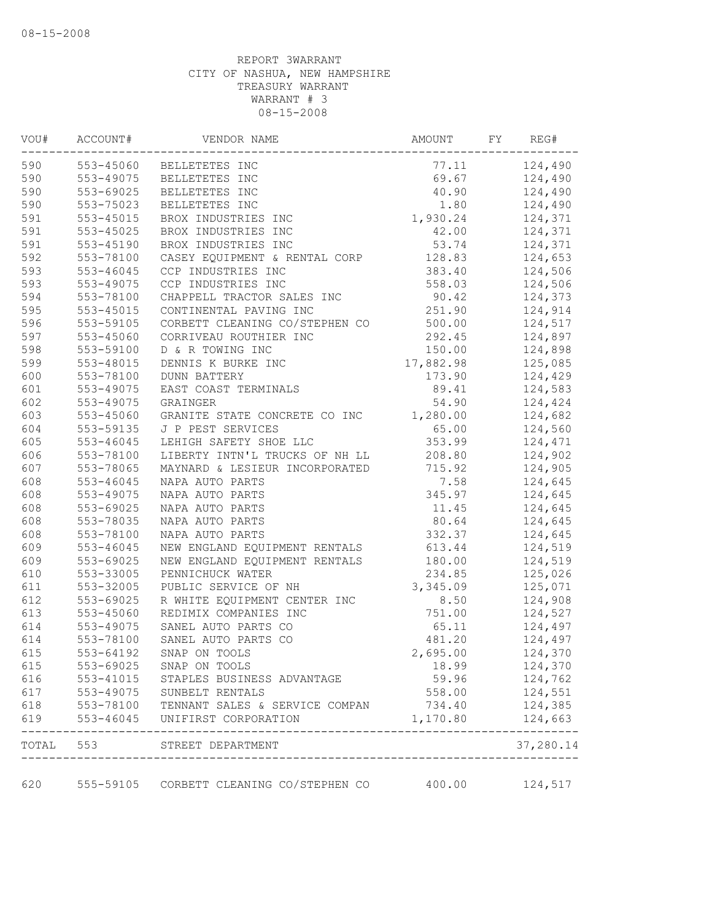| VOU# | ACCOUNT#      | VENDOR NAME                                                                                             | AMOUNT    | FY | REG#                                      |
|------|---------------|---------------------------------------------------------------------------------------------------------|-----------|----|-------------------------------------------|
| 590  |               | 553-45060 BELLETETES INC                                                                                | 77.11     |    | 124,490                                   |
| 590  | 553-49075     | BELLETETES INC                                                                                          | 69.67     |    | 124,490                                   |
| 590  | 553-69025     | BELLETETES INC                                                                                          | 40.90     |    | 124,490                                   |
| 590  | 553-75023     | BELLETETES INC                                                                                          | 1.80      |    | 124,490                                   |
| 591  | $553 - 45015$ | BROX INDUSTRIES INC                                                                                     | 1,930.24  |    | 124,371                                   |
| 591  | 553-45025     | BROX INDUSTRIES INC                                                                                     | 42.00     |    | 124,371                                   |
| 591  | 553-45190     | BROX INDUSTRIES INC                                                                                     | 53.74     |    | 124,371                                   |
| 592  | 553-78100     | CASEY EQUIPMENT & RENTAL CORP                                                                           | 128.83    |    | 124,653                                   |
| 593  | 553-46045     | CCP INDUSTRIES INC                                                                                      | 383.40    |    | 124,506                                   |
| 593  | 553-49075     | CCP INDUSTRIES INC                                                                                      | 558.03    |    | 124,506                                   |
| 594  | 553-78100     | CHAPPELL TRACTOR SALES INC                                                                              | 90.42     |    | 124,373                                   |
| 595  | 553-45015     | CONTINENTAL PAVING INC                                                                                  | 251.90    |    | 124,914                                   |
| 596  | 553-59105     | CORBETT CLEANING CO/STEPHEN CO                                                                          | 500.00    |    | 124,517                                   |
| 597  | 553-45060     | CORRIVEAU ROUTHIER INC                                                                                  | 292.45    |    | 124,897                                   |
| 598  | 553-59100     | D & R TOWING INC                                                                                        | 150.00    |    | 124,898                                   |
| 599  | 553-48015     | DENNIS K BURKE INC                                                                                      | 17,882.98 |    | 125,085                                   |
| 600  | 553-78100     | <b>DUNN BATTERY</b>                                                                                     | 173.90    |    | 124,429                                   |
| 601  | 553-49075     | EAST COAST TERMINALS                                                                                    | 89.41     |    | 124,583                                   |
| 602  | 553-49075     | GRAINGER                                                                                                | 54.90     |    | 124,424                                   |
| 603  | 553-45060     | GRANITE STATE CONCRETE CO INC                                                                           | 1,280.00  |    | 124,682                                   |
| 604  | 553-59135     | J P PEST SERVICES                                                                                       | 65.00     |    | 124,560                                   |
| 605  | $553 - 46045$ | LEHIGH SAFETY SHOE LLC                                                                                  | 353.99    |    | 124,471                                   |
| 606  | 553-78100     | LIBERTY INTN'L TRUCKS OF NH LL                                                                          | 208.80    |    | 124,902                                   |
| 607  | 553-78065     | MAYNARD & LESIEUR INCORPORATED                                                                          | 715.92    |    | 124,905                                   |
| 608  | 553-46045     | NAPA AUTO PARTS                                                                                         | 7.58      |    | 124,645                                   |
| 608  | 553-49075     | NAPA AUTO PARTS                                                                                         | 345.97    |    | 124,645                                   |
| 608  | 553-69025     | NAPA AUTO PARTS                                                                                         | 11.45     |    | 124,645                                   |
| 608  | 553-78035     | NAPA AUTO PARTS                                                                                         | 80.64     |    | 124,645                                   |
| 608  | 553-78100     | NAPA AUTO PARTS                                                                                         | 332.37    |    | 124,645                                   |
| 609  | 553-46045     | NEW ENGLAND EQUIPMENT RENTALS                                                                           | 613.44    |    | 124,519                                   |
| 609  | 553-69025     | NEW ENGLAND EQUIPMENT RENTALS                                                                           | 180.00    |    | 124,519                                   |
| 610  | 553-33005     | PENNICHUCK WATER                                                                                        | 234.85    |    | 125,026                                   |
| 611  | 553-32005     | PUBLIC SERVICE OF NH                                                                                    | 3,345.09  |    | 125,071                                   |
| 612  | 553-69025     | R WHITE EQUIPMENT CENTER INC                                                                            | 8.50      |    | 124,908                                   |
| 613  | 553-45060     | REDIMIX COMPANIES INC                                                                                   | 751.00    |    | 124,527                                   |
| 614  | 553-49075     | SANEL AUTO PARTS CO                                                                                     | 65.11     |    | 124,497                                   |
| 614  | 553-78100     | SANEL AUTO PARTS CO                                                                                     | 481.20    |    | 124,497                                   |
| 615  |               | 553-64192 SNAP ON TOOLS                                                                                 | 2,695.00  |    | 124,370                                   |
| 615  | 553-69025     | SNAP ON TOOLS                                                                                           | 18.99     |    | 124,370                                   |
| 616  | 553-41015     | STAPLES BUSINESS ADVANTAGE                                                                              | 59.96     |    | 124,762                                   |
| 617  |               |                                                                                                         | 558.00    |    |                                           |
| 618  |               |                                                                                                         | 734.40    |    |                                           |
| 619  |               | 553-49075 SUNBELT RENTALS<br>553-78100 TENNANT SALES & SERVICE COMPAN<br>553-46045 UNIFIRST CORPORATION | 1,170.80  |    | 124,551<br>124,385<br>124,663<br>-------- |
|      |               | TOTAL 553 STREET DEPARTMENT<br>------------------------------------                                     |           |    | 37,280.14                                 |
| 620  |               | 555-59105 CORBETT CLEANING CO/STEPHEN CO                                                                | 400.00    |    | 124,517                                   |
|      |               |                                                                                                         |           |    |                                           |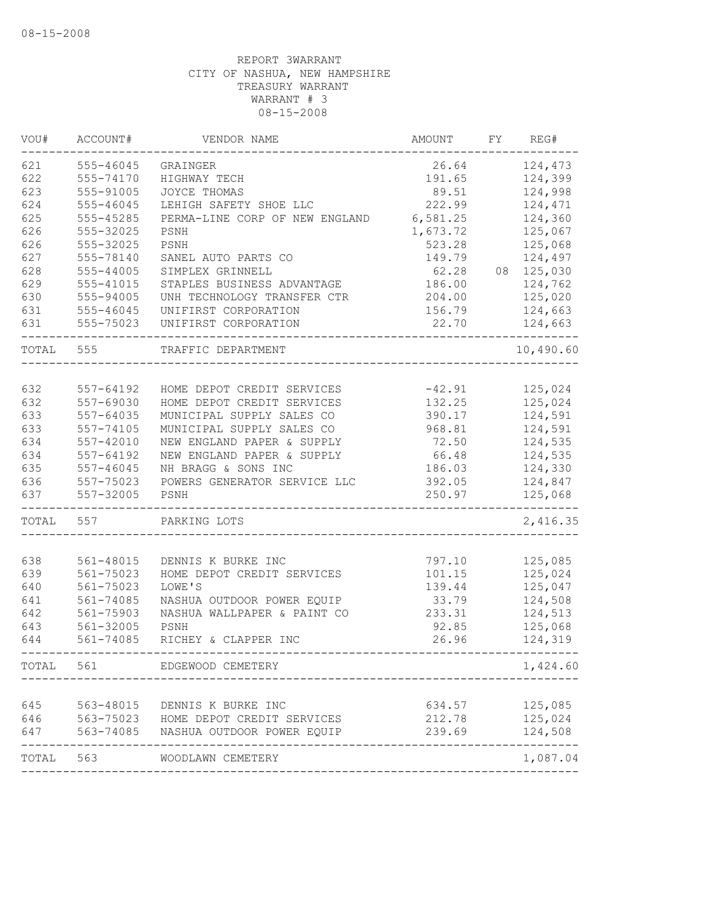| VOU#      | ACCOUNT#      | VENDOR NAME                          | AMOUNT   | FY | REG#      |
|-----------|---------------|--------------------------------------|----------|----|-----------|
| 621       | 555-46045     | GRAINGER                             | 26.64    |    | 124,473   |
| 622       | 555-74170     | HIGHWAY TECH                         | 191.65   |    | 124,399   |
| 623       | 555-91005     | JOYCE THOMAS                         | 89.51    |    | 124,998   |
| 624       | 555-46045     | LEHIGH SAFETY SHOE LLC               | 222.99   |    | 124,471   |
| 625       | 555-45285     | PERMA-LINE CORP OF NEW ENGLAND       | 6,581.25 |    | 124,360   |
| 626       | 555-32025     | PSNH                                 | 1,673.72 |    | 125,067   |
| 626       | 555-32025     | PSNH                                 | 523.28   |    | 125,068   |
| 627       | 555-78140     | SANEL AUTO PARTS CO                  | 149.79   |    | 124,497   |
| 628       | 555-44005     | SIMPLEX GRINNELL                     | 62.28    | 08 | 125,030   |
| 629       | 555-41015     | STAPLES BUSINESS ADVANTAGE           | 186.00   |    | 124,762   |
| 630       | 555-94005     | UNH TECHNOLOGY TRANSFER CTR          | 204.00   |    | 125,020   |
| 631       | 555-46045     | UNIFIRST CORPORATION                 | 156.79   |    | 124,663   |
| 631       | 555-75023     | UNIFIRST CORPORATION                 | 22.70    |    | 124,663   |
| TOTAL     | 555           | TRAFFIC DEPARTMENT                   |          |    | 10,490.60 |
|           |               |                                      |          |    |           |
| 632       | 557-64192     | HOME DEPOT CREDIT SERVICES           | $-42.91$ |    | 125,024   |
| 632       | 557-69030     | HOME DEPOT CREDIT SERVICES           | 132.25   |    | 125,024   |
| 633       | 557-64035     | MUNICIPAL SUPPLY SALES CO            | 390.17   |    | 124,591   |
| 633       | 557-74105     | MUNICIPAL SUPPLY SALES CO            | 968.81   |    | 124,591   |
| 634       | 557-42010     | NEW ENGLAND PAPER & SUPPLY           | 72.50    |    | 124,535   |
| 634       | 557-64192     | NEW ENGLAND PAPER & SUPPLY           | 66.48    |    | 124,535   |
| 635       | $557 - 46045$ | NH BRAGG & SONS INC                  | 186.03   |    | 124,330   |
| 636       | 557-75023     | POWERS GENERATOR SERVICE LLC         | 392.05   |    | 124,847   |
| 637       | 557-32005     | PSNH                                 | 250.97   |    | 125,068   |
| TOTAL     | 557           | PARKING LOTS                         |          |    | 2,416.35  |
| 638       | 561-48015     | DENNIS K BURKE INC                   | 797.10   |    | 125,085   |
| 639       | 561-75023     | HOME DEPOT CREDIT SERVICES           | 101.15   |    | 125,024   |
| 640       | 561-75023     | LOWE'S                               | 139.44   |    | 125,047   |
| 641       | 561-74085     | NASHUA OUTDOOR POWER EQUIP           | 33.79    |    | 124,508   |
| 642       | 561-75903     | NASHUA WALLPAPER & PAINT CO          | 233.31   |    | 124,513   |
| 643       | 561-32005     | PSNH                                 | 92.85    |    | 125,068   |
| 644       | 561-74085     | RICHEY & CLAPPER INC                 | 26.96    |    | 124,319   |
| TOTAL     | 561           | EDGEWOOD CEMETERY                    |          |    | 1,424.60  |
|           |               |                                      |          |    |           |
| 645       | 563-48015     | DENNIS K BURKE INC                   | 634.57   |    | 125,085   |
| 646       |               | 563-75023 HOME DEPOT CREDIT SERVICES | 212.78   |    | 125,024   |
| 647       |               | 563-74085 NASHUA OUTDOOR POWER EQUIP | 239.69   |    | 124,508   |
| TOTAL 563 |               | WOODLAWN CEMETERY                    |          |    | 1,087.04  |
|           |               |                                      |          |    |           |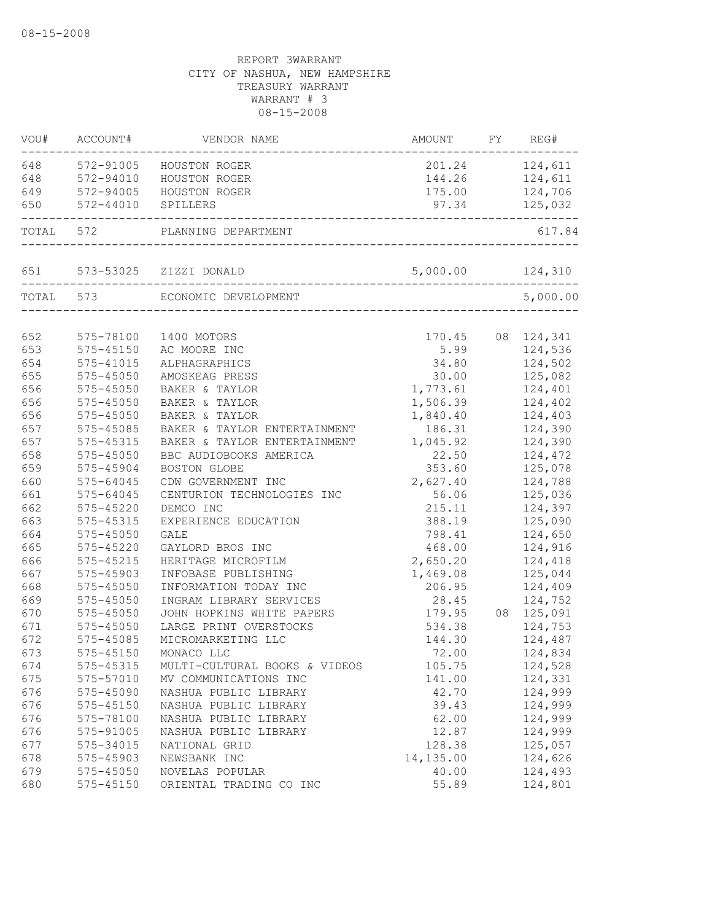| VOU#       | ACCOUNT#<br>----------     | VENDOR NAME                                      | AMOUNT         | FY | REG#                         |
|------------|----------------------------|--------------------------------------------------|----------------|----|------------------------------|
| 648        | 572-91005                  | HOUSTON ROGER                                    |                |    | 201.24 124,611               |
| 648        | 572-94010                  | HOUSTON ROGER                                    |                |    | 144.26 124,611               |
| 649        | 572-94005                  | HOUSTON ROGER                                    |                |    | 175.00 124,706               |
| 650        | 572-44010                  | SPILLERS                                         | 97.34          |    | 125,032                      |
| TOTAL      | 572                        | PLANNING DEPARTMENT<br>------------------------- |                |    | 617.84                       |
| 651        |                            | 573-53025 ZIZZI DONALD<br>____________________   | 5,000.00       |    | 124,310                      |
|            | TOTAL 573                  | ECONOMIC DEVELOPMENT                             |                |    | 5,000.00                     |
|            |                            |                                                  |                |    |                              |
| 652<br>653 | 575-78100<br>$575 - 45150$ | 1400 MOTORS                                      | 5.99           |    | 170.45 08 124,341<br>124,536 |
| 654        |                            | AC MOORE INC                                     |                |    | 124,502                      |
| 655        | 575-41015<br>$575 - 45050$ | ALPHAGRAPHICS<br>AMOSKEAG PRESS                  | 34.80<br>30.00 |    | 125,082                      |
| 656        | 575-45050                  | BAKER & TAYLOR                                   | 1,773.61       |    | 124,401                      |
| 656        | 575-45050                  | BAKER & TAYLOR                                   | 1,506.39       |    | 124,402                      |
| 656        | $575 - 45050$              | BAKER & TAYLOR                                   | 1,840.40       |    | 124,403                      |
| 657        | 575-45085                  | BAKER & TAYLOR ENTERTAINMENT                     | 186.31         |    | 124,390                      |
| 657        | $575 - 45315$              | BAKER & TAYLOR ENTERTAINMENT                     | 1,045.92       |    | 124,390                      |
| 658        | $575 - 45050$              | BBC AUDIOBOOKS AMERICA                           | 22.50          |    | 124,472                      |
| 659        | 575-45904                  | BOSTON GLOBE                                     | 353.60         |    | 125,078                      |
| 660        | $575 - 64045$              | CDW GOVERNMENT INC                               | 2,627.40       |    | 124,788                      |
| 661        | $575 - 64045$              | CENTURION TECHNOLOGIES INC                       | 56.06          |    | 125,036                      |
| 662        | 575-45220                  | DEMCO INC                                        | 215.11         |    | 124,397                      |
| 663        | 575-45315                  | EXPERIENCE EDUCATION                             | 388.19         |    | 125,090                      |
| 664        | 575-45050                  | <b>GALE</b>                                      | 798.41         |    | 124,650                      |
| 665        | 575-45220                  | GAYLORD BROS INC                                 | 468.00         |    | 124,916                      |
| 666        | 575-45215                  | HERITAGE MICROFILM                               | 2,650.20       |    | 124,418                      |
| 667        | 575-45903                  | INFOBASE PUBLISHING                              | 1,469.08       |    | 125,044                      |
| 668        | 575-45050                  | INFORMATION TODAY INC                            | 206.95         |    | 124,409                      |
| 669        | $575 - 45050$              | INGRAM LIBRARY SERVICES                          | 28.45          |    | 124,752                      |
| 670        | $575 - 45050$              | JOHN HOPKINS WHITE PAPERS                        | 179.95         |    | 08 125,091                   |
| 671        | 575-45050                  | LARGE PRINT OVERSTOCKS                           | 534.38         |    | 124,753                      |
| 672        | 575-45085                  | MICROMARKETING LLC                               | 144.30         |    | 124,487                      |
| 673        | 575-45150                  | MONACO LLC                                       | 72.00          |    | 124,834                      |
| 674        | 575-45315                  | MULTI-CULTURAL BOOKS & VIDEOS                    | 105.75         |    | 124,528                      |
| 675        | 575-57010                  | MV COMMUNICATIONS INC                            | 141.00         |    | 124,331                      |
| 676        | 575-45090                  | NASHUA PUBLIC LIBRARY                            | 42.70          |    | 124,999                      |
| 676        | 575-45150                  | NASHUA PUBLIC LIBRARY                            | 39.43          |    | 124,999                      |
| 676        | 575-78100                  | NASHUA PUBLIC LIBRARY                            | 62.00          |    | 124,999                      |
| 676        | 575-91005                  | NASHUA PUBLIC LIBRARY                            | 12.87          |    | 124,999                      |
| 677        | 575-34015                  | NATIONAL GRID                                    | 128.38         |    | 125,057                      |
| 678        | 575-45903                  | NEWSBANK INC                                     | 14,135.00      |    | 124,626                      |
| 679        | 575-45050                  | NOVELAS POPULAR                                  | 40.00          |    | 124,493                      |
| 680        | 575-45150                  | ORIENTAL TRADING CO INC                          | 55.89          |    | 124,801                      |
|            |                            |                                                  |                |    |                              |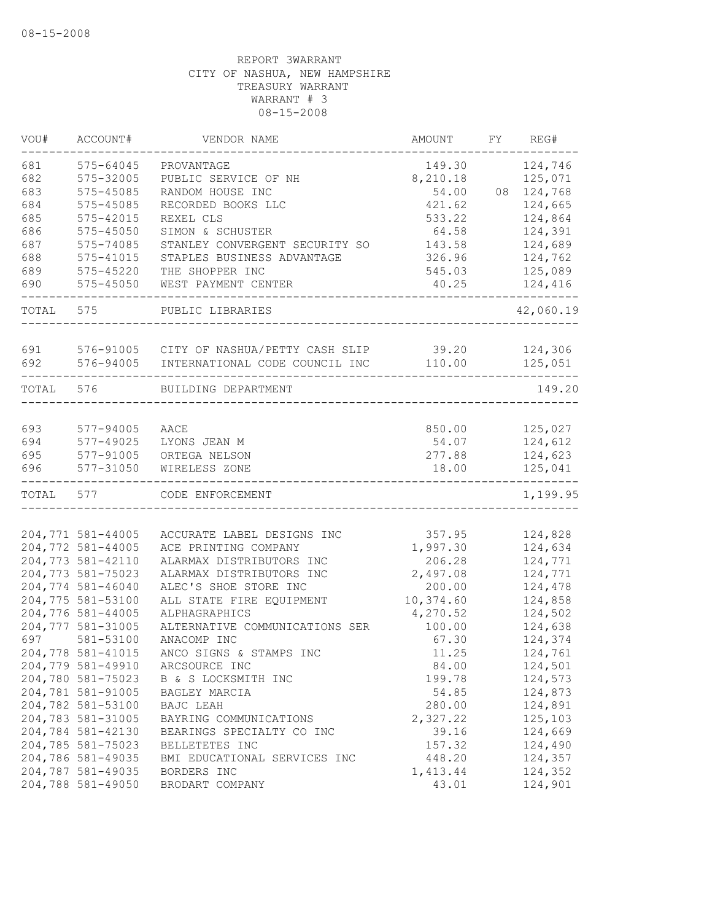| VOU#  | ACCOUNT#          | VENDOR NAME                                    | AMOUNT    | FY | REG#      |
|-------|-------------------|------------------------------------------------|-----------|----|-----------|
| 681   | 575-64045         | PROVANTAGE                                     | 149.30    |    | 124,746   |
| 682   | 575-32005         | PUBLIC SERVICE OF NH                           | 8,210.18  |    | 125,071   |
| 683   | 575-45085         | RANDOM HOUSE INC                               | 54.00     | 08 | 124,768   |
| 684   | 575-45085         | RECORDED BOOKS LLC                             | 421.62    |    | 124,665   |
| 685   | 575-42015         | REXEL CLS                                      | 533.22    |    | 124,864   |
| 686   | 575-45050         | SIMON & SCHUSTER                               | 64.58     |    | 124,391   |
| 687   | 575-74085         | STANLEY CONVERGENT SECURITY SO                 | 143.58    |    | 124,689   |
| 688   | 575-41015         | STAPLES BUSINESS ADVANTAGE                     | 326.96    |    | 124,762   |
| 689   | 575-45220         | THE SHOPPER INC                                | 545.03    |    | 125,089   |
| 690   | 575-45050         | WEST PAYMENT CENTER                            | 40.25     |    | 124,416   |
| TOTAL | 575               | PUBLIC LIBRARIES                               |           |    | 42,060.19 |
| 691   |                   | 576-91005 CITY OF NASHUA/PETTY CASH SLIP 39.20 |           |    | 124,306   |
| 692   | 576-94005         | INTERNATIONAL CODE COUNCIL INC                 | 110.00    |    | 125,051   |
| TOTAL | 576               | BUILDING DEPARTMENT                            |           |    | 149.20    |
|       |                   |                                                |           |    |           |
| 693   | 577-94005         | AACE                                           | 850.00    |    | 125,027   |
| 694   | 577-49025         | LYONS JEAN M                                   | 54.07     |    | 124,612   |
| 695   | 577-91005         | ORTEGA NELSON                                  | 277.88    |    | 124,623   |
| 696   | 577-31050         | WIRELESS ZONE                                  | 18.00     |    | 125,041   |
| TOTAL | 577               | CODE ENFORCEMENT                               |           |    | 1,199.95  |
|       |                   |                                                |           |    |           |
|       | 204,771 581-44005 | ACCURATE LABEL DESIGNS INC                     | 357.95    |    | 124,828   |
|       | 204,772 581-44005 | ACE PRINTING COMPANY                           | 1,997.30  |    | 124,634   |
|       | 204,773 581-42110 | ALARMAX DISTRIBUTORS INC                       | 206.28    |    | 124,771   |
|       | 204,773 581-75023 | ALARMAX DISTRIBUTORS INC                       | 2,497.08  |    | 124,771   |
|       | 204,774 581-46040 | ALEC'S SHOE STORE INC                          | 200.00    |    | 124,478   |
|       | 204,775 581-53100 | ALL STATE FIRE EQUIPMENT                       | 10,374.60 |    | 124,858   |
|       | 204,776 581-44005 | ALPHAGRAPHICS                                  | 4,270.52  |    | 124,502   |
|       | 204,777 581-31005 | ALTERNATIVE COMMUNICATIONS SER                 | 100.00    |    | 124,638   |
| 697   | 581-53100         | ANACOMP INC                                    | 67.30     |    | 124,374   |
|       | 204,778 581-41015 | ANCO SIGNS & STAMPS INC                        | 11.25     |    | 124,761   |
|       | 204,779 581-49910 | ARCSOURCE INC                                  | 84.00     |    | 124,501   |
|       | 204,780 581-75023 | B & S LOCKSMITH INC                            | 199.78    |    | 124,573   |
|       | 204,781 581-91005 | BAGLEY MARCIA                                  | 54.85     |    | 124,873   |
|       | 204,782 581-53100 | BAJC LEAH                                      | 280.00    |    | 124,891   |
|       | 204,783 581-31005 | BAYRING COMMUNICATIONS                         | 2,327.22  |    | 125,103   |
|       | 204,784 581-42130 | BEARINGS SPECIALTY CO INC                      | 39.16     |    | 124,669   |
|       | 204,785 581-75023 | BELLETETES INC                                 | 157.32    |    | 124,490   |
|       | 204,786 581-49035 | BMI EDUCATIONAL SERVICES INC                   | 448.20    |    | 124,357   |
|       | 204,787 581-49035 | BORDERS INC                                    | 1,413.44  |    | 124,352   |
|       | 204,788 581-49050 | BRODART COMPANY                                | 43.01     |    | 124,901   |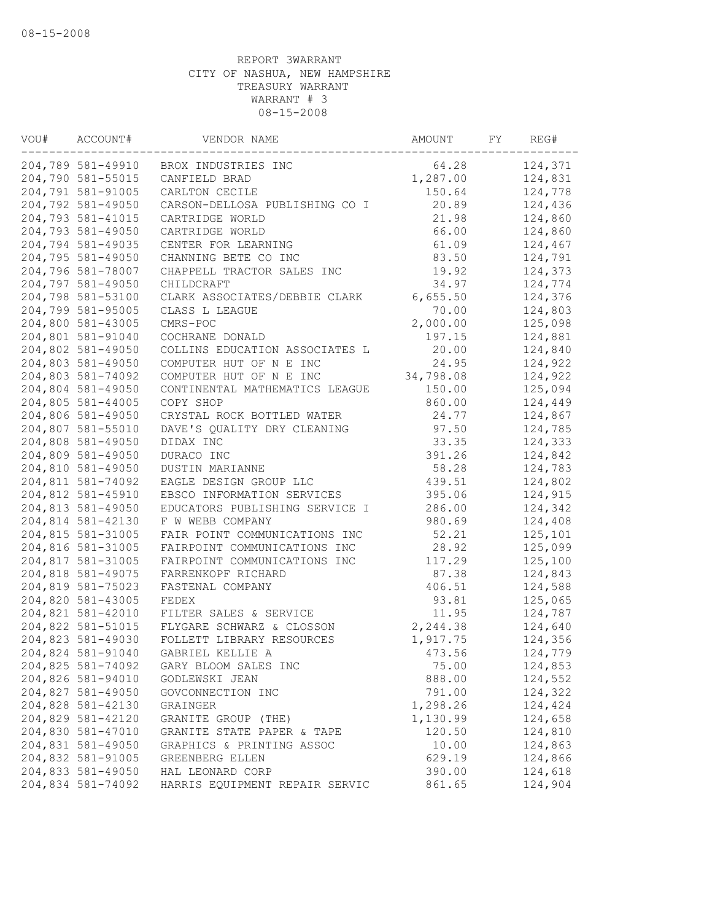| VOU# | ACCOUNT#          | VENDOR NAME                    | AMOUNT    | FY | REG#    |
|------|-------------------|--------------------------------|-----------|----|---------|
|      | 204,789 581-49910 | BROX INDUSTRIES INC            | 64.28     |    | 124,371 |
|      | 204,790 581-55015 | CANFIELD BRAD                  | 1,287.00  |    | 124,831 |
|      | 204,791 581-91005 | CARLTON CECILE                 | 150.64    |    | 124,778 |
|      | 204,792 581-49050 | CARSON-DELLOSA PUBLISHING CO I | 20.89     |    | 124,436 |
|      | 204,793 581-41015 | CARTRIDGE WORLD                | 21.98     |    | 124,860 |
|      | 204,793 581-49050 | CARTRIDGE WORLD                | 66.00     |    | 124,860 |
|      | 204,794 581-49035 | CENTER FOR LEARNING            | 61.09     |    | 124,467 |
|      | 204,795 581-49050 | CHANNING BETE CO INC           | 83.50     |    | 124,791 |
|      | 204,796 581-78007 | CHAPPELL TRACTOR SALES INC     | 19.92     |    | 124,373 |
|      | 204,797 581-49050 | CHILDCRAFT                     | 34.97     |    | 124,774 |
|      | 204,798 581-53100 | CLARK ASSOCIATES/DEBBIE CLARK  | 6,655.50  |    | 124,376 |
|      | 204,799 581-95005 | CLASS L LEAGUE                 | 70.00     |    | 124,803 |
|      | 204,800 581-43005 | CMRS-POC                       | 2,000.00  |    | 125,098 |
|      | 204,801 581-91040 | COCHRANE DONALD                | 197.15    |    | 124,881 |
|      | 204,802 581-49050 | COLLINS EDUCATION ASSOCIATES L | 20.00     |    | 124,840 |
|      | 204,803 581-49050 | COMPUTER HUT OF N E INC        | 24.95     |    | 124,922 |
|      | 204,803 581-74092 | COMPUTER HUT OF N E INC        | 34,798.08 |    | 124,922 |
|      | 204,804 581-49050 | CONTINENTAL MATHEMATICS LEAGUE | 150.00    |    | 125,094 |
|      | 204,805 581-44005 | COPY SHOP                      | 860.00    |    | 124,449 |
|      | 204,806 581-49050 | CRYSTAL ROCK BOTTLED WATER     | 24.77     |    | 124,867 |
|      | 204,807 581-55010 | DAVE'S QUALITY DRY CLEANING    | 97.50     |    | 124,785 |
|      | 204,808 581-49050 | DIDAX INC                      | 33.35     |    | 124,333 |
|      | 204,809 581-49050 | DURACO INC                     | 391.26    |    | 124,842 |
|      | 204,810 581-49050 | DUSTIN MARIANNE                | 58.28     |    | 124,783 |
|      | 204,811 581-74092 | EAGLE DESIGN GROUP LLC         | 439.51    |    | 124,802 |
|      | 204,812 581-45910 | EBSCO INFORMATION SERVICES     | 395.06    |    | 124,915 |
|      | 204,813 581-49050 | EDUCATORS PUBLISHING SERVICE I | 286.00    |    | 124,342 |
|      | 204,814 581-42130 | F W WEBB COMPANY               | 980.69    |    | 124,408 |
|      | 204,815 581-31005 | FAIR POINT COMMUNICATIONS INC  | 52.21     |    | 125,101 |
|      | 204,816 581-31005 | FAIRPOINT COMMUNICATIONS INC   | 28.92     |    | 125,099 |
|      | 204,817 581-31005 | FAIRPOINT COMMUNICATIONS INC   | 117.29    |    | 125,100 |
|      | 204,818 581-49075 | FARRENKOPF RICHARD             | 87.38     |    | 124,843 |
|      | 204,819 581-75023 | FASTENAL COMPANY               | 406.51    |    | 124,588 |
|      | 204,820 581-43005 | FEDEX                          | 93.81     |    | 125,065 |
|      | 204,821 581-42010 | FILTER SALES & SERVICE         | 11.95     |    | 124,787 |
|      | 204,822 581-51015 | FLYGARE SCHWARZ & CLOSSON      | 2,244.38  |    | 124,640 |
|      | 204,823 581-49030 | FOLLETT LIBRARY RESOURCES      | 1,917.75  |    | 124,356 |
|      | 204,824 581-91040 | GABRIEL KELLIE A               | 473.56    |    | 124,779 |
|      | 204,825 581-74092 | GARY BLOOM SALES INC           | 75.00     |    | 124,853 |
|      | 204,826 581-94010 | GODLEWSKI JEAN                 | 888.00    |    | 124,552 |
|      | 204,827 581-49050 | GOVCONNECTION INC              | 791.00    |    | 124,322 |
|      | 204,828 581-42130 | GRAINGER                       | 1,298.26  |    | 124,424 |
|      | 204,829 581-42120 | GRANITE GROUP (THE)            | 1,130.99  |    | 124,658 |
|      | 204,830 581-47010 | GRANITE STATE PAPER & TAPE     | 120.50    |    | 124,810 |
|      | 204,831 581-49050 | GRAPHICS & PRINTING ASSOC      | 10.00     |    | 124,863 |
|      | 204,832 581-91005 | GREENBERG ELLEN                | 629.19    |    | 124,866 |
|      | 204,833 581-49050 | HAL LEONARD CORP               | 390.00    |    | 124,618 |
|      | 204,834 581-74092 | HARRIS EQUIPMENT REPAIR SERVIC | 861.65    |    | 124,904 |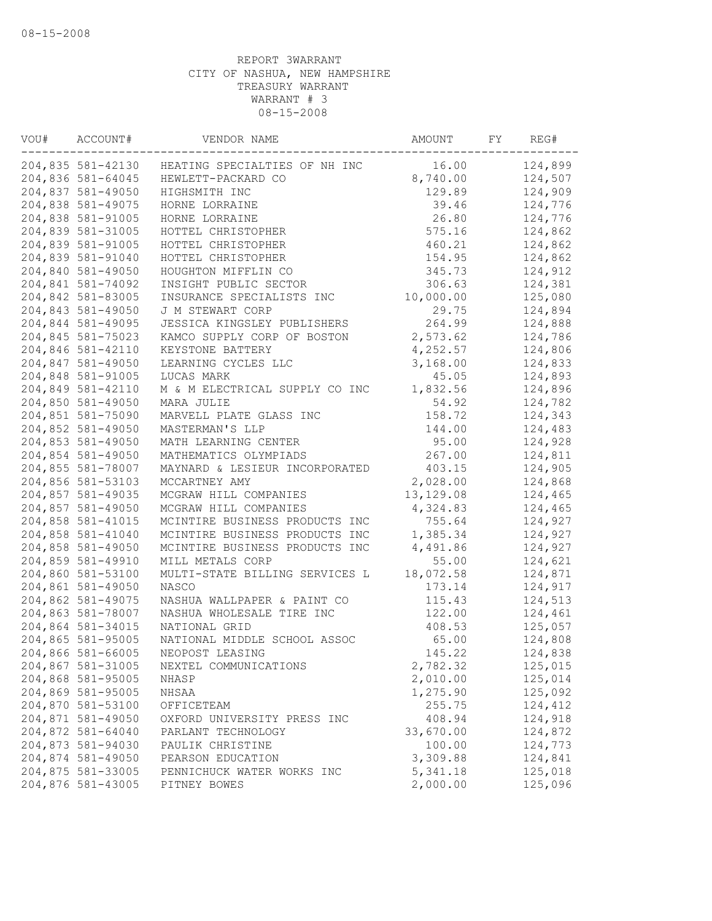| VOU# | ACCOUNT#                               | VENDOR NAME                    | AMOUNT     | FY | REG#    |
|------|----------------------------------------|--------------------------------|------------|----|---------|
|      | 204,835 581-42130                      | HEATING SPECIALTIES OF NH INC  | 16.00      |    | 124,899 |
|      | 204,836 581-64045                      | HEWLETT-PACKARD CO             | 8,740.00   |    | 124,507 |
|      | 204,837 581-49050                      | HIGHSMITH INC                  | 129.89     |    | 124,909 |
|      | 204,838 581-49075                      | HORNE LORRAINE                 | 39.46      |    | 124,776 |
|      | 204,838 581-91005                      | HORNE LORRAINE                 | 26.80      |    | 124,776 |
|      | 204,839 581-31005                      | HOTTEL CHRISTOPHER             | 575.16     |    | 124,862 |
|      | 204,839 581-91005                      | HOTTEL CHRISTOPHER             | 460.21     |    | 124,862 |
|      | 204,839 581-91040                      | HOTTEL CHRISTOPHER             | 154.95     |    | 124,862 |
|      | 204,840 581-49050                      | HOUGHTON MIFFLIN CO            | 345.73     |    | 124,912 |
|      | 204,841 581-74092                      | INSIGHT PUBLIC SECTOR          | 306.63     |    | 124,381 |
|      | 204,842 581-83005                      | INSURANCE SPECIALISTS INC      | 10,000.00  |    | 125,080 |
|      | 204,843 581-49050                      | J M STEWART CORP               | 29.75      |    | 124,894 |
|      | 204,844 581-49095                      | JESSICA KINGSLEY PUBLISHERS    | 264.99     |    | 124,888 |
|      | 204,845 581-75023                      | KAMCO SUPPLY CORP OF BOSTON    | 2,573.62   |    | 124,786 |
|      | 204,846 581-42110                      | KEYSTONE BATTERY               | 4,252.57   |    | 124,806 |
|      | 204,847 581-49050                      | LEARNING CYCLES LLC            | 3,168.00   |    | 124,833 |
|      | 204,848 581-91005                      | LUCAS MARK                     | 45.05      |    | 124,893 |
|      | 204,849 581-42110                      | M & M ELECTRICAL SUPPLY CO INC | 1,832.56   |    | 124,896 |
|      | 204,850 581-49050                      | MARA JULIE                     | 54.92      |    | 124,782 |
|      | 204,851 581-75090                      | MARVELL PLATE GLASS INC        | 158.72     |    | 124,343 |
|      | 204,852 581-49050                      | MASTERMAN'S LLP                | 144.00     |    | 124,483 |
|      | 204,853 581-49050                      | MATH LEARNING CENTER           | 95.00      |    | 124,928 |
|      | 204,854 581-49050                      | MATHEMATICS OLYMPIADS          | 267.00     |    | 124,811 |
|      | 204,855 581-78007                      | MAYNARD & LESIEUR INCORPORATED | 403.15     |    | 124,905 |
|      | 204,856 581-53103                      | MCCARTNEY AMY                  | 2,028.00   |    | 124,868 |
|      | 204,857 581-49035                      | MCGRAW HILL COMPANIES          | 13, 129.08 |    | 124,465 |
|      | 204,857 581-49050                      | MCGRAW HILL COMPANIES          | 4,324.83   |    | 124,465 |
|      | 204,858 581-41015                      | MCINTIRE BUSINESS PRODUCTS INC | 755.64     |    | 124,927 |
|      | 204,858 581-41040                      | MCINTIRE BUSINESS PRODUCTS INC | 1,385.34   |    | 124,927 |
|      | 204,858 581-49050                      | MCINTIRE BUSINESS PRODUCTS INC | 4,491.86   |    | 124,927 |
|      | 204,859 581-49910                      | MILL METALS CORP               | 55.00      |    | 124,621 |
|      | 204,860 581-53100                      | MULTI-STATE BILLING SERVICES L | 18,072.58  |    | 124,871 |
|      | 204,861 581-49050                      | NASCO                          | 173.14     |    | 124,917 |
|      |                                        |                                | 115.43     |    |         |
|      | 204,862 581-49075<br>204,863 581-78007 | NASHUA WALLPAPER & PAINT CO    |            |    | 124,513 |
|      |                                        | NASHUA WHOLESALE TIRE INC      | 122.00     |    | 124,461 |
|      | 204,864 581-34015                      | NATIONAL GRID                  | 408.53     |    | 125,057 |
|      | 204,865 581-95005                      | NATIONAL MIDDLE SCHOOL ASSOC   | 65.00      |    | 124,808 |
|      | 204,866 581-66005                      | NEOPOST LEASING                | 145.22     |    | 124,838 |
|      | 204,867 581-31005                      | NEXTEL COMMUNICATIONS          | 2,782.32   |    | 125,015 |
|      | 204,868 581-95005                      | NHASP                          | 2,010.00   |    | 125,014 |
|      | 204,869 581-95005                      | NHSAA                          | 1,275.90   |    | 125,092 |
|      | 204,870 581-53100                      | OFFICETEAM                     | 255.75     |    | 124,412 |
|      | 204,871 581-49050                      | OXFORD UNIVERSITY PRESS INC    | 408.94     |    | 124,918 |
|      | 204,872 581-64040                      | PARLANT TECHNOLOGY             | 33,670.00  |    | 124,872 |
|      | 204,873 581-94030                      | PAULIK CHRISTINE               | 100.00     |    | 124,773 |
|      | 204,874 581-49050                      | PEARSON EDUCATION              | 3,309.88   |    | 124,841 |
|      | 204,875 581-33005                      | PENNICHUCK WATER WORKS INC     | 5, 341.18  |    | 125,018 |
|      | 204,876 581-43005                      | PITNEY BOWES                   | 2,000.00   |    | 125,096 |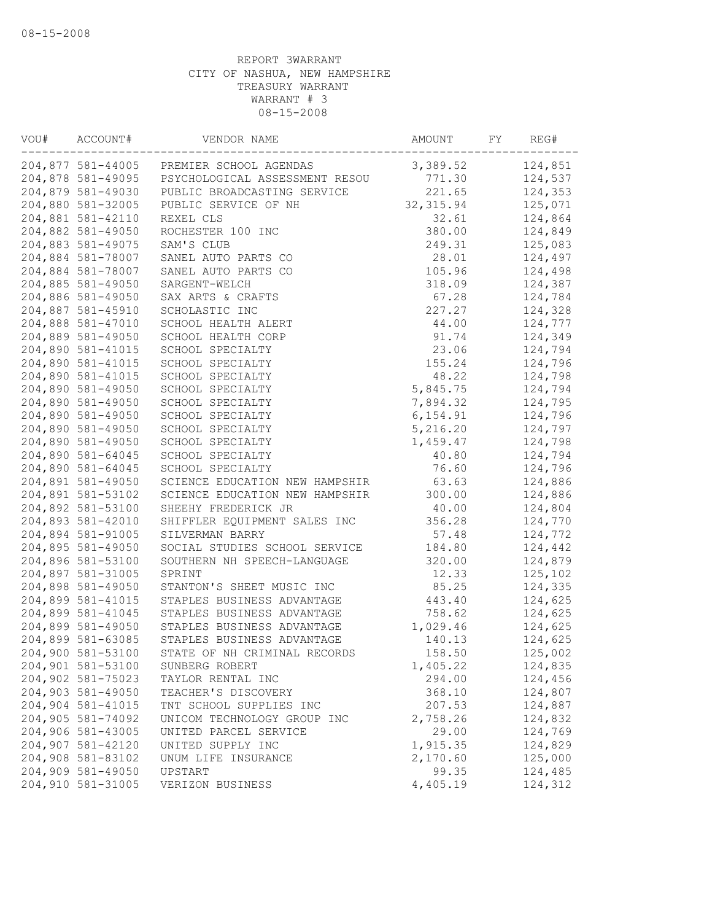| VOU# | ACCOUNT#          | VENDOR NAME                              | AMOUNT     | FY | REG#    |
|------|-------------------|------------------------------------------|------------|----|---------|
|      |                   | 204,877 581-44005 PREMIER SCHOOL AGENDAS | 3,389.52   |    | 124,851 |
|      | 204,878 581-49095 | PSYCHOLOGICAL ASSESSMENT RESOU           | 771.30     |    | 124,537 |
|      | 204,879 581-49030 | PUBLIC BROADCASTING SERVICE              | 221.65     |    | 124,353 |
|      | 204,880 581-32005 | PUBLIC SERVICE OF NH                     | 32, 315.94 |    | 125,071 |
|      | 204,881 581-42110 | REXEL CLS                                | 32.61      |    | 124,864 |
|      | 204,882 581-49050 | ROCHESTER 100 INC                        | 380.00     |    | 124,849 |
|      | 204,883 581-49075 | SAM'S CLUB                               | 249.31     |    | 125,083 |
|      | 204,884 581-78007 | SANEL AUTO PARTS CO                      | 28.01      |    | 124,497 |
|      | 204,884 581-78007 | SANEL AUTO PARTS CO                      | 105.96     |    | 124,498 |
|      | 204,885 581-49050 | SARGENT-WELCH                            | 318.09     |    | 124,387 |
|      | 204,886 581-49050 | SAX ARTS & CRAFTS                        | 67.28      |    | 124,784 |
|      | 204,887 581-45910 | SCHOLASTIC INC                           | 227.27     |    | 124,328 |
|      | 204,888 581-47010 | SCHOOL HEALTH ALERT                      | 44.00      |    | 124,777 |
|      | 204,889 581-49050 | SCHOOL HEALTH CORP                       | 91.74      |    | 124,349 |
|      | 204,890 581-41015 | SCHOOL SPECIALTY                         | 23.06      |    | 124,794 |
|      | 204,890 581-41015 | SCHOOL SPECIALTY                         | 155.24     |    | 124,796 |
|      | 204,890 581-41015 | SCHOOL SPECIALTY                         | 48.22      |    | 124,798 |
|      | 204,890 581-49050 | SCHOOL SPECIALTY                         | 5,845.75   |    | 124,794 |
|      | 204,890 581-49050 | SCHOOL SPECIALTY                         | 7,894.32   |    | 124,795 |
|      | 204,890 581-49050 | SCHOOL SPECIALTY                         | 6, 154.91  |    | 124,796 |
|      | 204,890 581-49050 | SCHOOL SPECIALTY                         | 5,216.20   |    | 124,797 |
|      | 204,890 581-49050 | SCHOOL SPECIALTY                         | 1,459.47   |    | 124,798 |
|      | 204,890 581-64045 | SCHOOL SPECIALTY                         | 40.80      |    | 124,794 |
|      | 204,890 581-64045 | SCHOOL SPECIALTY                         | 76.60      |    | 124,796 |
|      | 204,891 581-49050 | SCIENCE EDUCATION NEW HAMPSHIR           | 63.63      |    | 124,886 |
|      | 204,891 581-53102 | SCIENCE EDUCATION NEW HAMPSHIR           | 300.00     |    | 124,886 |
|      | 204,892 581-53100 | SHEEHY FREDERICK JR                      | 40.00      |    | 124,804 |
|      | 204,893 581-42010 | SHIFFLER EQUIPMENT SALES INC             | 356.28     |    | 124,770 |
|      | 204,894 581-91005 | SILVERMAN BARRY                          | 57.48      |    | 124,772 |
|      | 204,895 581-49050 | SOCIAL STUDIES SCHOOL SERVICE            | 184.80     |    | 124,442 |
|      | 204,896 581-53100 | SOUTHERN NH SPEECH-LANGUAGE              | 320.00     |    | 124,879 |
|      | 204,897 581-31005 | SPRINT                                   | 12.33      |    | 125,102 |
|      | 204,898 581-49050 | STANTON'S SHEET MUSIC INC                | 85.25      |    | 124,335 |
|      | 204,899 581-41015 | STAPLES BUSINESS ADVANTAGE               | 443.40     |    | 124,625 |
|      | 204,899 581-41045 | STAPLES BUSINESS ADVANTAGE               | 758.62     |    | 124,625 |
|      | 204,899 581-49050 | STAPLES BUSINESS ADVANTAGE               | 1,029.46   |    | 124,625 |
|      | 204,899 581-63085 | STAPLES BUSINESS ADVANTAGE               | 140.13     |    | 124,625 |
|      | 204,900 581-53100 | STATE OF NH CRIMINAL RECORDS             | 158.50     |    | 125,002 |
|      | 204,901 581-53100 | SUNBERG ROBERT                           | 1,405.22   |    | 124,835 |
|      | 204,902 581-75023 | TAYLOR RENTAL INC                        | 294.00     |    | 124,456 |
|      | 204,903 581-49050 | TEACHER'S DISCOVERY                      | 368.10     |    | 124,807 |
|      | 204,904 581-41015 | TNT SCHOOL SUPPLIES INC                  | 207.53     |    | 124,887 |
|      | 204,905 581-74092 | UNICOM TECHNOLOGY GROUP INC              | 2,758.26   |    | 124,832 |
|      | 204,906 581-43005 | UNITED PARCEL SERVICE                    | 29.00      |    | 124,769 |
|      | 204,907 581-42120 | UNITED SUPPLY INC                        | 1,915.35   |    | 124,829 |
|      | 204,908 581-83102 | UNUM LIFE INSURANCE                      | 2,170.60   |    | 125,000 |
|      | 204,909 581-49050 | UPSTART                                  | 99.35      |    | 124,485 |
|      | 204,910 581-31005 | VERIZON BUSINESS                         | 4,405.19   |    | 124,312 |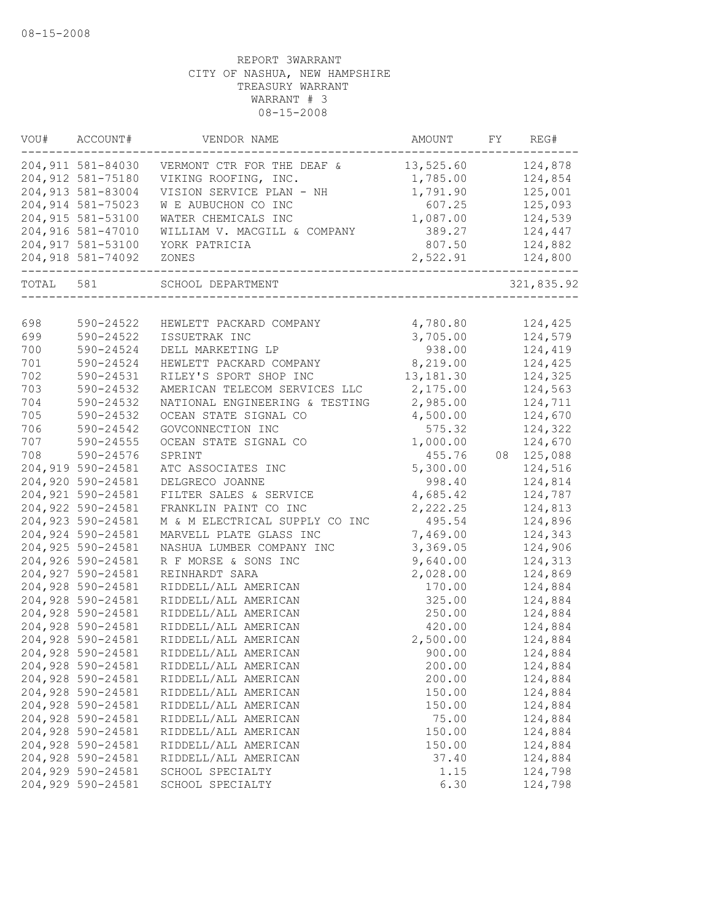| VOU#  | ACCOUNT#           | VENDOR NAME                    | AMOUNT     | FY | REG#       |
|-------|--------------------|--------------------------------|------------|----|------------|
|       | 204,911 581-84030  | VERMONT CTR FOR THE DEAF &     | 13,525.60  |    | 124,878    |
|       | 204,912 581-75180  | VIKING ROOFING, INC.           | 1,785.00   |    | 124,854    |
|       | 204, 913 581-83004 | VISION SERVICE PLAN - NH       | 1,791.90   |    | 125,001    |
|       | 204,914 581-75023  | W E AUBUCHON CO INC            | 607.25     |    | 125,093    |
|       | 204, 915 581-53100 | WATER CHEMICALS INC            | 1,087.00   |    | 124,539    |
|       | 204,916 581-47010  | WILLIAM V. MACGILL & COMPANY   | 389.27     |    | 124,447    |
|       | 204, 917 581-53100 | YORK PATRICIA                  | 807.50     |    | 124,882    |
|       | 204,918 581-74092  | ZONES                          | 2,522.91   |    | 124,800    |
| TOTAL | 581                | SCHOOL DEPARTMENT              |            |    | 321,835.92 |
|       |                    |                                |            |    |            |
| 698   | 590-24522          | HEWLETT PACKARD COMPANY        | 4,780.80   |    | 124,425    |
| 699   | 590-24522          | ISSUETRAK INC                  | 3,705.00   |    | 124,579    |
| 700   | 590-24524          | DELL MARKETING LP              | 938.00     |    | 124,419    |
| 701   | 590-24524          | HEWLETT PACKARD COMPANY        | 8,219.00   |    | 124,425    |
| 702   | 590-24531          | RILEY'S SPORT SHOP INC         | 13, 181.30 |    | 124,325    |
| 703   | 590-24532          | AMERICAN TELECOM SERVICES LLC  | 2,175.00   |    | 124,563    |
| 704   | 590-24532          | NATIONAL ENGINEERING & TESTING | 2,985.00   |    | 124,711    |
| 705   | 590-24532          | OCEAN STATE SIGNAL CO          | 4,500.00   |    | 124,670    |
| 706   | 590-24542          | GOVCONNECTION INC              | 575.32     |    | 124,322    |
| 707   | 590-24555          | OCEAN STATE SIGNAL CO          | 1,000.00   |    | 124,670    |
| 708   | 590-24576          | SPRINT                         | 455.76     | 08 | 125,088    |
|       | 204,919 590-24581  | ATC ASSOCIATES INC             | 5,300.00   |    | 124,516    |
|       | 204,920 590-24581  | DELGRECO JOANNE                | 998.40     |    | 124,814    |
|       | 204,921 590-24581  | FILTER SALES & SERVICE         | 4,685.42   |    | 124,787    |
|       | 204,922 590-24581  | FRANKLIN PAINT CO INC          | 2,222.25   |    | 124,813    |
|       | 204,923 590-24581  | M & M ELECTRICAL SUPPLY CO INC | 495.54     |    | 124,896    |
|       | 204,924 590-24581  | MARVELL PLATE GLASS INC        | 7,469.00   |    | 124,343    |
|       | 204,925 590-24581  | NASHUA LUMBER COMPANY INC      | 3,369.05   |    | 124,906    |
|       | 204,926 590-24581  | R F MORSE & SONS INC           | 9,640.00   |    | 124,313    |
|       | 204,927 590-24581  | REINHARDT SARA                 | 2,028.00   |    | 124,869    |
|       | 204,928 590-24581  | RIDDELL/ALL AMERICAN           | 170.00     |    | 124,884    |
|       | 204,928 590-24581  | RIDDELL/ALL AMERICAN           | 325.00     |    | 124,884    |
|       | 204,928 590-24581  | RIDDELL/ALL AMERICAN           | 250.00     |    | 124,884    |
|       | 204,928 590-24581  | RIDDELL/ALL AMERICAN           | 420.00     |    | 124,884    |
|       | 204,928 590-24581  | RIDDELL/ALL AMERICAN           | 2,500.00   |    | 124,884    |
|       | 204,928 590-24581  | RIDDELL/ALL AMERICAN           | 900.00     |    | 124,884    |
|       | 204,928 590-24581  | RIDDELL/ALL AMERICAN           | 200.00     |    | 124,884    |
|       | 204,928 590-24581  | RIDDELL/ALL AMERICAN           | 200.00     |    | 124,884    |
|       | 204,928 590-24581  | RIDDELL/ALL AMERICAN           | 150.00     |    | 124,884    |
|       | 204,928 590-24581  | RIDDELL/ALL AMERICAN           | 150.00     |    | 124,884    |
|       | 204,928 590-24581  | RIDDELL/ALL AMERICAN           | 75.00      |    | 124,884    |
|       | 204,928 590-24581  | RIDDELL/ALL AMERICAN           | 150.00     |    | 124,884    |
|       | 204,928 590-24581  | RIDDELL/ALL AMERICAN           | 150.00     |    | 124,884    |
|       | 204,928 590-24581  | RIDDELL/ALL AMERICAN           | 37.40      |    | 124,884    |
|       | 204,929 590-24581  | SCHOOL SPECIALTY               | 1.15       |    | 124,798    |
|       | 204,929 590-24581  | SCHOOL SPECIALTY               | 6.30       |    | 124,798    |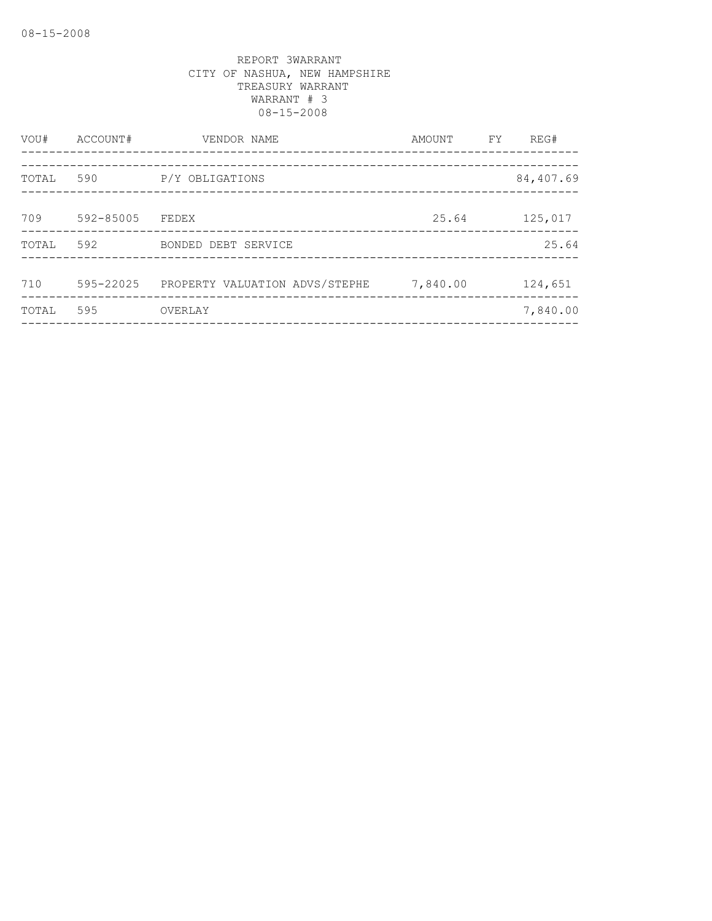| VOU#  | ACCOUNT#  | VENDOR NAME                    | AMOUNT   | FY. | REG#      |
|-------|-----------|--------------------------------|----------|-----|-----------|
| TOTAL | 590       | P/Y OBLIGATIONS                |          |     | 84,407.69 |
| 709   | 592-85005 | FEDEX                          | 25.64    |     | 125,017   |
| TOTAL | 592       | BONDED DEBT SERVICE            |          |     | 25.64     |
| 710   | 595-22025 | PROPERTY VALUATION ADVS/STEPHE | 7,840.00 |     | 124,651   |
| TOTAL | 595       | OVERLAY                        |          |     | 7,840.00  |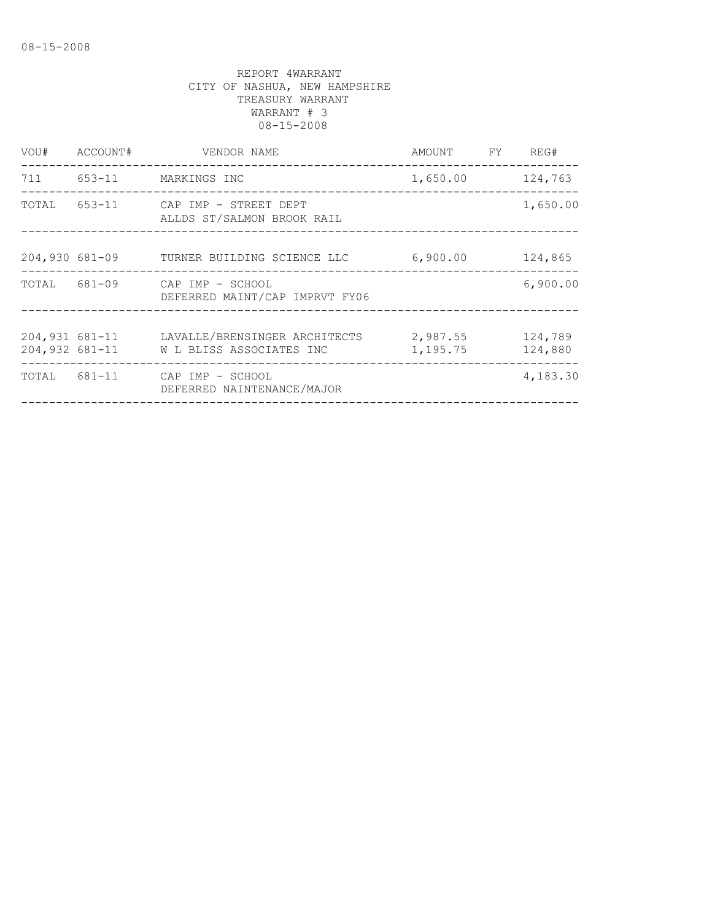| VOU#  | ACCOUNT#                         | VENDOR NAME                                                     | AMOUNT FY            | REG#               |
|-------|----------------------------------|-----------------------------------------------------------------|----------------------|--------------------|
|       |                                  | 711 653-11 MARKINGS INC                                         | 1,650.00 124,763     |                    |
| TOTAL |                                  | 653-11 CAP IMP - STREET DEPT<br>ALLDS ST/SALMON BROOK RAIL      |                      | 1,650.00           |
|       |                                  | 204,930 681-09 TURNER BUILDING SCIENCE LLC                      | 6,900.00             | 124,865            |
|       |                                  | TOTAL 681-09 CAP IMP - SCHOOL<br>DEFERRED MAINT/CAP IMPRVT FY06 |                      | 6,900.00           |
|       | 204,931 681-11<br>204,932 681-11 | LAVALLE/BRENSINGER ARCHITECTS<br>W L BLISS ASSOCIATES INC       | 2,987.55<br>1,195.75 | 124,789<br>124,880 |
|       |                                  | TOTAL 681-11 CAP IMP - SCHOOL<br>DEFERRED NAINTENANCE/MAJOR     |                      | 4,183.30           |
|       |                                  |                                                                 |                      |                    |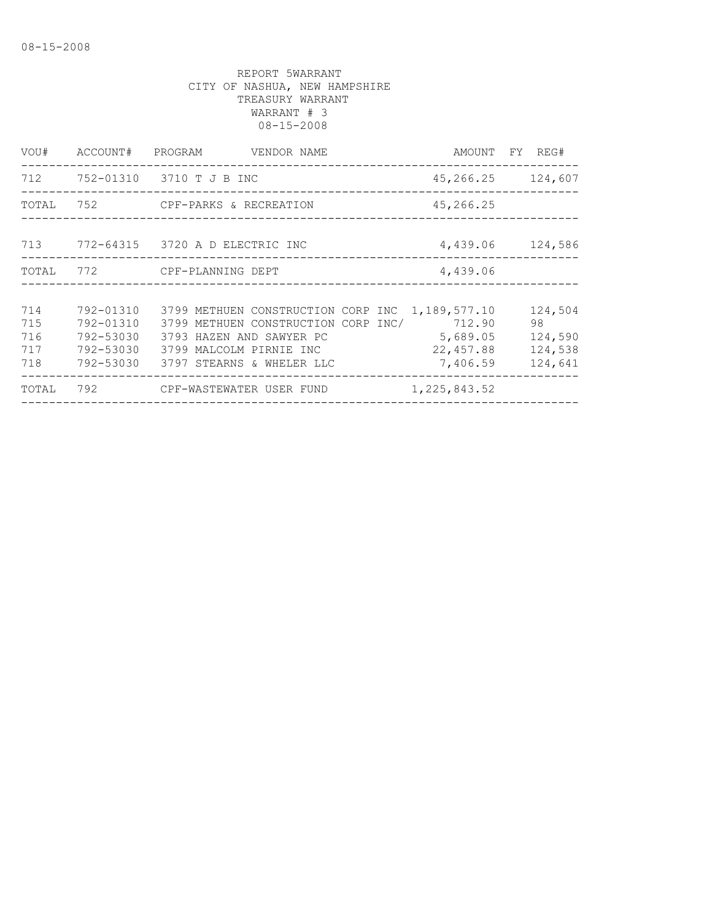| VOU#                            | ACCOUNT#                                                      | PROGRAM<br>VENDOR NAME                                                                                                                                        |                                                              | AMOUNT FY REG#                                 |
|---------------------------------|---------------------------------------------------------------|---------------------------------------------------------------------------------------------------------------------------------------------------------------|--------------------------------------------------------------|------------------------------------------------|
|                                 |                                                               | 712 752-01310 3710 T J B INC<br>______________________________                                                                                                |                                                              | 45, 266. 25 124, 607                           |
| TOTAL                           |                                                               | 752 CPF-PARKS & RECREATION                                                                                                                                    | 45,266.25                                                    |                                                |
| 713                             |                                                               | 772-64315 3720 A D ELECTRIC INC                                                                                                                               |                                                              | 4,439.06 124,586                               |
| TOTAL                           | 772                                                           | CPF-PLANNING DEPT                                                                                                                                             | 4,439.06                                                     |                                                |
|                                 |                                                               |                                                                                                                                                               |                                                              |                                                |
| 714<br>715<br>716<br>717<br>718 | 792-01310<br>792-01310<br>792-53030<br>792-53030<br>792-53030 | 3799 METHUEN CONSTRUCTION CORP INC<br>3799 METHUEN CONSTRUCTION CORP INC/<br>3793 HAZEN AND SAWYER PC<br>3799 MALCOLM PIRNIE INC<br>3797 STEARNS & WHELER LLC | 1,189,577.10<br>712.90<br>5,689.05<br>22, 457.88<br>7,406.59 | 124,504<br>98<br>124,590<br>124,538<br>124,641 |
| TOTAL                           | 792                                                           | CPF-WASTEWATER USER FUND                                                                                                                                      | 1, 225, 843.52<br>___________________                        | ______________                                 |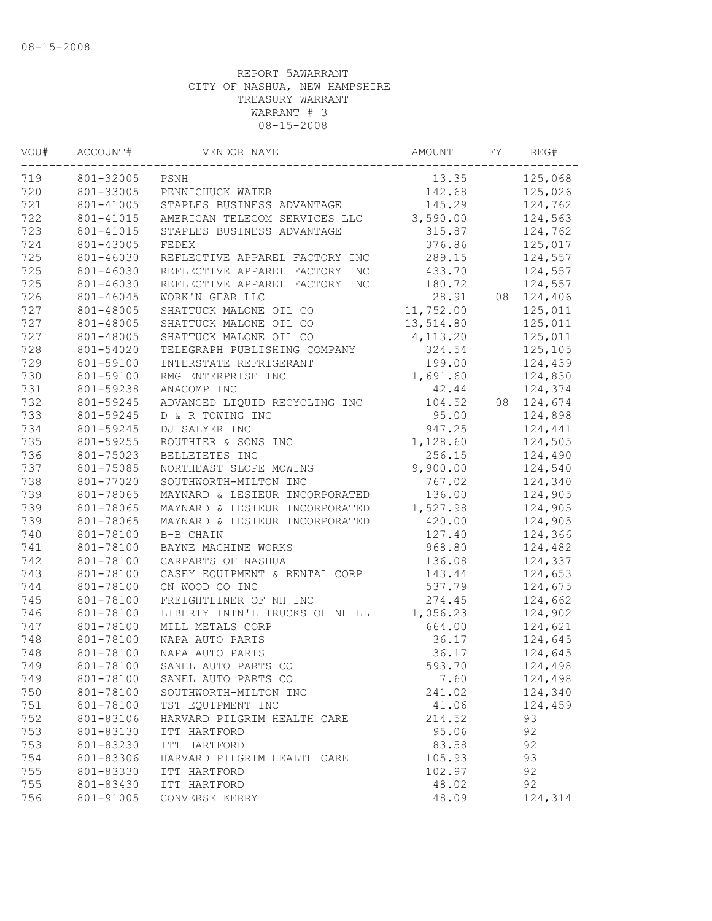| VOU# | ACCOUNT#  | VENDOR NAME                    | AMOUNT    | FY | REG#    |
|------|-----------|--------------------------------|-----------|----|---------|
| 719  | 801-32005 | PSNH                           | 13.35     |    | 125,068 |
| 720  | 801-33005 | PENNICHUCK WATER               | 142.68    |    | 125,026 |
| 721  | 801-41005 | STAPLES BUSINESS ADVANTAGE     | 145.29    |    | 124,762 |
| 722  | 801-41015 | AMERICAN TELECOM SERVICES LLC  | 3,590.00  |    | 124,563 |
| 723  | 801-41015 | STAPLES BUSINESS ADVANTAGE     | 315.87    |    | 124,762 |
| 724  | 801-43005 | FEDEX                          | 376.86    |    | 125,017 |
| 725  | 801-46030 | REFLECTIVE APPAREL FACTORY INC | 289.15    |    | 124,557 |
| 725  | 801-46030 | REFLECTIVE APPAREL FACTORY INC | 433.70    |    | 124,557 |
| 725  | 801-46030 | REFLECTIVE APPAREL FACTORY INC | 180.72    |    | 124,557 |
| 726  | 801-46045 | WORK'N GEAR LLC                | 28.91     | 08 | 124,406 |
| 727  | 801-48005 | SHATTUCK MALONE OIL CO         | 11,752.00 |    | 125,011 |
| 727  | 801-48005 | SHATTUCK MALONE OIL CO         | 13,514.80 |    | 125,011 |
| 727  | 801-48005 | SHATTUCK MALONE OIL CO         | 4, 113.20 |    | 125,011 |
| 728  | 801-54020 | TELEGRAPH PUBLISHING COMPANY   | 324.54    |    | 125,105 |
| 729  | 801-59100 | INTERSTATE REFRIGERANT         | 199.00    |    | 124,439 |
| 730  | 801-59100 | RMG ENTERPRISE INC             | 1,691.60  |    | 124,830 |
| 731  | 801-59238 | ANACOMP INC                    | 42.44     |    | 124,374 |
| 732  | 801-59245 | ADVANCED LIQUID RECYCLING INC  | 104.52    | 08 | 124,674 |
| 733  | 801-59245 | D & R TOWING INC               | 95.00     |    | 124,898 |
| 734  | 801-59245 | DJ SALYER INC                  | 947.25    |    | 124,441 |
| 735  | 801-59255 | ROUTHIER & SONS INC            | 1,128.60  |    | 124,505 |
| 736  | 801-75023 | BELLETETES INC                 | 256.15    |    | 124,490 |
| 737  | 801-75085 | NORTHEAST SLOPE MOWING         | 9,900.00  |    | 124,540 |
| 738  | 801-77020 | SOUTHWORTH-MILTON INC          | 767.02    |    | 124,340 |
| 739  | 801-78065 | MAYNARD & LESIEUR INCORPORATED | 136.00    |    | 124,905 |
| 739  | 801-78065 | MAYNARD & LESIEUR INCORPORATED | 1,527.98  |    | 124,905 |
| 739  | 801-78065 | MAYNARD & LESIEUR INCORPORATED | 420.00    |    | 124,905 |
| 740  | 801-78100 | B-B CHAIN                      | 127.40    |    | 124,366 |
| 741  | 801-78100 | BAYNE MACHINE WORKS            | 968.80    |    | 124,482 |
| 742  | 801-78100 | CARPARTS OF NASHUA             | 136.08    |    | 124,337 |
| 743  | 801-78100 | CASEY EQUIPMENT & RENTAL CORP  | 143.44    |    | 124,653 |
| 744  | 801-78100 | CN WOOD CO INC                 | 537.79    |    | 124,675 |
| 745  | 801-78100 | FREIGHTLINER OF NH INC         | 274.45    |    | 124,662 |
| 746  | 801-78100 | LIBERTY INTN'L TRUCKS OF NH LL | 1,056.23  |    | 124,902 |
| 747  | 801-78100 | MILL METALS CORP               | 664.00    |    | 124,621 |
| 748  | 801-78100 | NAPA AUTO PARTS                | 36.17     |    | 124,645 |
| 748  | 801-78100 | NAPA AUTO PARTS                | 36.17     |    | 124,645 |
| 749  | 801-78100 | SANEL AUTO PARTS CO            | 593.70    |    | 124,498 |
| 749  | 801-78100 | SANEL AUTO PARTS CO            | 7.60      |    | 124,498 |
| 750  | 801-78100 | SOUTHWORTH-MILTON INC          | 241.02    |    | 124,340 |
| 751  | 801-78100 | TST EQUIPMENT INC              | 41.06     |    | 124,459 |
| 752  | 801-83106 | HARVARD PILGRIM HEALTH CARE    | 214.52    |    | 93      |
| 753  | 801-83130 | ITT HARTFORD                   | 95.06     |    | 92      |
| 753  | 801-83230 | ITT HARTFORD                   | 83.58     |    | 92      |
| 754  | 801-83306 | HARVARD PILGRIM HEALTH CARE    | 105.93    |    | 93      |
| 755  | 801-83330 | ITT HARTFORD                   | 102.97    |    | 92      |
| 755  | 801-83430 | ITT HARTFORD                   | 48.02     |    | 92      |
| 756  | 801-91005 | CONVERSE KERRY                 | 48.09     |    | 124,314 |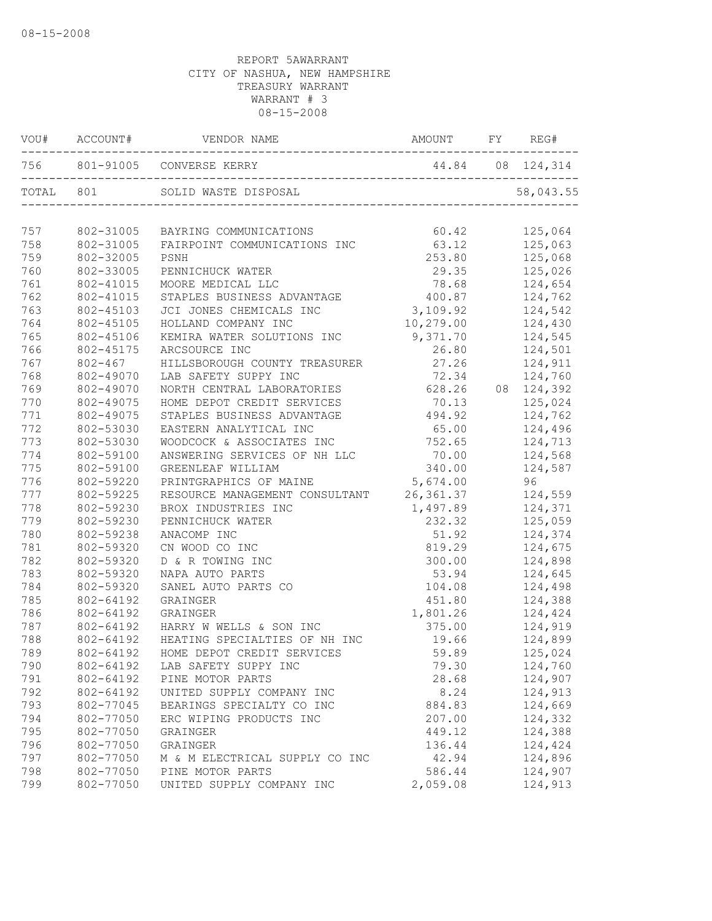|     | VOU# ACCOUNT# | VENDOR NAME AMOUNT<br>756 801-91005 CONVERSE KERRY     |                  | FY | REG#       |  |
|-----|---------------|--------------------------------------------------------|------------------|----|------------|--|
|     |               |                                                        | 44.84 08 124,314 |    |            |  |
|     | TOTAL 801     | SOLID WASTE DISPOSAL<br>______________________________ |                  |    | 58,043.55  |  |
| 757 | 802-31005     | BAYRING COMMUNICATIONS                                 | 60.42            |    | 125,064    |  |
| 758 | 802-31005     | FAIRPOINT COMMUNICATIONS INC                           | 63.12            |    | 125,063    |  |
| 759 | 802-32005     | PSNH                                                   | 253.80           |    | 125,068    |  |
| 760 | 802-33005     | PENNICHUCK WATER                                       | 29.35            |    | 125,026    |  |
| 761 | 802-41015     | MOORE MEDICAL LLC                                      | 78.68            |    | 124,654    |  |
| 762 | 802-41015     | STAPLES BUSINESS ADVANTAGE                             | 400.87           |    | 124,762    |  |
| 763 | 802-45103     | JCI JONES CHEMICALS INC                                | 3,109.92         |    | 124,542    |  |
| 764 | 802-45105     | HOLLAND COMPANY INC                                    | 10,279.00        |    | 124,430    |  |
| 765 | 802-45106     | KEMIRA WATER SOLUTIONS INC                             | 9,371.70         |    | 124,545    |  |
| 766 | 802-45175     | ARCSOURCE INC                                          | 26.80            |    | 124,501    |  |
| 767 | 802-467       | HILLSBOROUGH COUNTY TREASURER                          | 27.26            |    | 124,911    |  |
| 768 | 802-49070     | LAB SAFETY SUPPY INC                                   | 72.34            |    | 124,760    |  |
| 769 | 802-49070     | NORTH CENTRAL LABORATORIES                             | 628.26           |    | 08 124,392 |  |
| 770 | 802-49075     | HOME DEPOT CREDIT SERVICES                             | 70.13            |    | 125,024    |  |
| 771 | 802-49075     | STAPLES BUSINESS ADVANTAGE                             | 494.92           |    | 124,762    |  |
| 772 | 802-53030     | EASTERN ANALYTICAL INC                                 | 65.00            |    | 124,496    |  |
| 773 | 802-53030     | WOODCOCK & ASSOCIATES INC                              | 752.65           |    | 124,713    |  |
| 774 | 802-59100     | ANSWERING SERVICES OF NH LLC                           | 70.00            |    | 124,568    |  |
| 775 | 802-59100     | GREENLEAF WILLIAM                                      | 340.00           |    | 124,587    |  |
| 776 | 802-59220     | PRINTGRAPHICS OF MAINE                                 | 5,674.00         |    | 96 -       |  |
| 777 | 802-59225     | RESOURCE MANAGEMENT CONSULTANT 26,361.37               |                  |    | 124,559    |  |
| 778 | 802-59230     | BROX INDUSTRIES INC                                    | 1,497.89         |    | 124,371    |  |
| 779 | 802-59230     | PENNICHUCK WATER                                       | 232.32           |    | 125,059    |  |
| 780 | 802-59238     | ANACOMP INC                                            | 51.92            |    | 124,374    |  |
| 781 | 802-59320     | CN WOOD CO INC                                         | 819.29           |    | 124,675    |  |
| 782 | 802-59320     | D & R TOWING INC                                       | 300.00           |    | 124,898    |  |
| 783 | 802-59320     | NAPA AUTO PARTS                                        | 53.94            |    | 124,645    |  |
| 784 | 802-59320     | SANEL AUTO PARTS CO                                    | 104.08           |    | 124,498    |  |
| 785 | 802-64192     | GRAINGER                                               | 451.80           |    | 124,388    |  |
| 786 | 802-64192     | GRAINGER                                               | 1,801.26         |    | 124,424    |  |
| 787 | 802-64192     | HARRY W WELLS & SON INC                                | 375.00           |    | 124,919    |  |
| 788 | 802-64192     | HEATING SPECIALTIES OF NH INC                          | 19.66            |    | 124,899    |  |
| 789 | 802-64192     | HOME DEPOT CREDIT SERVICES                             | 59.89            |    | 125,024    |  |
| 790 | 802-64192     | LAB SAFETY SUPPY INC                                   | 79.30            |    | 124,760    |  |
| 791 | 802-64192     | PINE MOTOR PARTS                                       | 28.68            |    | 124,907    |  |
| 792 | 802-64192     | UNITED SUPPLY COMPANY INC                              | 8.24             |    | 124,913    |  |
| 793 | 802-77045     | BEARINGS SPECIALTY CO INC                              | 884.83           |    | 124,669    |  |
| 794 | 802-77050     | ERC WIPING PRODUCTS INC                                | 207.00           |    | 124,332    |  |
| 795 | 802-77050     | GRAINGER                                               | 449.12           |    | 124,388    |  |
| 796 | 802-77050     | GRAINGER                                               | 136.44           |    | 124,424    |  |
| 797 | 802-77050     | M & M ELECTRICAL SUPPLY CO INC                         | 42.94            |    | 124,896    |  |
| 798 | 802-77050     | PINE MOTOR PARTS                                       | 586.44           |    | 124,907    |  |
| 799 | 802-77050     | UNITED SUPPLY COMPANY INC                              | 2,059.08         |    | 124,913    |  |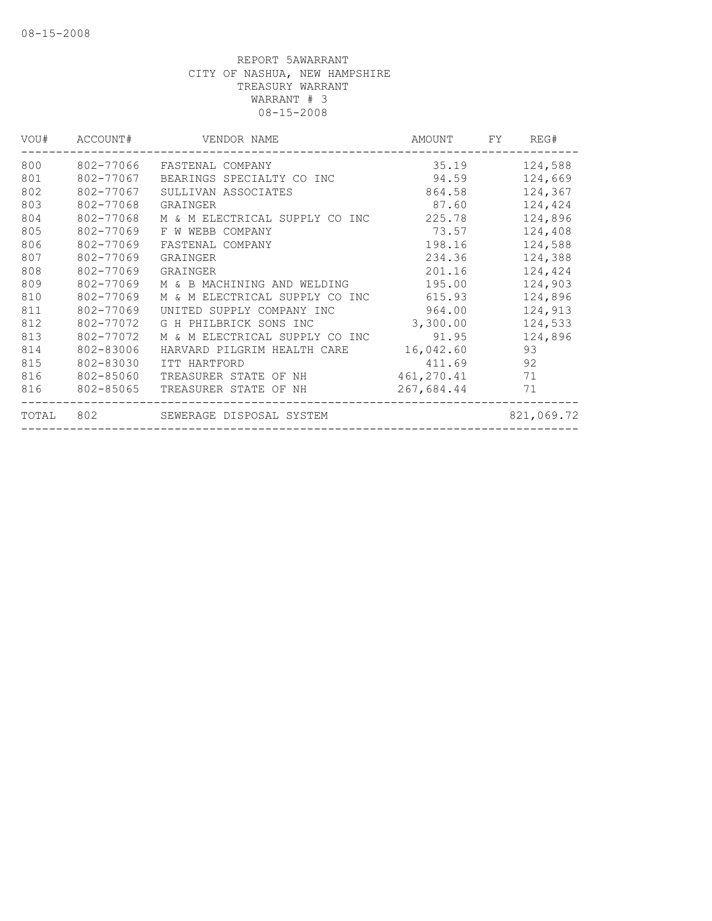| 802-77066<br>802-77067 | FASTENAL COMPANY               | 35.19      |            |
|------------------------|--------------------------------|------------|------------|
|                        |                                |            | 124,588    |
|                        | BEARINGS SPECIALTY CO INC      | 94.59      | 124,669    |
|                        | SULLIVAN ASSOCIATES            | 864.58     | 124,367    |
| 802-77068              | GRAINGER                       | 87.60      | 124,424    |
| 802-77068              | M & M ELECTRICAL SUPPLY CO INC | 225.78     | 124,896    |
| 802-77069              | F W WEBB COMPANY               | 73.57      | 124,408    |
| 802-77069              | FASTENAL COMPANY               | 198.16     | 124,588    |
| 802-77069              | GRAINGER                       | 234.36     | 124,388    |
| 802-77069              | GRAINGER                       | 201.16     | 124,424    |
| 802-77069              | M & B MACHINING AND WELDING    | 195.00     | 124,903    |
| 802-77069              | M & M ELECTRICAL SUPPLY CO INC | 615.93     | 124,896    |
| 802-77069              | UNITED SUPPLY COMPANY INC      | 964.00     | 124,913    |
| 802-77072              | G H PHILBRICK SONS INC         | 3,300.00   | 124,533    |
| 802-77072              | M & M ELECTRICAL SUPPLY CO INC | 91.95      | 124,896    |
| 802-83006              | HARVARD PILGRIM HEALTH CARE    | 16,042.60  | 93         |
| 802-83030              | ITT HARTFORD                   | 411.69     | 92         |
| 802-85060              | TREASURER STATE OF NH          | 461,270.41 | 71         |
| 802-85065              | TREASURER STATE OF NH          | 267,684.44 | 71         |
| 802                    | SEWERAGE DISPOSAL SYSTEM       |            | 821,069.72 |
|                        | 802-77067                      |            |            |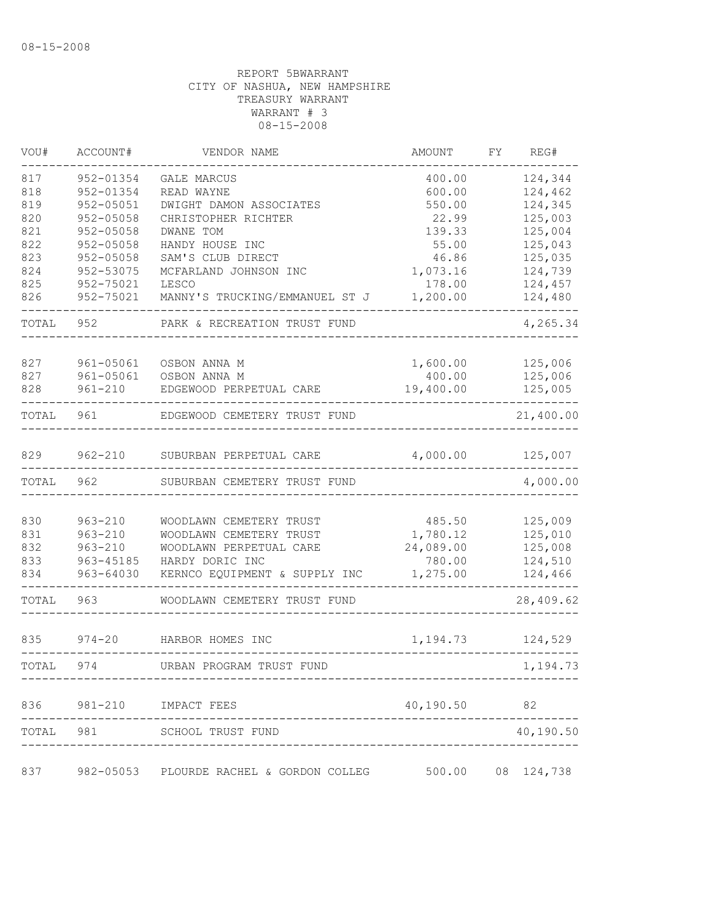| VOU#  | ACCOUNT#      | VENDOR NAME                              | AMOUNT    | FΥ | REG#       |
|-------|---------------|------------------------------------------|-----------|----|------------|
| 817   | 952-01354     | GALE MARCUS                              | 400.00    |    | 124,344    |
| 818   | 952-01354     | READ WAYNE                               | 600.00    |    | 124,462    |
| 819   | 952-05051     | DWIGHT DAMON ASSOCIATES                  | 550.00    |    | 124,345    |
| 820   | 952-05058     | CHRISTOPHER RICHTER                      | 22.99     |    | 125,003    |
| 821   | 952-05058     | DWANE TOM                                | 139.33    |    | 125,004    |
| 822   | 952-05058     | HANDY HOUSE INC                          | 55.00     |    | 125,043    |
| 823   | 952-05058     | SAM'S CLUB DIRECT                        | 46.86     |    | 125,035    |
| 824   | 952-53075     | MCFARLAND JOHNSON INC                    | 1,073.16  |    | 124,739    |
| 825   | 952-75021     | LESCO                                    | 178.00    |    | 124,457    |
| 826   | 952-75021     | MANNY'S TRUCKING/EMMANUEL ST J           | 1,200.00  |    | 124,480    |
| TOTAL | 952           | PARK & RECREATION TRUST FUND             |           |    | 4,265.34   |
| 827   | 961-05061     | OSBON ANNA M                             | 1,600.00  |    | 125,006    |
| 827   | $961 - 05061$ | OSBON ANNA M                             | 400.00    |    | 125,006    |
| 828   | $961 - 210$   | EDGEWOOD PERPETUAL CARE                  | 19,400.00 |    | 125,005    |
| TOTAL | 961           | EDGEWOOD CEMETERY TRUST FUND             |           |    | 21,400.00  |
| 829   | $962 - 210$   | SUBURBAN PERPETUAL CARE                  | 4,000.00  |    | 125,007    |
| TOTAL | 962           | SUBURBAN CEMETERY TRUST FUND             |           |    | 4,000.00   |
|       |               |                                          |           |    |            |
| 830   | $963 - 210$   | WOODLAWN CEMETERY TRUST                  | 485.50    |    | 125,009    |
| 831   | $963 - 210$   | WOODLAWN CEMETERY TRUST                  | 1,780.12  |    | 125,010    |
| 832   | $963 - 210$   | WOODLAWN PERPETUAL CARE                  | 24,089.00 |    | 125,008    |
| 833   | 963-45185     | HARDY DORIC INC                          | 780.00    |    | 124,510    |
| 834   | 963-64030     | KERNCO EQUIPMENT & SUPPLY INC            | 1,275.00  |    | 124,466    |
| TOTAL | 963           | WOODLAWN CEMETERY TRUST FUND             |           |    | 28,409.62  |
| 835   | $974 - 20$    | HARBOR HOMES INC                         | 1,194.73  |    | 124,529    |
| TOTAL | 974           | URBAN PROGRAM TRUST FUND                 |           |    | 1,194.73   |
| 836   |               | 981-210 IMPACT FEES                      | 40,190.50 |    | 82         |
|       |               |                                          |           |    |            |
| TOTAL | 981           | SCHOOL TRUST FUND                        |           |    | 40,190.50  |
| 837   |               | 982-05053 PLOURDE RACHEL & GORDON COLLEG | 500.00    |    | 08 124,738 |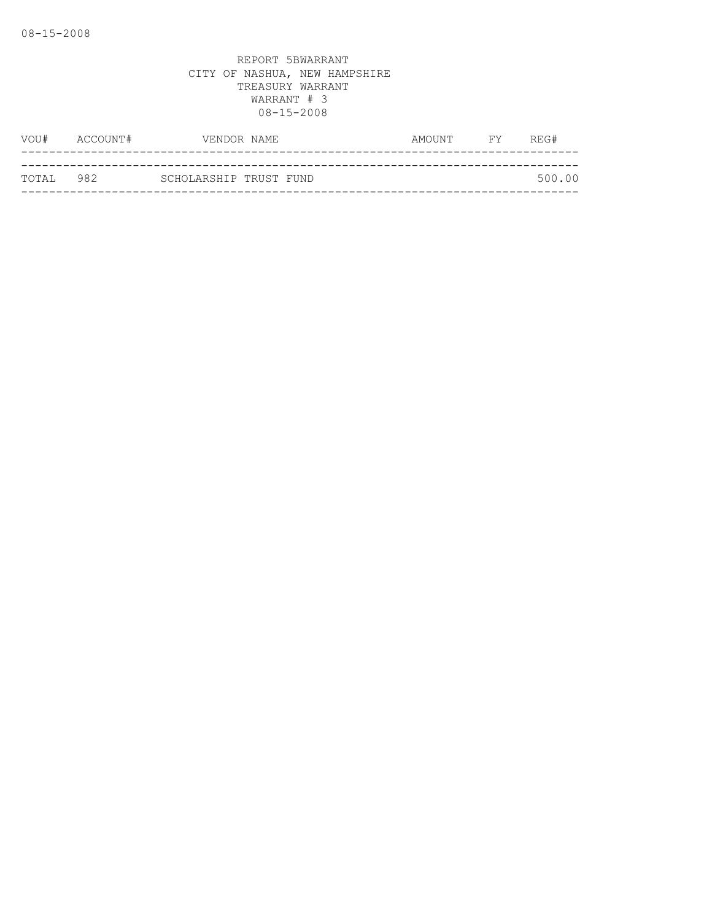| VOU#      | ACCOUNT# | VENDOR NAME            |  | AMOUNT | <b>FY</b> | REG#   |
|-----------|----------|------------------------|--|--------|-----------|--------|
|           |          |                        |  |        |           |        |
| TOTAL 982 |          | SCHOLARSHIP TRUST FUND |  |        |           | 500.00 |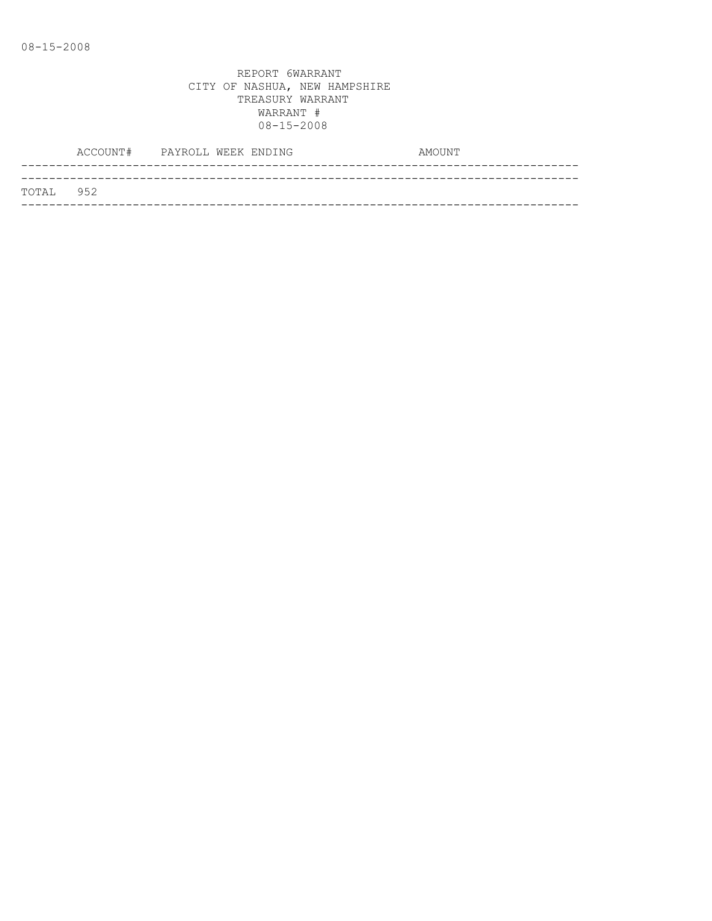|           | ACCOUNT# PAYROLL WEEK ENDING |  |  | AMOUNT |
|-----------|------------------------------|--|--|--------|
|           |                              |  |  |        |
| TOTAL 952 |                              |  |  |        |
|           |                              |  |  |        |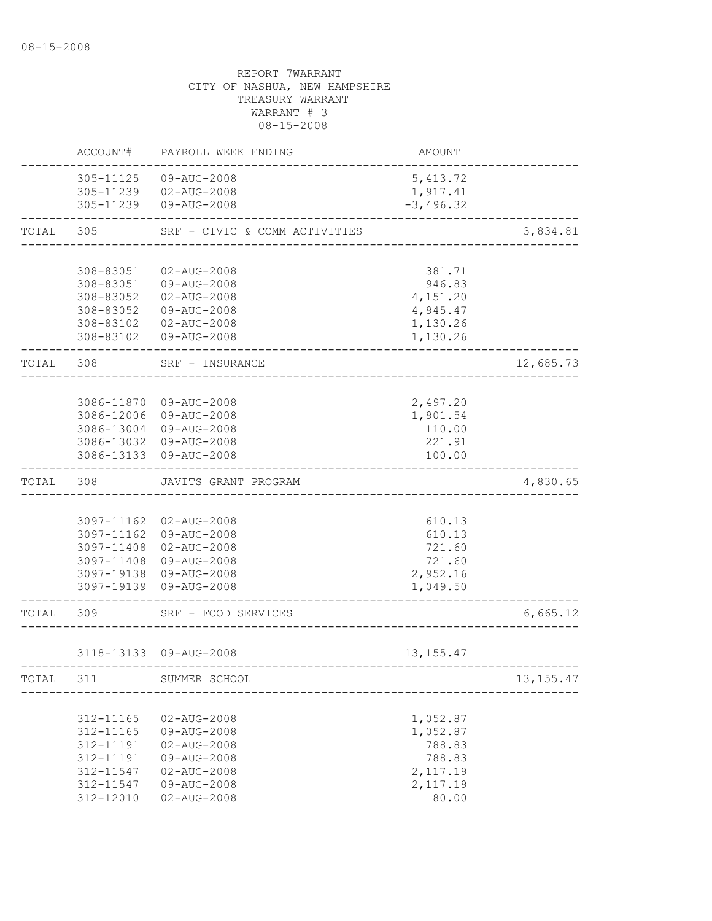|       | ACCOUNT#                 | PAYROLL WEEK ENDING              | AMOUNT               |             |
|-------|--------------------------|----------------------------------|----------------------|-------------|
|       | 305-11125                | 09-AUG-2008                      | 5, 413.72            |             |
|       |                          | 305-11239  02-AUG-2008           | 1,917.41             |             |
|       | 305-11239                | 09-AUG-2008                      | $-3,496.32$          |             |
| TOTAL | 305                      | SRF - CIVIC & COMM ACTIVITIES    |                      | 3,834.81    |
|       |                          |                                  |                      |             |
|       | 308-83051                | 02-AUG-2008                      | 381.71               |             |
|       | 308-83051                | 09-AUG-2008                      | 946.83               |             |
|       | 308-83052                | $02 - AUG - 2008$                | 4,151.20             |             |
|       | 308-83052<br>308-83102   | 09-AUG-2008<br>02-AUG-2008       | 4,945.47<br>1,130.26 |             |
|       |                          | 308-83102  09-AUG-2008           | 1,130.26             |             |
| TOTAL | 308                      | SRF - INSURANCE                  |                      | 12,685.73   |
|       |                          |                                  |                      |             |
|       | 3086-11870               | 09-AUG-2008                      | 2,497.20             |             |
|       | 3086-12006               | 09-AUG-2008                      | 1,901.54             |             |
|       | 3086-13004               | 09-AUG-2008                      | 110.00               |             |
|       |                          | 3086-13032 09-AUG-2008           | 221.91               |             |
|       | 3086-13133               | 09-AUG-2008                      | 100.00               |             |
| TOTAL | 308                      | JAVITS GRANT PROGRAM             |                      | 4,830.65    |
|       |                          |                                  |                      |             |
|       | 3097-11162               | 02-AUG-2008                      | 610.13               |             |
|       | 3097-11162               | 09-AUG-2008                      | 610.13               |             |
|       | 3097-11408               | 02-AUG-2008                      | 721.60               |             |
|       | 3097-11408<br>3097-19138 | 09-AUG-2008<br>09-AUG-2008       | 721.60<br>2,952.16   |             |
|       |                          | 3097-19139 09-AUG-2008           | 1,049.50             |             |
|       |                          |                                  |                      |             |
| TOTAL | 309                      | SRF - FOOD SERVICES              |                      | 6,665.12    |
|       |                          | 3118-13133 09-AUG-2008           | 13, 155. 47          |             |
|       |                          |                                  |                      |             |
| TOTAL | 311                      | SUMMER SCHOOL                    |                      | 13, 155. 47 |
|       |                          |                                  |                      |             |
|       | 312-11165                | 02-AUG-2008                      | 1,052.87             |             |
|       | 312-11165                | 09-AUG-2008                      | 1,052.87             |             |
|       | 312-11191<br>312-11191   | $02 - AUG - 2008$<br>09-AUG-2008 | 788.83<br>788.83     |             |
|       | 312-11547                | $02 - AUG - 2008$                | 2,117.19             |             |
|       | 312-11547                | 09-AUG-2008                      | 2,117.19             |             |
|       | 312-12010                | $02 - AUG - 2008$                | 80.00                |             |
|       |                          |                                  |                      |             |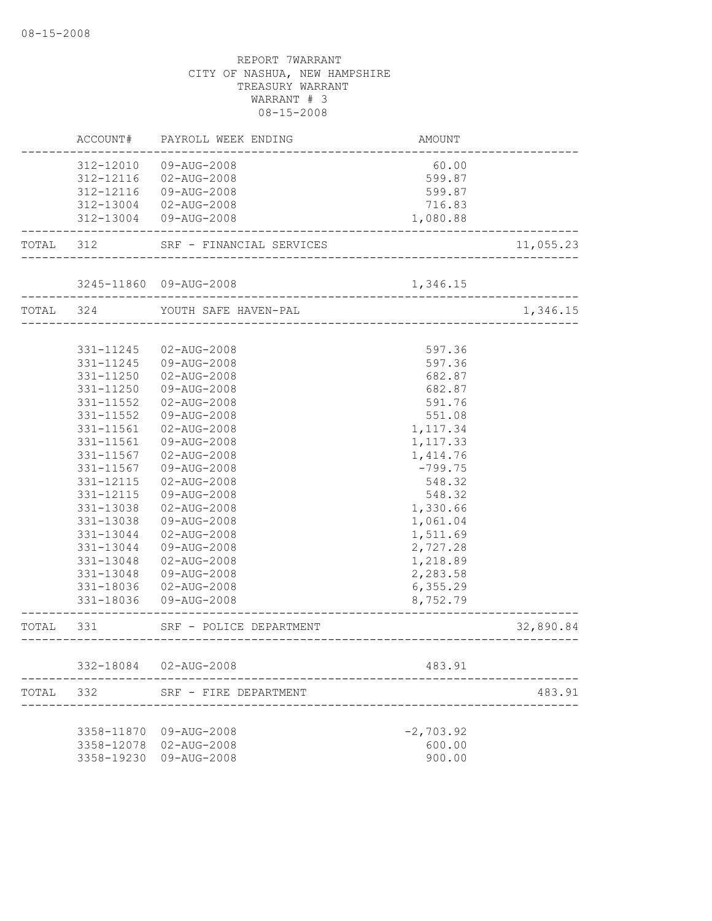|           | ACCOUNT#   | PAYROLL WEEK ENDING                                           | AMOUNT                |           |
|-----------|------------|---------------------------------------------------------------|-----------------------|-----------|
|           | 312-12010  | 09-AUG-2008                                                   | 60.00                 |           |
|           | 312-12116  | 02-AUG-2008                                                   | 599.87                |           |
|           | 312-12116  | 09-AUG-2008                                                   | 599.87                |           |
|           |            | 312-13004 02-AUG-2008                                         | 716.83                |           |
|           |            | 312-13004 09-AUG-2008                                         | 1,080.88              |           |
| TOTAL     | 312        | SRF - FINANCIAL SERVICES                                      |                       | 11,055.23 |
|           |            | 3245-11860 09-AUG-2008                                        | 1,346.15              |           |
| TOTAL 324 |            | . _ _ _ _ _ _ _ _ _ _ _ _ _ _ _ _ _ _<br>YOUTH SAFE HAVEN-PAL |                       | 1,346.15  |
|           |            |                                                               |                       |           |
|           | 331-11245  | 02-AUG-2008                                                   | 597.36                |           |
|           | 331-11245  | 09-AUG-2008                                                   | 597.36                |           |
|           | 331-11250  | $02 - AUG - 2008$                                             | 682.87                |           |
|           | 331-11250  | 09-AUG-2008                                                   | 682.87                |           |
|           | 331-11552  | 02-AUG-2008                                                   | 591.76                |           |
|           | 331-11552  | 09-AUG-2008                                                   | 551.08                |           |
|           | 331-11561  | $02 - AUG - 2008$                                             | 1,117.34              |           |
|           | 331-11561  | 09-AUG-2008                                                   | 1,117.33              |           |
|           | 331-11567  | $02 - AUG - 2008$                                             | 1,414.76              |           |
|           | 331-11567  | 09-AUG-2008                                                   | $-799.75$             |           |
|           | 331-12115  | $02 - AUG - 2008$                                             | 548.32                |           |
|           | 331-12115  | 09-AUG-2008                                                   | 548.32                |           |
|           | 331-13038  | 02-AUG-2008                                                   | 1,330.66              |           |
|           | 331-13038  | 09-AUG-2008                                                   | 1,061.04              |           |
|           | 331-13044  | 02-AUG-2008                                                   | 1,511.69              |           |
|           | 331-13044  | 09-AUG-2008                                                   | 2,727.28              |           |
|           | 331-13048  | 02-AUG-2008                                                   | 1,218.89              |           |
|           | 331-13048  | 09-AUG-2008                                                   | 2,283.58              |           |
|           | 331-18036  | 02-AUG-2008                                                   | 6, 355.29             |           |
|           | 331-18036  | 09-AUG-2008                                                   | 8,752.79              |           |
| TOTAL     | 331        | SRF - POLICE DEPARTMENT                                       | _____________________ | 32,890.84 |
|           |            |                                                               |                       |           |
|           | 332-18084  | 02-AUG-2008                                                   | 483.91                |           |
| TOTAL     | 332        | SRF - FIRE DEPARTMENT                                         |                       | 483.91    |
|           | 3358-11870 | 09-AUG-2008                                                   | $-2,703.92$           |           |
|           | 3358-12078 | 02-AUG-2008                                                   | 600.00                |           |
|           | 3358-19230 | 09-AUG-2008                                                   | 900.00                |           |
|           |            |                                                               |                       |           |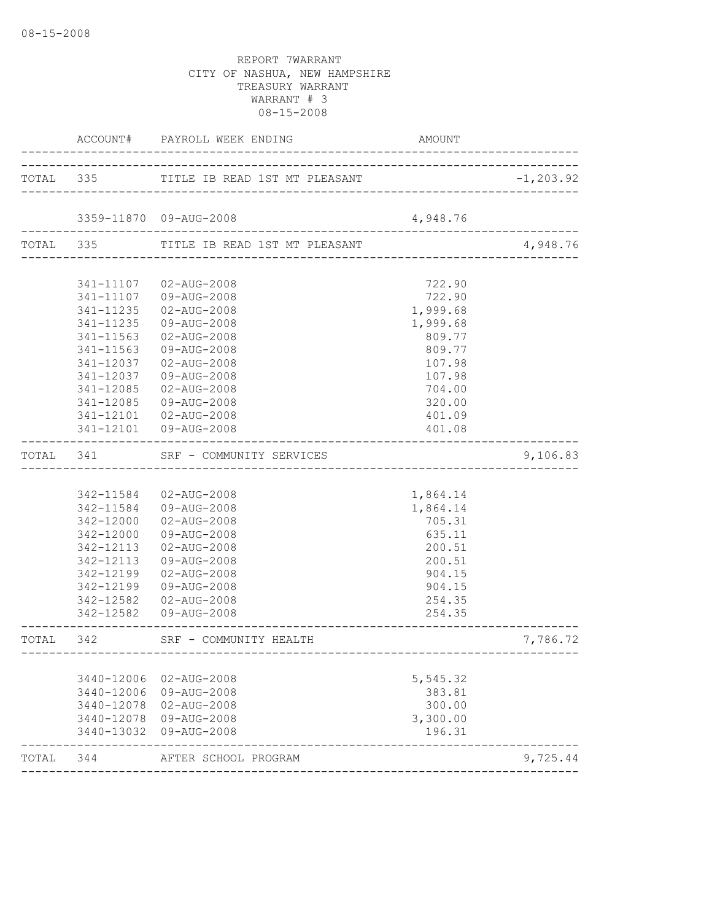|            | ACCOUNT# PAYROLL WEEK ENDING                                                                                                                                                                    | AMOUNT                                                                                                                                                                                                                                                                                                                                                                                                                                                                                                                                                                                                                     |                                                                                                                                                                                                                                              |
|------------|-------------------------------------------------------------------------------------------------------------------------------------------------------------------------------------------------|----------------------------------------------------------------------------------------------------------------------------------------------------------------------------------------------------------------------------------------------------------------------------------------------------------------------------------------------------------------------------------------------------------------------------------------------------------------------------------------------------------------------------------------------------------------------------------------------------------------------------|----------------------------------------------------------------------------------------------------------------------------------------------------------------------------------------------------------------------------------------------|
|            |                                                                                                                                                                                                 |                                                                                                                                                                                                                                                                                                                                                                                                                                                                                                                                                                                                                            | $-1, 203.92$                                                                                                                                                                                                                                 |
|            |                                                                                                                                                                                                 |                                                                                                                                                                                                                                                                                                                                                                                                                                                                                                                                                                                                                            |                                                                                                                                                                                                                                              |
|            |                                                                                                                                                                                                 |                                                                                                                                                                                                                                                                                                                                                                                                                                                                                                                                                                                                                            | 4,948.76                                                                                                                                                                                                                                     |
|            |                                                                                                                                                                                                 |                                                                                                                                                                                                                                                                                                                                                                                                                                                                                                                                                                                                                            |                                                                                                                                                                                                                                              |
|            |                                                                                                                                                                                                 |                                                                                                                                                                                                                                                                                                                                                                                                                                                                                                                                                                                                                            |                                                                                                                                                                                                                                              |
|            |                                                                                                                                                                                                 |                                                                                                                                                                                                                                                                                                                                                                                                                                                                                                                                                                                                                            |                                                                                                                                                                                                                                              |
|            |                                                                                                                                                                                                 |                                                                                                                                                                                                                                                                                                                                                                                                                                                                                                                                                                                                                            |                                                                                                                                                                                                                                              |
|            |                                                                                                                                                                                                 |                                                                                                                                                                                                                                                                                                                                                                                                                                                                                                                                                                                                                            |                                                                                                                                                                                                                                              |
|            |                                                                                                                                                                                                 |                                                                                                                                                                                                                                                                                                                                                                                                                                                                                                                                                                                                                            |                                                                                                                                                                                                                                              |
|            |                                                                                                                                                                                                 |                                                                                                                                                                                                                                                                                                                                                                                                                                                                                                                                                                                                                            |                                                                                                                                                                                                                                              |
|            |                                                                                                                                                                                                 |                                                                                                                                                                                                                                                                                                                                                                                                                                                                                                                                                                                                                            |                                                                                                                                                                                                                                              |
|            |                                                                                                                                                                                                 |                                                                                                                                                                                                                                                                                                                                                                                                                                                                                                                                                                                                                            |                                                                                                                                                                                                                                              |
|            |                                                                                                                                                                                                 |                                                                                                                                                                                                                                                                                                                                                                                                                                                                                                                                                                                                                            |                                                                                                                                                                                                                                              |
|            |                                                                                                                                                                                                 |                                                                                                                                                                                                                                                                                                                                                                                                                                                                                                                                                                                                                            |                                                                                                                                                                                                                                              |
|            |                                                                                                                                                                                                 |                                                                                                                                                                                                                                                                                                                                                                                                                                                                                                                                                                                                                            |                                                                                                                                                                                                                                              |
|            |                                                                                                                                                                                                 |                                                                                                                                                                                                                                                                                                                                                                                                                                                                                                                                                                                                                            |                                                                                                                                                                                                                                              |
|            |                                                                                                                                                                                                 |                                                                                                                                                                                                                                                                                                                                                                                                                                                                                                                                                                                                                            |                                                                                                                                                                                                                                              |
| TOTAL 341  |                                                                                                                                                                                                 |                                                                                                                                                                                                                                                                                                                                                                                                                                                                                                                                                                                                                            | 9,106.83                                                                                                                                                                                                                                     |
|            |                                                                                                                                                                                                 |                                                                                                                                                                                                                                                                                                                                                                                                                                                                                                                                                                                                                            |                                                                                                                                                                                                                                              |
|            |                                                                                                                                                                                                 |                                                                                                                                                                                                                                                                                                                                                                                                                                                                                                                                                                                                                            |                                                                                                                                                                                                                                              |
|            |                                                                                                                                                                                                 |                                                                                                                                                                                                                                                                                                                                                                                                                                                                                                                                                                                                                            |                                                                                                                                                                                                                                              |
|            |                                                                                                                                                                                                 |                                                                                                                                                                                                                                                                                                                                                                                                                                                                                                                                                                                                                            |                                                                                                                                                                                                                                              |
|            |                                                                                                                                                                                                 |                                                                                                                                                                                                                                                                                                                                                                                                                                                                                                                                                                                                                            |                                                                                                                                                                                                                                              |
|            |                                                                                                                                                                                                 |                                                                                                                                                                                                                                                                                                                                                                                                                                                                                                                                                                                                                            |                                                                                                                                                                                                                                              |
|            |                                                                                                                                                                                                 |                                                                                                                                                                                                                                                                                                                                                                                                                                                                                                                                                                                                                            |                                                                                                                                                                                                                                              |
|            |                                                                                                                                                                                                 |                                                                                                                                                                                                                                                                                                                                                                                                                                                                                                                                                                                                                            |                                                                                                                                                                                                                                              |
|            |                                                                                                                                                                                                 |                                                                                                                                                                                                                                                                                                                                                                                                                                                                                                                                                                                                                            |                                                                                                                                                                                                                                              |
|            |                                                                                                                                                                                                 |                                                                                                                                                                                                                                                                                                                                                                                                                                                                                                                                                                                                                            |                                                                                                                                                                                                                                              |
|            |                                                                                                                                                                                                 |                                                                                                                                                                                                                                                                                                                                                                                                                                                                                                                                                                                                                            |                                                                                                                                                                                                                                              |
|            |                                                                                                                                                                                                 |                                                                                                                                                                                                                                                                                                                                                                                                                                                                                                                                                                                                                            |                                                                                                                                                                                                                                              |
|            |                                                                                                                                                                                                 |                                                                                                                                                                                                                                                                                                                                                                                                                                                                                                                                                                                                                            | 7,786.72                                                                                                                                                                                                                                     |
|            |                                                                                                                                                                                                 |                                                                                                                                                                                                                                                                                                                                                                                                                                                                                                                                                                                                                            |                                                                                                                                                                                                                                              |
| 3440-12006 | 02-AUG-2008                                                                                                                                                                                     | 5,545.32                                                                                                                                                                                                                                                                                                                                                                                                                                                                                                                                                                                                                   |                                                                                                                                                                                                                                              |
| 3440-12006 |                                                                                                                                                                                                 | 383.81                                                                                                                                                                                                                                                                                                                                                                                                                                                                                                                                                                                                                     |                                                                                                                                                                                                                                              |
| 3440-12078 |                                                                                                                                                                                                 | 300.00                                                                                                                                                                                                                                                                                                                                                                                                                                                                                                                                                                                                                     |                                                                                                                                                                                                                                              |
| 3440-12078 |                                                                                                                                                                                                 | 3,300.00                                                                                                                                                                                                                                                                                                                                                                                                                                                                                                                                                                                                                   |                                                                                                                                                                                                                                              |
| 3440-13032 | 09-AUG-2008                                                                                                                                                                                     | 196.31                                                                                                                                                                                                                                                                                                                                                                                                                                                                                                                                                                                                                     |                                                                                                                                                                                                                                              |
| 344        |                                                                                                                                                                                                 |                                                                                                                                                                                                                                                                                                                                                                                                                                                                                                                                                                                                                            | 9,725.44                                                                                                                                                                                                                                     |
|            | 341-11235<br>341-11563<br>341-11563<br>341-12037<br>341-12037<br>341-12085<br>341-12085<br>341-12101<br>342-12000<br>342-12000<br>342-12113<br>342-12113<br>342-12199<br>342-12199<br>342-12582 | 3359-11870 09-AUG-2008<br>TOTAL 335 TITLE IB READ 1ST MT PLEASANT<br>341-11107  02-AUG-2008<br>341-11107 09-AUG-2008<br>341-11235  02-AUG-2008<br>09-AUG-2008<br>02-AUG-2008<br>09-AUG-2008<br>02-AUG-2008<br>09-AUG-2008<br>02-AUG-2008<br>09-AUG-2008<br>02-AUG-2008<br>341-12101  09-AUG-2008<br>SRF - COMMUNITY SERVICES<br>342-11584 02-AUG-2008<br>342-11584 09-AUG-2008<br>02-AUG-2008<br>09-AUG-2008<br>02-AUG-2008<br>09-AUG-2008<br>02-AUG-2008<br>09-AUG-2008<br>02-AUG-2008<br>342-12582  09-AUG-2008<br>TOTAL 342 SRF - COMMUNITY HEALTH<br>09-AUG-2008<br>02-AUG-2008<br>09-AUG-2008<br>AFTER SCHOOL PROGRAM | 4,948.76<br>722.90<br>722.90<br>1,999.68<br>1,999.68<br>809.77<br>809.77<br>107.98<br>107.98<br>704.00<br>320.00<br>401.09<br>401.08<br>1,864.14<br>1,864.14<br>705.31<br>635.11<br>200.51<br>200.51<br>904.15<br>904.15<br>254.35<br>254.35 |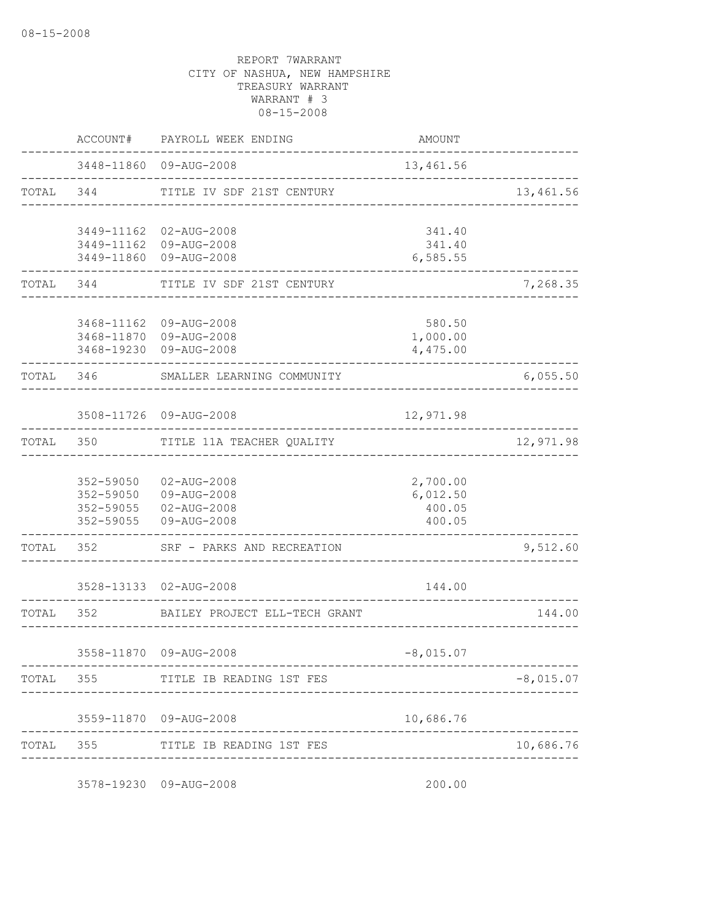|           | ACCOUNT#                                         | PAYROLL WEEK ENDING                                             | AMOUNT                                   |             |
|-----------|--------------------------------------------------|-----------------------------------------------------------------|------------------------------------------|-------------|
|           |                                                  | 3448-11860 09-AUG-2008                                          | 13,461.56                                |             |
| TOTAL 344 |                                                  | TITLE IV SDF 21ST CENTURY                                       |                                          | 13,461.56   |
|           | 3449-11162<br>3449-11860                         | 02-AUG-2008<br>3449-11162 09-AUG-2008<br>09-AUG-2008            | 341.40<br>341.40<br>6,585.55             |             |
| TOTAL     | 344                                              | TITLE IV SDF 21ST CENTURY                                       |                                          | 7,268.35    |
|           | 3468-19230                                       | 3468-11162 09-AUG-2008<br>3468-11870 09-AUG-2008<br>09-AUG-2008 | 580.50<br>1,000.00<br>4,475.00           |             |
| TOTAL     | 346                                              | SMALLER LEARNING COMMUNITY                                      |                                          | 6,055.50    |
|           |                                                  | 3508-11726 09-AUG-2008                                          | 12,971.98                                |             |
| TOTAL     | 350                                              | TITLE 11A TEACHER QUALITY                                       |                                          | 12,971.98   |
|           | 352-59050<br>352-59050<br>352-59055<br>352-59055 | 02-AUG-2008<br>09-AUG-2008<br>$02 - AUG - 2008$<br>09-AUG-2008  | 2,700.00<br>6,012.50<br>400.05<br>400.05 |             |
| TOTAL     | 352                                              | SRF - PARKS AND RECREATION                                      |                                          | 9,512.60    |
|           | 3528-13133                                       | 02-AUG-2008                                                     | 144.00                                   |             |
| TOTAL     | 352                                              | BAILEY PROJECT ELL-TECH GRANT                                   |                                          | 144.00      |
|           |                                                  | 3558-11870 09-AUG-2008                                          | $-8,015.07$                              |             |
|           | TOTAL 355                                        | TITLE IB READING 1ST FES                                        |                                          | $-8,015.07$ |
|           |                                                  | 3559-11870 09-AUG-2008                                          | 10,686.76                                |             |
| TOTAL     |                                                  | 355 TITLE IB READING 1ST FES                                    |                                          | 10,686.76   |
|           |                                                  | 3578-19230 09-AUG-2008                                          | 200.00                                   |             |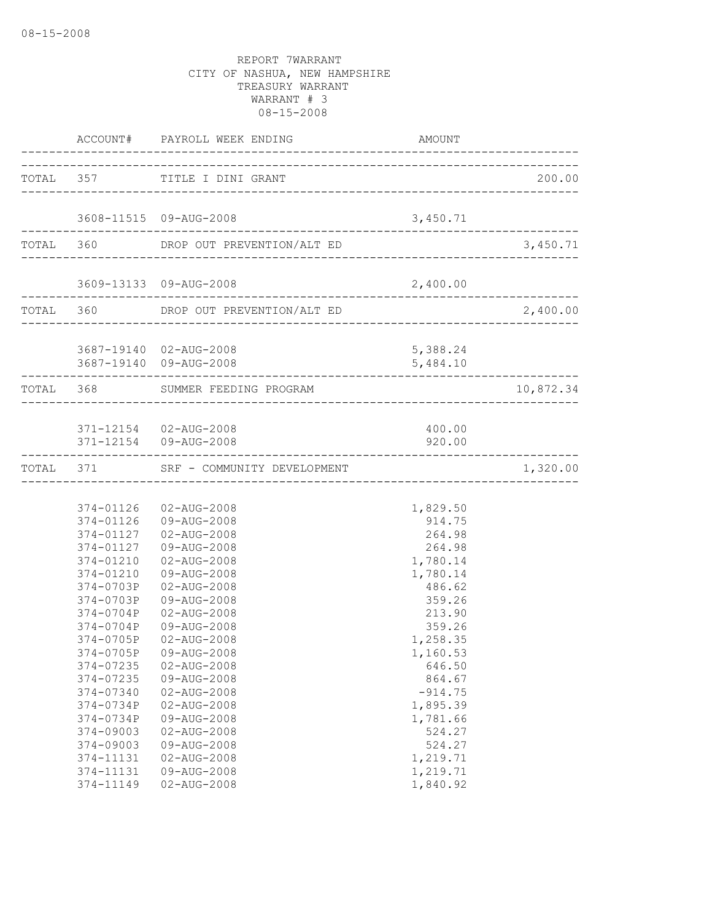|                                                                                                                                                                                                              | TOTAL 357 TITLE I DINI GRANT                                                                                                                                                                                                                                                                                                                                                                                             |                                                                                                                                                                                                                                                 | 200.00            |
|--------------------------------------------------------------------------------------------------------------------------------------------------------------------------------------------------------------|--------------------------------------------------------------------------------------------------------------------------------------------------------------------------------------------------------------------------------------------------------------------------------------------------------------------------------------------------------------------------------------------------------------------------|-------------------------------------------------------------------------------------------------------------------------------------------------------------------------------------------------------------------------------------------------|-------------------|
|                                                                                                                                                                                                              | 3608-11515 09-AUG-2008                                                                                                                                                                                                                                                                                                                                                                                                   | 3,450.71                                                                                                                                                                                                                                        |                   |
|                                                                                                                                                                                                              | TOTAL 360 DROP OUT PREVENTION/ALT ED 3,450.                                                                                                                                                                                                                                                                                                                                                                              |                                                                                                                                                                                                                                                 | 3,450.71          |
|                                                                                                                                                                                                              | 3609-13133 09-AUG-2008                                                                                                                                                                                                                                                                                                                                                                                                   | 2,400.00                                                                                                                                                                                                                                        |                   |
| . _ _ _ _ _ _ _ _ _ _ _ _ _ _ _ _ _ _                                                                                                                                                                        | TOTAL 360 DROP OUT PREVENTION/ALT ED<br>-------------------------------                                                                                                                                                                                                                                                                                                                                                  |                                                                                                                                                                                                                                                 | 2,400.00          |
|                                                                                                                                                                                                              | 3687-19140 02-AUG-2008                                                                                                                                                                                                                                                                                                                                                                                                   | 5,388.24<br>5,484.10                                                                                                                                                                                                                            | ----------------- |
|                                                                                                                                                                                                              | TOTAL 368 SUMMER FEEDING PROGRAM                                                                                                                                                                                                                                                                                                                                                                                         |                                                                                                                                                                                                                                                 | 10,872.34         |
|                                                                                                                                                                                                              | 371-12154 02-AUG-2008<br>371-12154 09-AUG-2008                                                                                                                                                                                                                                                                                                                                                                           | 400.00<br>920.00                                                                                                                                                                                                                                |                   |
|                                                                                                                                                                                                              | TOTAL 371 SRF - COMMUNITY DEVELOPMENT                                                                                                                                                                                                                                                                                                                                                                                    |                                                                                                                                                                                                                                                 | 1,320.00          |
| 374-0703P<br>374-0703P<br>374-0704P<br>374-0704P<br>374-0705P<br>374-0705P<br>374-07235<br>374-07235<br>374-07340<br>374-0734P<br>374-0734P<br>374-09003<br>374-09003<br>374-11131<br>374-11131<br>374-11149 | 374-01126  02-AUG-2008<br>374-01126 09-AUG-2008<br>374-01127  02-AUG-2008<br>374-01127  09-AUG-2008<br>374-01210  02-AUG-2008<br>374-01210 09-AUG-2008<br>02-AUG-2008<br>09-AUG-2008<br>02-AUG-2008<br>09-AUG-2008<br>$02 - AUG - 2008$<br>09-AUG-2008<br>02-AUG-2008<br>09-AUG-2008<br>$02 - AUG - 2008$<br>02-AUG-2008<br>09-AUG-2008<br>$02 - AUG - 2008$<br>09-AUG-2008<br>02-AUG-2008<br>09-AUG-2008<br>02-AUG-2008 | 1,829.50<br>914.75<br>264.98<br>264.98<br>1,780.14<br>1,780.14<br>486.62<br>359.26<br>213.90<br>359.26<br>1,258.35<br>1,160.53<br>646.50<br>864.67<br>$-914.75$<br>1,895.39<br>1,781.66<br>524.27<br>524.27<br>1,219.71<br>1,219.71<br>1,840.92 |                   |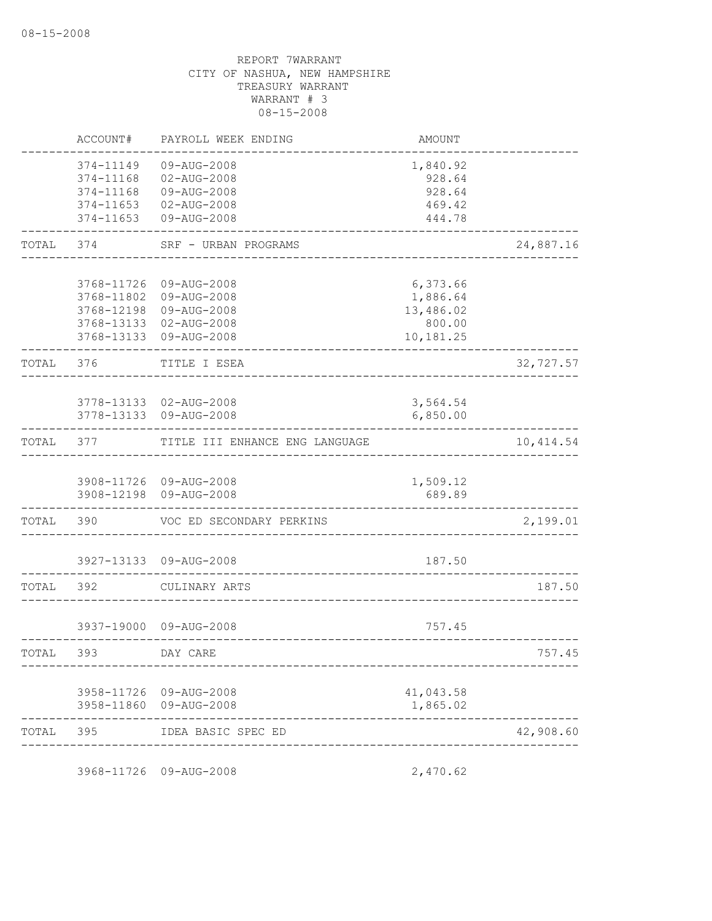|           | ACCOUNT#                                                      | PAYROLL WEEK ENDING                                                                | AMOUNT                                                   |            |
|-----------|---------------------------------------------------------------|------------------------------------------------------------------------------------|----------------------------------------------------------|------------|
|           | 374-11149<br>374-11168<br>374-11168<br>374-11653<br>374-11653 | 09-AUG-2008<br>02-AUG-2008<br>09-AUG-2008<br>02-AUG-2008<br>09-AUG-2008            | 1,840.92<br>928.64<br>928.64<br>469.42<br>444.78         |            |
| TOTAL     | 374                                                           | SRF - URBAN PROGRAMS                                                               |                                                          | 24,887.16  |
|           | 3768-11726<br>3768-11802<br>3768-12198<br>3768-13133          | 09-AUG-2008<br>09-AUG-2008<br>09-AUG-2008<br>02-AUG-2008<br>3768-13133 09-AUG-2008 | 6,373.66<br>1,886.64<br>13,486.02<br>800.00<br>10,181.25 |            |
| TOTAL     | 376                                                           | TITLE I ESEA                                                                       |                                                          | 32,727.57  |
|           | 3778-13133                                                    | 3778-13133 02-AUG-2008<br>09-AUG-2008                                              | 3,564.54<br>6,850.00                                     |            |
| TOTAL     | 377                                                           | TITLE III ENHANCE ENG LANGUAGE                                                     |                                                          | 10, 414.54 |
|           | 3908-12198                                                    | 3908-11726 09-AUG-2008<br>09-AUG-2008                                              | 1,509.12<br>689.89                                       |            |
| TOTAL     | 390                                                           | VOC ED SECONDARY PERKINS                                                           |                                                          | 2,199.01   |
|           | 3927-13133                                                    | 09-AUG-2008                                                                        | 187.50                                                   |            |
| TOTAL     | 392                                                           | CULINARY ARTS                                                                      |                                                          | 187.50     |
|           |                                                               | 3937-19000 09-AUG-2008                                                             | 757.45                                                   |            |
| TOTAL     | 393                                                           | DAY CARE                                                                           |                                                          | 757.45     |
|           |                                                               | 3958-11726 09-AUG-2008<br>3958-11860 09-AUG-2008                                   | 41,043.58<br>1,865.02                                    |            |
| TOTAL 395 |                                                               | IDEA BASIC SPEC ED                                                                 |                                                          | 42,908.60  |

3968-11726 09-AUG-2008 2,470.62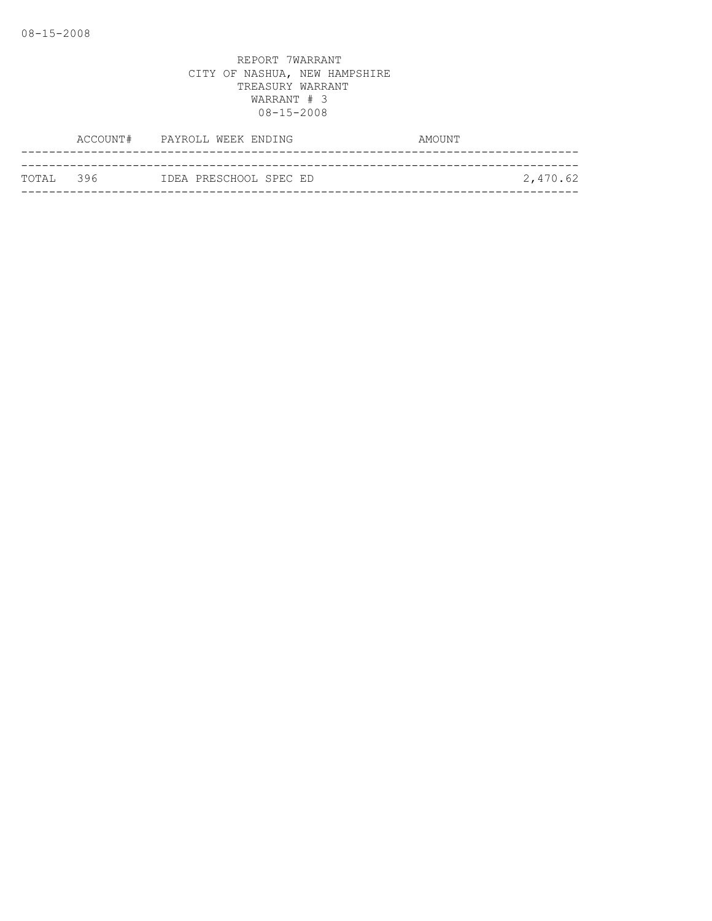|            | ACCOUNT# PAYROLL WEEK ENDING | AMOUNT   |
|------------|------------------------------|----------|
|            |                              |          |
| ТОТАІ. 396 | IDEA PRESCHOOL SPEC ED       | 2,470.62 |
|            |                              |          |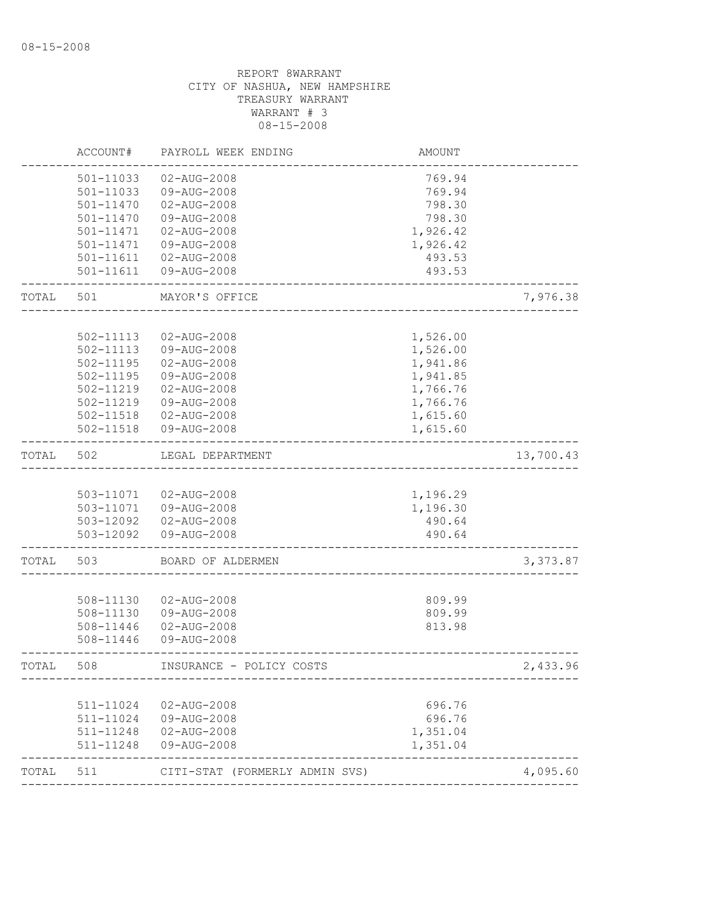|       | ACCOUNT#               | PAYROLL WEEK ENDING            | <b>AMOUNT</b>    |           |
|-------|------------------------|--------------------------------|------------------|-----------|
|       | 501-11033              | 02-AUG-2008                    | 769.94           |           |
|       | 501-11033              | 09-AUG-2008                    | 769.94           |           |
|       | 501-11470              | 02-AUG-2008                    | 798.30           |           |
|       | $501 - 11470$          | 09-AUG-2008                    | 798.30           |           |
|       | 501-11471              | 02-AUG-2008                    | 1,926.42         |           |
|       | 501-11471              | 09-AUG-2008                    | 1,926.42         |           |
|       | 501-11611              | 02-AUG-2008                    | 493.53           |           |
|       | 501-11611              | 09-AUG-2008                    | 493.53           |           |
| TOTAL | 501                    | MAYOR'S OFFICE                 |                  | 7,976.38  |
|       |                        |                                |                  |           |
|       | 502-11113              | $02 - AUG - 2008$              | 1,526.00         |           |
|       | 502-11113              | 09-AUG-2008                    | 1,526.00         |           |
|       | 502-11195              | $02 - AUG - 2008$              | 1,941.86         |           |
|       | 502-11195              | 09-AUG-2008                    | 1,941.85         |           |
|       | 502-11219              | $02 - AUG - 2008$              | 1,766.76         |           |
|       | 502-11219              | 09-AUG-2008                    | 1,766.76         |           |
|       | 502-11518<br>502-11518 | 02-AUG-2008                    | 1,615.60         |           |
|       |                        | 09-AUG-2008                    | 1,615.60         |           |
| TOTAL | 502                    | LEGAL DEPARTMENT               |                  | 13,700.43 |
|       |                        |                                |                  |           |
|       | 503-11071              | 02-AUG-2008                    | 1,196.29         |           |
|       | 503-11071              | 09-AUG-2008                    | 1,196.30         |           |
|       | 503-12092              | 02-AUG-2008                    | 490.64           |           |
|       | 503-12092              | 09-AUG-2008                    | 490.64           |           |
| TOTAL | 503                    | BOARD OF ALDERMEN              |                  | 3,373.87  |
|       |                        |                                |                  |           |
|       | 508-11130              | $02 - AUG - 2008$              | 809.99           |           |
|       | 508-11130<br>508-11446 | 09-AUG-2008<br>02-AUG-2008     | 809.99<br>813.98 |           |
|       | 508-11446              | 09-AUG-2008                    |                  |           |
| TOTAL | 508                    | INSURANCE - POLICY COSTS       |                  | 2,433.96  |
|       |                        |                                |                  |           |
|       | 511-11024              | 02-AUG-2008                    | 696.76           |           |
|       | 511-11024              | 09-AUG-2008                    | 696.76           |           |
|       | 511-11248              | 02-AUG-2008                    | 1,351.04         |           |
|       | 511-11248              | 09-AUG-2008                    | 1,351.04         |           |
| TOTAL | 511                    | CITI-STAT (FORMERLY ADMIN SVS) |                  | 4,095.60  |
|       |                        |                                |                  |           |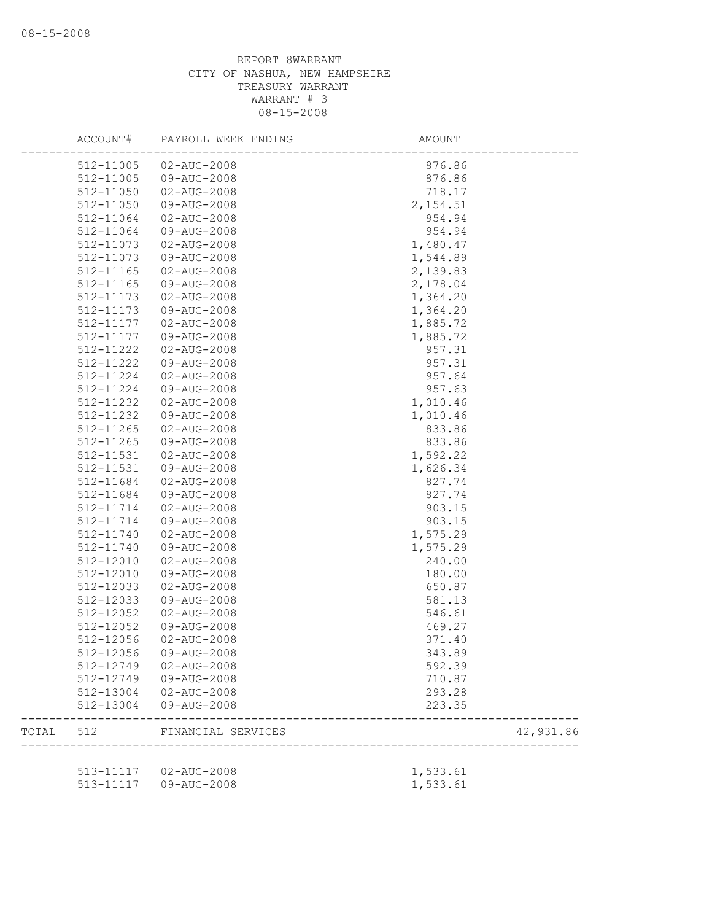|       | ACCOUNT#  | PAYROLL WEEK ENDING    | AMOUNT    |           |
|-------|-----------|------------------------|-----------|-----------|
|       | 512-11005 | $02 - AUG - 2008$      | 876.86    |           |
|       | 512-11005 | 09-AUG-2008            | 876.86    |           |
|       | 512-11050 | 02-AUG-2008            | 718.17    |           |
|       | 512-11050 | 09-AUG-2008            | 2, 154.51 |           |
|       | 512-11064 | 02-AUG-2008            | 954.94    |           |
|       | 512-11064 | 09-AUG-2008            | 954.94    |           |
|       | 512-11073 | 02-AUG-2008            | 1,480.47  |           |
|       | 512-11073 | 09-AUG-2008            | 1,544.89  |           |
|       | 512-11165 | 02-AUG-2008            | 2,139.83  |           |
|       | 512-11165 | 09-AUG-2008            | 2,178.04  |           |
|       | 512-11173 | 02-AUG-2008            | 1,364.20  |           |
|       | 512-11173 | 09-AUG-2008            | 1,364.20  |           |
|       | 512-11177 | 02-AUG-2008            | 1,885.72  |           |
|       | 512-11177 | 09-AUG-2008            | 1,885.72  |           |
|       | 512-11222 | 02-AUG-2008            | 957.31    |           |
|       | 512-11222 | 09-AUG-2008            | 957.31    |           |
|       | 512-11224 | $02 - AUG - 2008$      | 957.64    |           |
|       | 512-11224 | 09-AUG-2008            | 957.63    |           |
|       | 512-11232 | 02-AUG-2008            | 1,010.46  |           |
|       | 512-11232 | 09-AUG-2008            | 1,010.46  |           |
|       | 512-11265 | 02-AUG-2008            | 833.86    |           |
|       | 512-11265 | 09-AUG-2008            | 833.86    |           |
|       | 512-11531 | 02-AUG-2008            | 1,592.22  |           |
|       | 512-11531 | 09-AUG-2008            | 1,626.34  |           |
|       | 512-11684 | 02-AUG-2008            | 827.74    |           |
|       | 512-11684 | 09-AUG-2008            | 827.74    |           |
|       | 512-11714 | 02-AUG-2008            | 903.15    |           |
|       | 512-11714 | 09-AUG-2008            | 903.15    |           |
|       |           |                        |           |           |
|       | 512-11740 | 02-AUG-2008            | 1,575.29  |           |
|       | 512-11740 | 09-AUG-2008            | 1,575.29  |           |
|       | 512-12010 | 02-AUG-2008            | 240.00    |           |
|       | 512-12010 | 09-AUG-2008            | 180.00    |           |
|       | 512-12033 | 02-AUG-2008            | 650.87    |           |
|       | 512-12033 | 09-AUG-2008            | 581.13    |           |
|       | 512-12052 | 02-AUG-2008            | 546.61    |           |
|       | 512-12052 | 09-AUG-2008            | 469.27    |           |
|       | 512-12056 | $02 - AUG - 2008$      | 371.40    |           |
|       | 512-12056 | 09-AUG-2008            | 343.89    |           |
|       | 512-12749 | 02-AUG-2008            | 592.39    |           |
|       | 512-12749 | 09-AUG-2008            | 710.87    |           |
|       | 512-13004 | 02-AUG-2008            | 293.28    |           |
|       | 512-13004 | 09-AUG-2008            | 223.35    |           |
| TOTAL |           | 512 FINANCIAL SERVICES |           | 42,931.86 |
|       |           |                        |           |           |
|       |           | 513-11117  02-AUG-2008 | 1,533.61  |           |
|       |           | 513-11117  09-AUG-2008 | 1,533.61  |           |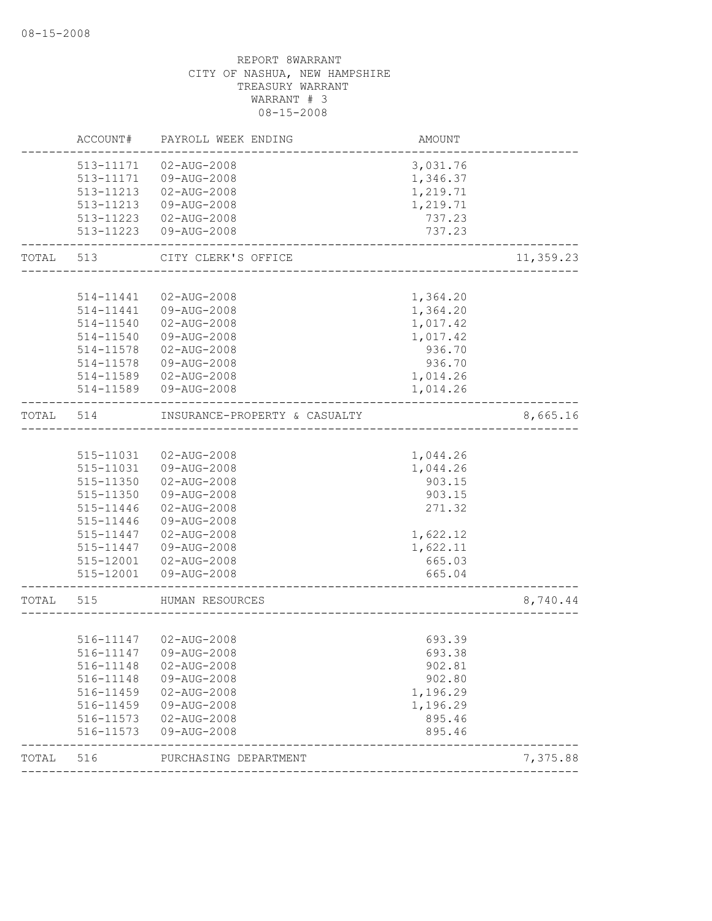|       | ACCOUNT#  | PAYROLL WEEK ENDING           | AMOUNT   |           |
|-------|-----------|-------------------------------|----------|-----------|
|       | 513-11171 | $02 - AUG - 2008$             | 3,031.76 |           |
|       | 513-11171 | 09-AUG-2008                   | 1,346.37 |           |
|       | 513-11213 | $02 - AUG - 2008$             | 1,219.71 |           |
|       | 513-11213 | 09-AUG-2008                   | 1,219.71 |           |
|       | 513-11223 | $02 - AUG - 2008$             | 737.23   |           |
|       | 513-11223 | 09-AUG-2008                   | 737.23   |           |
| TOTAL | 513       | CITY CLERK'S OFFICE           |          | 11,359.23 |
|       |           |                               |          |           |
|       | 514-11441 | 02-AUG-2008                   | 1,364.20 |           |
|       | 514-11441 | 09-AUG-2008                   | 1,364.20 |           |
|       | 514-11540 | 02-AUG-2008                   | 1,017.42 |           |
|       | 514-11540 | 09-AUG-2008                   | 1,017.42 |           |
|       | 514-11578 | 02-AUG-2008                   | 936.70   |           |
|       | 514-11578 | 09-AUG-2008                   | 936.70   |           |
|       | 514-11589 | $02 - AUG - 2008$             | 1,014.26 |           |
|       | 514-11589 | 09-AUG-2008                   | 1,014.26 |           |
| TOTAL | 514       | INSURANCE-PROPERTY & CASUALTY |          | 8,665.16  |
|       |           |                               |          |           |
|       | 515-11031 | 02-AUG-2008                   | 1,044.26 |           |
|       | 515-11031 | 09-AUG-2008                   | 1,044.26 |           |
|       | 515-11350 | $02 - AUG - 2008$             | 903.15   |           |
|       | 515-11350 | 09-AUG-2008                   | 903.15   |           |
|       | 515-11446 | 02-AUG-2008                   | 271.32   |           |
|       | 515-11446 | 09-AUG-2008                   |          |           |
|       | 515-11447 | $02 - AUG - 2008$             | 1,622.12 |           |
|       | 515-11447 | 09-AUG-2008                   | 1,622.11 |           |
|       | 515-12001 | 02-AUG-2008                   | 665.03   |           |
|       | 515-12001 | 09-AUG-2008                   | 665.04   |           |
| TOTAL | 515       | HUMAN RESOURCES               |          | 8,740.44  |
|       |           |                               |          |           |
|       |           | 516-11147  02-AUG-2008        | 693.39   |           |
|       |           | 516-11147  09-AUG-2008        | 693.38   |           |
|       | 516-11148 | 02-AUG-2008                   | 902.81   |           |
|       | 516-11148 | 09-AUG-2008                   | 902.80   |           |
|       | 516-11459 | 02-AUG-2008                   | 1,196.29 |           |
|       | 516-11459 | 09-AUG-2008                   | 1,196.29 |           |
|       | 516-11573 | 02-AUG-2008                   | 895.46   |           |
|       | 516-11573 | 09-AUG-2008                   | 895.46   |           |
| TOTAL | 516       | PURCHASING DEPARTMENT         |          | 7,375.88  |
|       |           |                               |          |           |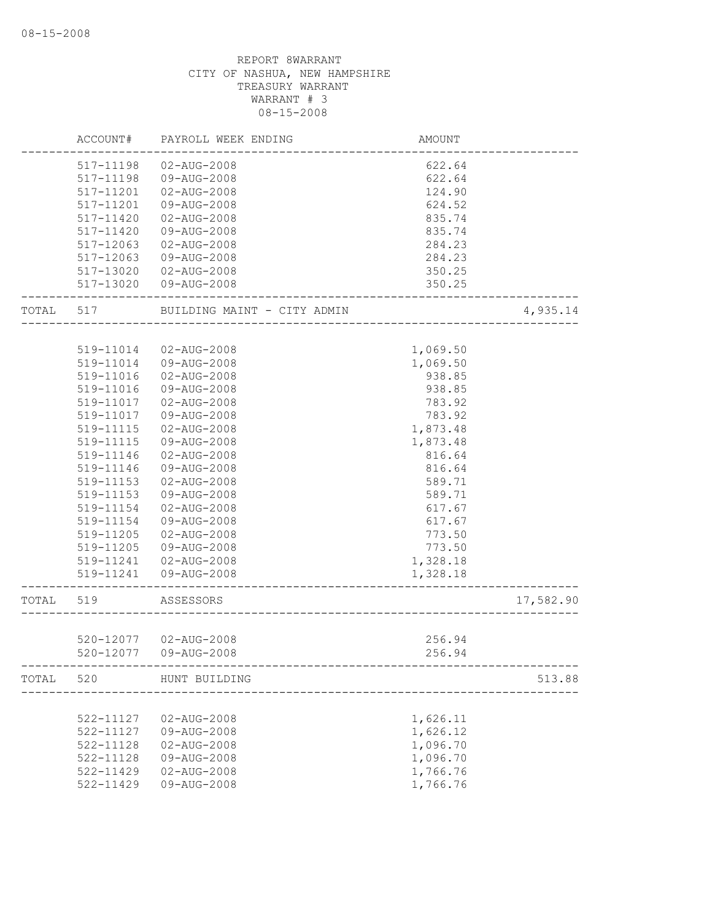|       | ACCOUNT#      | PAYROLL WEEK ENDING         | AMOUNT   |           |
|-------|---------------|-----------------------------|----------|-----------|
|       | 517-11198     | 02-AUG-2008                 | 622.64   |           |
|       | 517-11198     | 09-AUG-2008                 | 622.64   |           |
|       | 517-11201     | 02-AUG-2008                 | 124.90   |           |
|       | 517-11201     | 09-AUG-2008                 | 624.52   |           |
|       | 517-11420     | $02 - AUG - 2008$           | 835.74   |           |
|       | 517-11420     | 09-AUG-2008                 | 835.74   |           |
|       | 517-12063     | $02 - AUG - 2008$           | 284.23   |           |
|       | $517 - 12063$ | 09-AUG-2008                 | 284.23   |           |
|       | 517-13020     | 02-AUG-2008                 | 350.25   |           |
|       | 517-13020     | 09-AUG-2008                 | 350.25   |           |
| TOTAL | 517           | BUILDING MAINT - CITY ADMIN |          | 4,935.14  |
|       |               |                             |          |           |
|       | 519-11014     | 02-AUG-2008                 | 1,069.50 |           |
|       | 519-11014     | 09-AUG-2008                 | 1,069.50 |           |
|       | 519-11016     | $02 - AUG - 2008$           | 938.85   |           |
|       | 519-11016     | 09-AUG-2008                 | 938.85   |           |
|       | 519-11017     | $02 - AUG - 2008$           | 783.92   |           |
|       | 519-11017     | 09-AUG-2008                 | 783.92   |           |
|       | 519-11115     | 02-AUG-2008                 | 1,873.48 |           |
|       | 519-11115     | 09-AUG-2008                 | 1,873.48 |           |
|       | 519-11146     | 02-AUG-2008                 | 816.64   |           |
|       | 519-11146     | 09-AUG-2008                 | 816.64   |           |
|       | 519-11153     | $02 - AUG - 2008$           | 589.71   |           |
|       | 519-11153     | 09-AUG-2008                 | 589.71   |           |
|       | 519-11154     | 02-AUG-2008                 | 617.67   |           |
|       | 519-11154     | 09-AUG-2008                 | 617.67   |           |
|       | 519-11205     | $02 - AUG - 2008$           | 773.50   |           |
|       | 519-11205     | 09-AUG-2008                 | 773.50   |           |
|       | 519-11241     | 02-AUG-2008                 | 1,328.18 |           |
|       | 519-11241     | 09-AUG-2008                 | 1,328.18 |           |
| TOTAL | 519           | ASSESSORS                   |          | 17,582.90 |
|       |               |                             |          |           |
|       |               | 520-12077  02-AUG-2008      | 256.94   |           |
|       |               | 520-12077 09-AUG-2008       | 256.94   |           |
| TOTAL | 520           | HUNT BUILDING               |          | 513.88    |
|       |               |                             |          |           |
|       | 522-11127     | 02-AUG-2008                 | 1,626.11 |           |
|       | 522-11127     | 09-AUG-2008                 | 1,626.12 |           |
|       | 522-11128     | $02 - AUG - 2008$           | 1,096.70 |           |
|       | 522-11128     | 09-AUG-2008                 | 1,096.70 |           |
|       | 522-11429     | 02-AUG-2008                 | 1,766.76 |           |
|       | 522-11429     | 09-AUG-2008                 | 1,766.76 |           |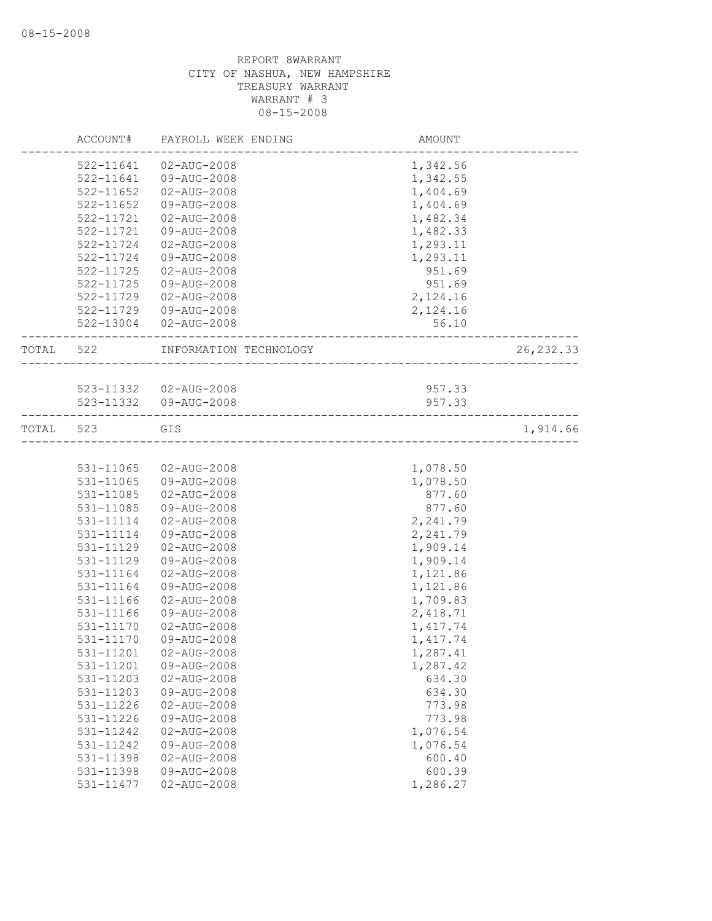|       | ACCOUNT#      | PAYROLL WEEK ENDING    | AMOUNT   |            |
|-------|---------------|------------------------|----------|------------|
|       | 522-11641     | 02-AUG-2008            | 1,342.56 |            |
|       | 522-11641     | 09-AUG-2008            | 1,342.55 |            |
|       | 522-11652     | 02-AUG-2008            | 1,404.69 |            |
|       | 522-11652     | 09-AUG-2008            | 1,404.69 |            |
|       | 522-11721     | 02-AUG-2008            | 1,482.34 |            |
|       | 522-11721     | 09-AUG-2008            | 1,482.33 |            |
|       | 522-11724     | 02-AUG-2008            | 1,293.11 |            |
|       | 522-11724     | 09-AUG-2008            | 1,293.11 |            |
|       | 522-11725     | $02 - AUG - 2008$      | 951.69   |            |
|       | 522-11725     | 09-AUG-2008            | 951.69   |            |
|       | 522-11729     | 02-AUG-2008            | 2,124.16 |            |
|       | 522-11729     | 09-AUG-2008            | 2,124.16 |            |
|       | 522-13004     | 02-AUG-2008            | 56.10    |            |
| TOTAL | 522           | INFORMATION TECHNOLOGY |          | 26, 232.33 |
|       |               |                        |          |            |
|       |               | 523-11332  02-AUG-2008 | 957.33   |            |
|       |               | 523-11332  09-AUG-2008 | 957.33   |            |
| TOTAL | 523           | GIS                    |          | 1,914.66   |
|       |               |                        |          |            |
|       | 531-11065     | 02-AUG-2008            | 1,078.50 |            |
|       | 531-11065     | 09-AUG-2008            | 1,078.50 |            |
|       | 531-11085     | 02-AUG-2008            | 877.60   |            |
|       | 531-11085     | 09-AUG-2008            | 877.60   |            |
|       | 531-11114     | 02-AUG-2008            | 2,241.79 |            |
|       | 531-11114     | 09-AUG-2008            | 2,241.79 |            |
|       | 531-11129     | 02-AUG-2008            | 1,909.14 |            |
|       | 531-11129     | 09-AUG-2008            | 1,909.14 |            |
|       | 531-11164     | 02-AUG-2008            | 1,121.86 |            |
|       | 531-11164     | 09-AUG-2008            | 1,121.86 |            |
|       | 531-11166     | 02-AUG-2008            | 1,709.83 |            |
|       | 531-11166     | 09-AUG-2008            | 2,418.71 |            |
|       | $531 - 11170$ | 02-AUG-2008            | 1,417.74 |            |
|       | 531-11170     | 09-AUG-2008            | 1,417.74 |            |
|       | 531-11201     | 02-AUG-2008            | 1,287.41 |            |
|       | 531-11201     | 09-AUG-2008            | 1,287.42 |            |
|       | 531-11203     | $02 - AUG - 2008$      | 634.30   |            |
|       | 531-11203     | 09-AUG-2008            | 634.30   |            |
|       | 531-11226     | $02 - AUG - 2008$      | 773.98   |            |
|       | 531-11226     | 09-AUG-2008            | 773.98   |            |
|       | 531-11242     | $02 - AUG - 2008$      | 1,076.54 |            |
|       | 531-11242     | 09-AUG-2008            | 1,076.54 |            |
|       | 531-11398     | 02-AUG-2008            | 600.40   |            |
|       | 531-11398     | 09-AUG-2008            | 600.39   |            |
|       | 531-11477     | $02 - AUG - 2008$      | 1,286.27 |            |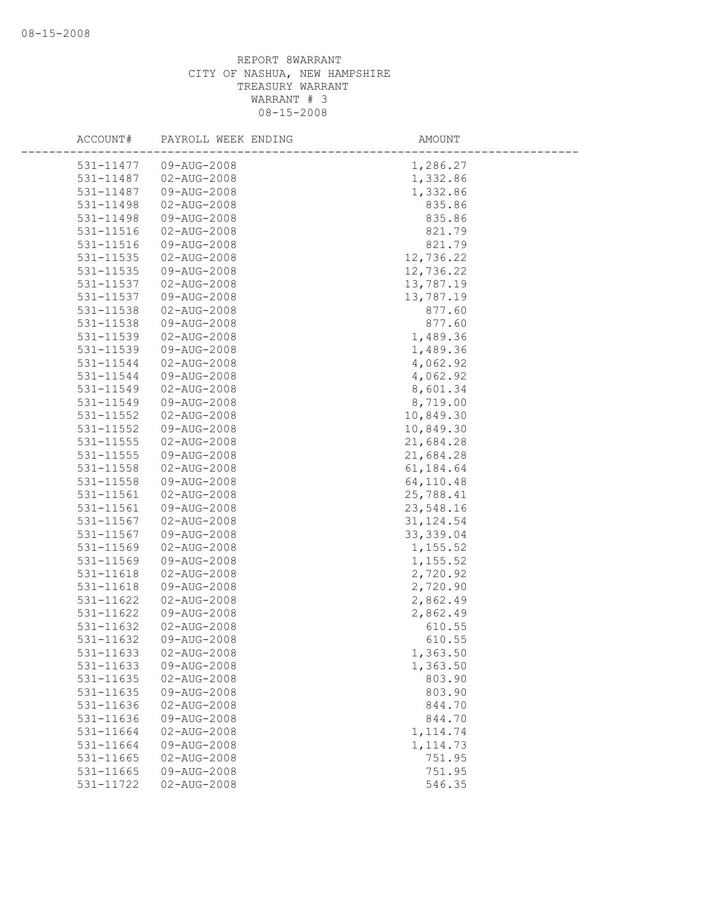| ACCOUNT#               | PAYROLL WEEK ENDING        | AMOUNT           |
|------------------------|----------------------------|------------------|
| 531-11477              | 09-AUG-2008                | 1,286.27         |
| 531-11487              | 02-AUG-2008                | 1,332.86         |
| 531-11487              | 09-AUG-2008                | 1,332.86         |
| 531-11498              | 02-AUG-2008                | 835.86           |
| 531-11498              | 09-AUG-2008                | 835.86           |
| 531-11516              | 02-AUG-2008                | 821.79           |
| 531-11516              | 09-AUG-2008                | 821.79           |
| 531-11535              | $02 - AUG - 2008$          | 12,736.22        |
| 531-11535              | 09-AUG-2008                | 12,736.22        |
| 531-11537              | $02 - AUG - 2008$          | 13,787.19        |
| 531-11537              | 09-AUG-2008                | 13,787.19        |
| 531-11538              | 02-AUG-2008                | 877.60           |
| 531-11538              | 09-AUG-2008                | 877.60           |
| 531-11539              | 02-AUG-2008                | 1,489.36         |
| 531-11539              | 09-AUG-2008                | 1,489.36         |
| 531-11544              | $02 - AUG - 2008$          | 4,062.92         |
| 531-11544              | 09-AUG-2008                | 4,062.92         |
| 531-11549              | $02 - AUG - 2008$          | 8,601.34         |
| 531-11549              | 09-AUG-2008                | 8,719.00         |
| 531-11552              | $02 - AUG - 2008$          | 10,849.30        |
| 531-11552              | 09-AUG-2008                | 10,849.30        |
| 531-11555              | 02-AUG-2008                | 21,684.28        |
| 531-11555              | 09-AUG-2008                | 21,684.28        |
| 531-11558              | 02-AUG-2008                | 61,184.64        |
| 531-11558              | 09-AUG-2008                | 64,110.48        |
| 531-11561              | $02 - AUG - 2008$          | 25,788.41        |
| 531-11561              | 09-AUG-2008                | 23,548.16        |
| 531-11567              | $02 - AUG - 2008$          | 31, 124.54       |
| 531-11567              | 09-AUG-2008                | 33, 339.04       |
| 531-11569              | 02-AUG-2008                | 1,155.52         |
| 531-11569              | 09-AUG-2008                | 1,155.52         |
| 531-11618              | 02-AUG-2008                | 2,720.92         |
| 531-11618              | 09-AUG-2008                | 2,720.90         |
| 531-11622              | 02-AUG-2008                | 2,862.49         |
| 531-11622              | 09-AUG-2008                | 2,862.49         |
| 531-11632              | $02 - AUG - 2008$          | 610.55           |
| 531-11632              | 09-AUG-2008                | 610.55           |
| 531-11633              | $02 - AUG - 2008$          | 1,363.50         |
| 531-11633              | 09-AUG-2008                | 1,363.50         |
| 531-11635<br>531-11635 | 02-AUG-2008<br>09-AUG-2008 | 803.90<br>803.90 |
| 531-11636              | $02 - AUG - 2008$          | 844.70           |
| 531-11636              | 09-AUG-2008                | 844.70           |
| 531-11664              | $02 - AUG - 2008$          | 1, 114.74        |
| 531-11664              | 09-AUG-2008                | 1, 114.73        |
| 531-11665              | 02-AUG-2008                | 751.95           |
| 531-11665              | 09-AUG-2008                | 751.95           |
| 531-11722              | $02 - AUG - 2008$          | 546.35           |
|                        |                            |                  |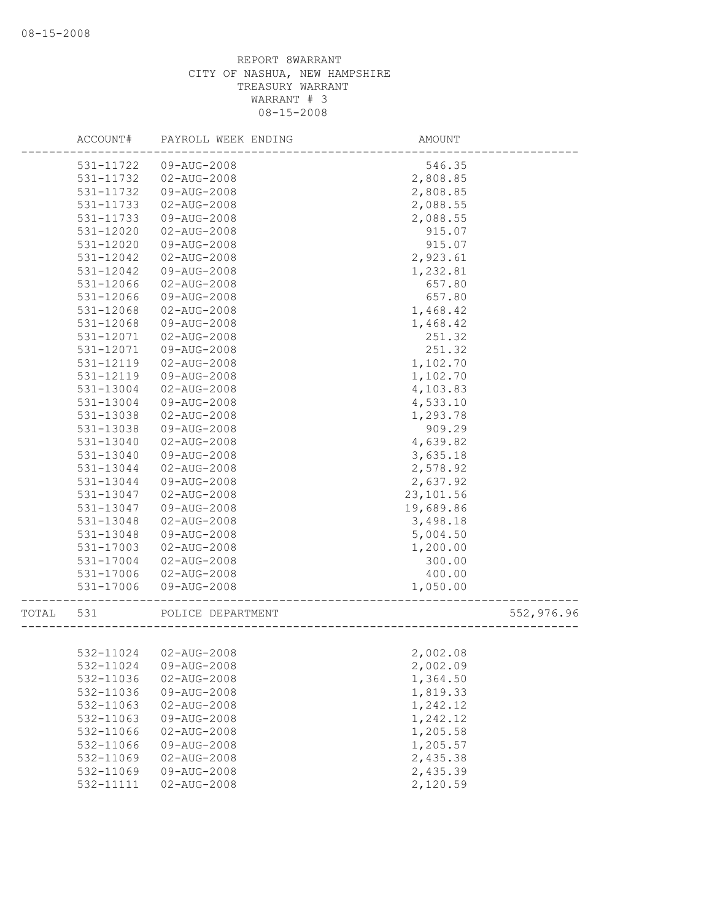|       | ACCOUNT#  | PAYROLL WEEK ENDING   | AMOUNT    |            |
|-------|-----------|-----------------------|-----------|------------|
|       | 531-11722 | 09-AUG-2008           | 546.35    |            |
|       | 531-11732 | 02-AUG-2008           | 2,808.85  |            |
|       | 531-11732 | 09-AUG-2008           | 2,808.85  |            |
|       | 531-11733 | 02-AUG-2008           | 2,088.55  |            |
|       | 531-11733 | 09-AUG-2008           | 2,088.55  |            |
|       | 531-12020 | 02-AUG-2008           | 915.07    |            |
|       | 531-12020 | 09-AUG-2008           | 915.07    |            |
|       | 531-12042 | $02 - AUG - 2008$     | 2,923.61  |            |
|       | 531-12042 | 09-AUG-2008           | 1,232.81  |            |
|       | 531-12066 | $02 - AUG - 2008$     | 657.80    |            |
|       | 531-12066 | 09-AUG-2008           | 657.80    |            |
|       | 531-12068 | 02-AUG-2008           | 1,468.42  |            |
|       | 531-12068 | 09-AUG-2008           | 1,468.42  |            |
|       | 531-12071 | 02-AUG-2008           | 251.32    |            |
|       | 531-12071 | 09-AUG-2008           | 251.32    |            |
|       | 531-12119 | 02-AUG-2008           | 1,102.70  |            |
|       | 531-12119 | 09-AUG-2008           | 1,102.70  |            |
|       | 531-13004 | 02-AUG-2008           | 4,103.83  |            |
|       | 531-13004 | 09-AUG-2008           | 4,533.10  |            |
|       | 531-13038 | 02-AUG-2008           | 1,293.78  |            |
|       | 531-13038 | 09-AUG-2008           | 909.29    |            |
|       | 531-13040 | 02-AUG-2008           | 4,639.82  |            |
|       | 531-13040 | 09-AUG-2008           | 3,635.18  |            |
|       | 531-13044 | 02-AUG-2008           | 2,578.92  |            |
|       | 531-13044 | 09-AUG-2008           | 2,637.92  |            |
|       | 531-13047 | 02-AUG-2008           | 23,101.56 |            |
|       | 531-13047 | 09-AUG-2008           | 19,689.86 |            |
|       | 531-13048 | $02 - AUG - 2008$     | 3,498.18  |            |
|       | 531-13048 | 09-AUG-2008           | 5,004.50  |            |
|       | 531-17003 | 02-AUG-2008           | 1,200.00  |            |
|       | 531-17004 | 02-AUG-2008           | 300.00    |            |
|       | 531-17006 | 02-AUG-2008           | 400.00    |            |
|       | 531-17006 | 09-AUG-2008           | 1,050.00  |            |
| TOTAL | 531       | POLICE DEPARTMENT     |           | 552,976.96 |
|       |           |                       |           |            |
|       |           | 532-11024 02-AUG-2008 | 2,002.08  |            |
|       | 532-11024 | 09-AUG-2008           | 2,002.09  |            |
|       | 532-11036 | $02 - AUG - 2008$     | 1,364.50  |            |
|       | 532-11036 | 09-AUG-2008           | 1,819.33  |            |
|       | 532-11063 | 02-AUG-2008           | 1,242.12  |            |
|       | 532-11063 | 09-AUG-2008           | 1,242.12  |            |
|       | 532-11066 | $02 - AUG - 2008$     | 1,205.58  |            |
|       | 532-11066 | 09-AUG-2008           | 1,205.57  |            |
|       | 532-11069 | $02 - AUG - 2008$     | 2,435.38  |            |
|       | 532-11069 | 09-AUG-2008           | 2,435.39  |            |
|       | 532-11111 | $02 - AUG - 2008$     | 2,120.59  |            |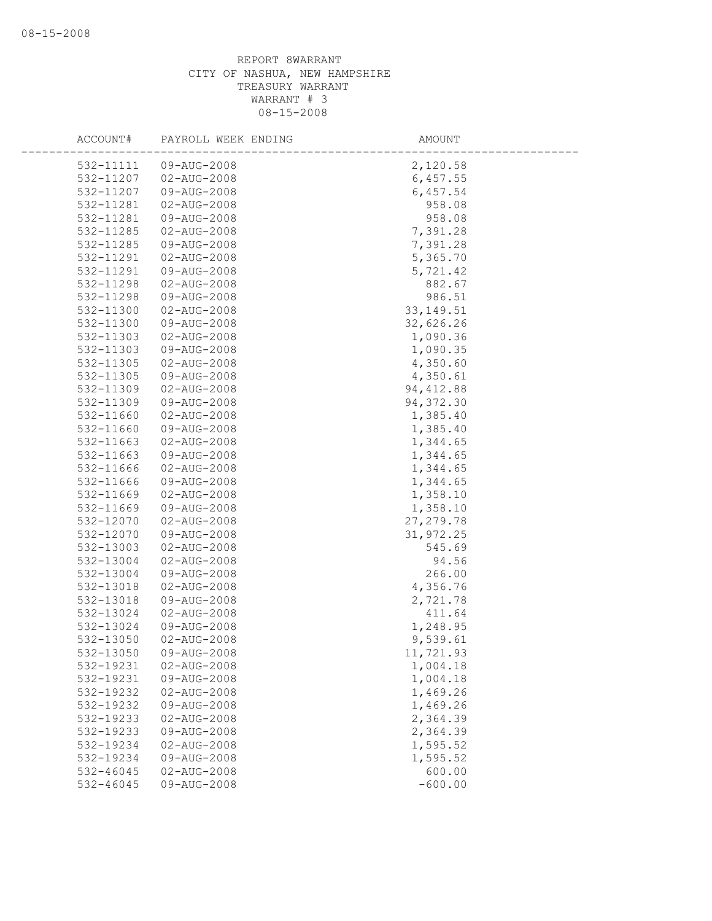| ACCOUNT#               | PAYROLL WEEK ENDING              | AMOUNT               |
|------------------------|----------------------------------|----------------------|
| 532-11111              | 09-AUG-2008                      | 2,120.58             |
| 532-11207              | $02 - AUG - 2008$                | 6,457.55             |
| 532-11207              | 09-AUG-2008                      | 6,457.54             |
| 532-11281              | 02-AUG-2008                      | 958.08               |
| 532-11281              | 09-AUG-2008                      | 958.08               |
| 532-11285              | 02-AUG-2008                      | 7,391.28             |
| 532-11285              | 09-AUG-2008                      | 7,391.28             |
| 532-11291              | 02-AUG-2008                      | 5,365.70             |
| 532-11291              | 09-AUG-2008                      | 5,721.42             |
| 532-11298              | $02 - AUG - 2008$                | 882.67               |
| 532-11298              | 09-AUG-2008                      | 986.51               |
| 532-11300              | 02-AUG-2008                      | 33, 149.51           |
| 532-11300              | 09-AUG-2008                      | 32,626.26            |
| 532-11303              | 02-AUG-2008                      | 1,090.36             |
| 532-11303              | 09-AUG-2008                      | 1,090.35             |
| 532-11305              | 02-AUG-2008                      | 4,350.60             |
| 532-11305              | 09-AUG-2008                      | 4,350.61             |
| 532-11309              | $02 - AUG - 2008$                | 94, 412.88           |
| 532-11309              | 09-AUG-2008                      | 94, 372.30           |
| 532-11660              | 02-AUG-2008                      | 1,385.40             |
| 532-11660              | 09-AUG-2008                      | 1,385.40             |
| 532-11663              | 02-AUG-2008                      | 1,344.65             |
| 532-11663              | 09-AUG-2008                      | 1,344.65             |
| 532-11666              | 02-AUG-2008                      | 1,344.65             |
| 532-11666              | 09-AUG-2008                      | 1,344.65             |
| 532-11669              | $02 - AUG - 2008$                | 1,358.10             |
| 532-11669              | 09-AUG-2008                      | 1,358.10             |
| 532-12070              | $02 - AUG - 2008$                | 27, 279.78           |
| 532-12070              | 09-AUG-2008                      | 31,972.25            |
| 532-13003              | 02-AUG-2008                      | 545.69               |
| 532-13004              | 02-AUG-2008                      | 94.56                |
| 532-13004              | 09-AUG-2008                      | 266.00               |
| 532-13018              | 02-AUG-2008                      | 4,356.76             |
| 532-13018              | 09-AUG-2008                      | 2,721.78             |
| 532-13024              | $02 - AUG - 2008$                | 411.64               |
| 532-13024              | 09-AUG-2008                      | 1,248.95             |
| 532-13050              | $02 - AUG - 2008$<br>09-AUG-2008 | 9,539.61             |
| 532-13050              |                                  | 11,721.93            |
| 532-19231<br>532-19231 | 02-AUG-2008<br>09-AUG-2008       | 1,004.18<br>1,004.18 |
| 532-19232              | $02 - AUG - 2008$                | 1,469.26             |
| 532-19232              | 09-AUG-2008                      | 1,469.26             |
| 532-19233              | 02-AUG-2008                      | 2,364.39             |
| 532-19233              | 09-AUG-2008                      | 2,364.39             |
| 532-19234              | $02 - AUG - 2008$                | 1,595.52             |
| 532-19234              | 09-AUG-2008                      | 1,595.52             |
| 532-46045              | $02 - AUG - 2008$                | 600.00               |
| 532-46045              | 09-AUG-2008                      | $-600.00$            |
|                        |                                  |                      |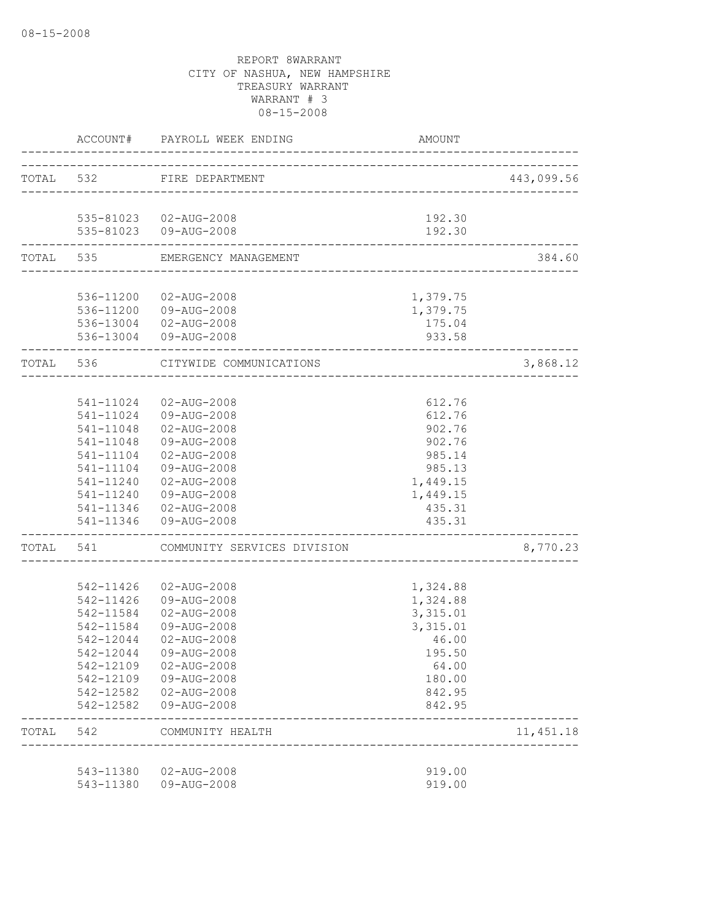|           |                        | ACCOUNT# PAYROLL WEEK ENDING                   | AMOUNT           |            |
|-----------|------------------------|------------------------------------------------|------------------|------------|
| TOTAL 532 |                        | FIRE DEPARTMENT                                |                  | 443,099.56 |
|           |                        | 535-81023  02-AUG-2008                         | 192.30           |            |
|           |                        | 535-81023  09-AUG-2008                         | 192.30           |            |
|           | TOTAL 535              | EMERGENCY MANAGEMENT                           |                  | 384.60     |
|           |                        | 536-11200 02-AUG-2008                          | 1,379.75         |            |
|           |                        | 536-11200 09-AUG-2008                          | 1,379.75         |            |
|           |                        | 536-13004  02-AUG-2008                         | 175.04           |            |
|           |                        | 536-13004 09-AUG-2008                          | 933.58           |            |
|           | TOTAL 536              | CITYWIDE COMMUNICATIONS                        |                  | 3,868.12   |
|           |                        |                                                |                  |            |
|           |                        | 541-11024 02-AUG-2008<br>541-11024 09-AUG-2008 | 612.76<br>612.76 |            |
|           | 541-11048              | 02-AUG-2008                                    | 902.76           |            |
|           | 541-11048              | 09-AUG-2008                                    | 902.76           |            |
|           | 541-11104              | $02 - AUG - 2008$                              | 985.14           |            |
|           | 541-11104              | 09-AUG-2008                                    | 985.13           |            |
|           | 541-11240              | 02-AUG-2008                                    | 1,449.15         |            |
|           | 541-11240              | 09-AUG-2008                                    | 1,449.15         |            |
|           |                        | 541-11346 02-AUG-2008<br>541-11346 09-AUG-2008 | 435.31<br>435.31 |            |
| TOTAL 541 |                        | COMMUNITY SERVICES DIVISION                    |                  | 8,770.23   |
|           |                        |                                                |                  |            |
|           | 542-11426              | 02-AUG-2008                                    | 1,324.88         |            |
|           | 542-11426              | 09-AUG-2008                                    | 1,324.88         |            |
|           | 542-11584              | 02-AUG-2008                                    | 3,315.01         |            |
|           | 542-11584              | 09-AUG-2008                                    | 3,315.01         |            |
|           | 542-12044              | 02-AUG-2008<br>09-AUG-2008                     | 46.00            |            |
|           | 542-12044<br>542-12109 | 02-AUG-2008                                    | 195.50<br>64.00  |            |
|           | 542-12109              | 09-AUG-2008                                    | 180.00           |            |
|           | 542-12582              | 02-AUG-2008                                    | 842.95           |            |
|           | 542-12582              | 09-AUG-2008                                    | 842.95           |            |
| TOTAL     | 542                    | COMMUNITY HEALTH                               |                  | 11, 451.18 |
|           | 543-11380              | 02-AUG-2008                                    | 919.00           |            |
|           | 543-11380              | 09-AUG-2008                                    | 919.00           |            |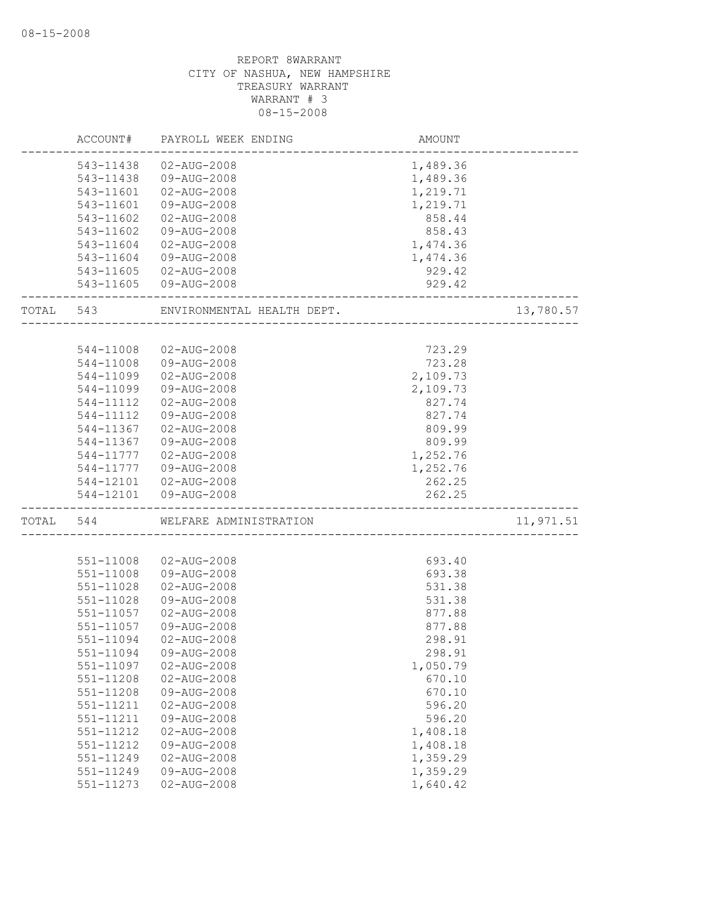|       | ACCOUNT#  | PAYROLL WEEK ENDING        | AMOUNT   |           |
|-------|-----------|----------------------------|----------|-----------|
|       | 543-11438 | 02-AUG-2008                | 1,489.36 |           |
|       | 543-11438 | $09 - \text{AUG} - 2008$   | 1,489.36 |           |
|       | 543-11601 | 02-AUG-2008                | 1,219.71 |           |
|       | 543-11601 | 09-AUG-2008                | 1,219.71 |           |
|       | 543-11602 | 02-AUG-2008                | 858.44   |           |
|       | 543-11602 | 09-AUG-2008                | 858.43   |           |
|       | 543-11604 | $02 - AUG - 2008$          | 1,474.36 |           |
|       | 543-11604 | 09-AUG-2008                | 1,474.36 |           |
|       | 543-11605 | 02-AUG-2008                | 929.42   |           |
|       | 543-11605 | 09-AUG-2008                | 929.42   |           |
| TOTAL | 543       | ENVIRONMENTAL HEALTH DEPT. |          | 13,780.57 |
|       |           |                            |          |           |
|       | 544-11008 | 02-AUG-2008                | 723.29   |           |
|       | 544-11008 | 09-AUG-2008                | 723.28   |           |
|       | 544-11099 | $02 - AUG - 2008$          | 2,109.73 |           |
|       | 544-11099 | 09-AUG-2008                | 2,109.73 |           |
|       | 544-11112 | 02-AUG-2008                | 827.74   |           |
|       | 544-11112 | $09 - \text{AUG} - 2008$   | 827.74   |           |
|       | 544-11367 | 02-AUG-2008                | 809.99   |           |
|       | 544-11367 | 09-AUG-2008                | 809.99   |           |
|       | 544-11777 | $02 - AUG - 2008$          | 1,252.76 |           |
|       | 544-11777 | 09-AUG-2008                | 1,252.76 |           |
|       | 544-12101 | 02-AUG-2008                | 262.25   |           |
|       | 544-12101 | 09-AUG-2008                | 262.25   |           |
| TOTAL | 544       | WELFARE ADMINISTRATION     |          | 11,971.51 |
|       |           |                            |          |           |
|       | 551-11008 | 02-AUG-2008                | 693.40   |           |
|       | 551-11008 | 09-AUG-2008                | 693.38   |           |
|       | 551-11028 | 02-AUG-2008                | 531.38   |           |
|       | 551-11028 | 09-AUG-2008                | 531.38   |           |
|       | 551-11057 | 02-AUG-2008                | 877.88   |           |
|       | 551-11057 | 09-AUG-2008                | 877.88   |           |
|       | 551-11094 | $02 - AUG - 2008$          | 298.91   |           |
|       | 551-11094 | 09-AUG-2008                | 298.91   |           |
|       | 551-11097 | 02-AUG-2008                | 1,050.79 |           |
|       | 551-11208 | $02 - AUG - 2008$          | 670.10   |           |
|       | 551-11208 | 09-AUG-2008                | 670.10   |           |
|       | 551-11211 | $02 - AUG - 2008$          | 596.20   |           |
|       | 551-11211 | 09-AUG-2008                | 596.20   |           |
|       | 551-11212 | $02 - AUG - 2008$          | 1,408.18 |           |
|       | 551-11212 | 09-AUG-2008                | 1,408.18 |           |
|       | 551-11249 | $02 - AUG - 2008$          | 1,359.29 |           |
|       | 551-11249 | 09-AUG-2008                | 1,359.29 |           |
|       | 551-11273 | 02-AUG-2008                | 1,640.42 |           |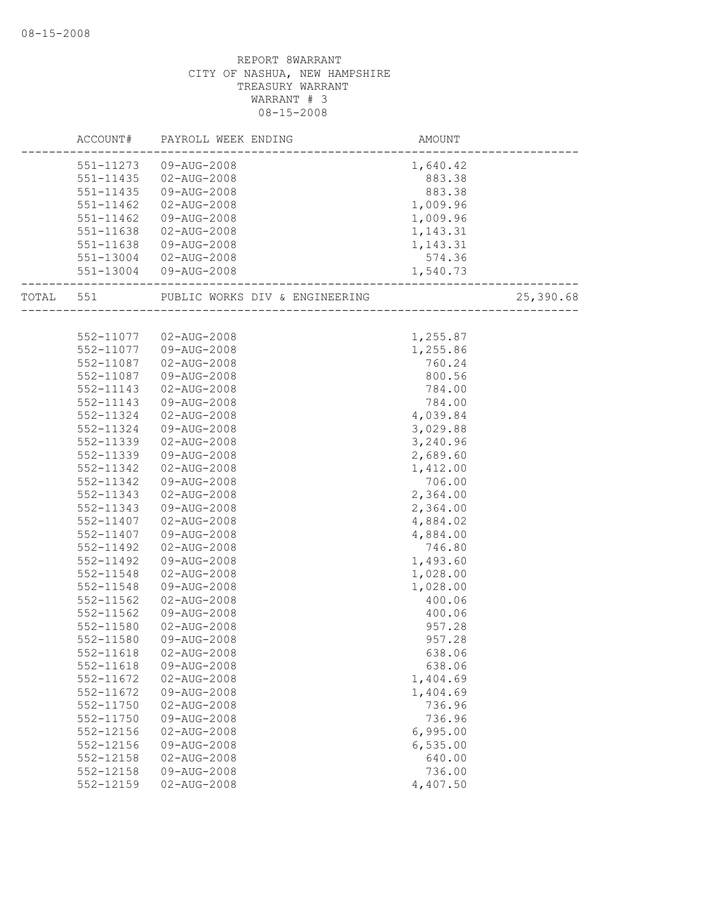|           |               | ACCOUNT# PAYROLL WEEK ENDING   | AMOUNT   |           |
|-----------|---------------|--------------------------------|----------|-----------|
|           |               | 551-11273 09-AUG-2008          | 1,640.42 |           |
|           | 551-11435     | 02-AUG-2008                    | 883.38   |           |
|           | 551-11435     | 09-AUG-2008                    | 883.38   |           |
|           | 551-11462     | 02-AUG-2008                    | 1,009.96 |           |
|           | $551 - 11462$ | 09-AUG-2008                    | 1,009.96 |           |
|           | 551-11638     | 02-AUG-2008                    | 1,143.31 |           |
|           | 551-11638     | 09-AUG-2008                    | 1,143.31 |           |
|           | 551-13004     | 02-AUG-2008                    | 574.36   |           |
|           |               | 551-13004 09-AUG-2008          | 1,540.73 |           |
| TOTAL 551 |               | PUBLIC WORKS DIV & ENGINEERING |          | 25,390.68 |
|           |               |                                |          |           |
|           |               | 552-11077 02-AUG-2008          | 1,255.87 |           |
|           | 552-11077     | 09-AUG-2008                    | 1,255.86 |           |
|           | 552-11087     | 02-AUG-2008                    | 760.24   |           |
|           | 552-11087     | 09-AUG-2008                    | 800.56   |           |
|           | 552-11143     | 02-AUG-2008                    | 784.00   |           |
|           | 552-11143     | 09-AUG-2008                    | 784.00   |           |
|           | 552-11324     | 02-AUG-2008                    | 4,039.84 |           |
|           | 552-11324     | 09-AUG-2008                    | 3,029.88 |           |
|           | 552-11339     | $02 - AUG - 2008$              | 3,240.96 |           |
|           | 552-11339     | 09-AUG-2008                    | 2,689.60 |           |
|           | 552-11342     | $02 - AUG - 2008$              | 1,412.00 |           |
|           | 552-11342     | 09-AUG-2008                    | 706.00   |           |
|           | 552-11343     | 02-AUG-2008                    | 2,364.00 |           |
|           | 552-11343     | 09-AUG-2008                    | 2,364.00 |           |
|           | 552-11407     | 02-AUG-2008                    | 4,884.02 |           |
|           | 552-11407     | 09-AUG-2008                    | 4,884.00 |           |
|           | 552-11492     | 02-AUG-2008                    | 746.80   |           |
|           | 552-11492     | 09-AUG-2008                    | 1,493.60 |           |
|           | 552-11548     | 02-AUG-2008                    | 1,028.00 |           |
|           | 552-11548     | 09-AUG-2008                    | 1,028.00 |           |
|           | 552-11562     | 02-AUG-2008                    | 400.06   |           |
|           | 552-11562     | 09-AUG-2008                    | 400.06   |           |
|           | 552-11580     | 02-AUG-2008                    | 957.28   |           |
|           | 552-11580     | 09-AUG-2008                    | 957.28   |           |
|           | 552-11618     | 02-AUG-2008                    | 638.06   |           |
|           | 552-11618     | 09-AUG-2008                    | 638.06   |           |
|           | 552-11672     | $02 - AUG - 2008$              | 1,404.69 |           |
|           | 552-11672     | 09-AUG-2008                    | 1,404.69 |           |
|           | 552-11750     | $02 - AUG - 2008$              | 736.96   |           |
|           | 552-11750     | 09-AUG-2008                    | 736.96   |           |
|           | 552-12156     | $02 - AUG - 2008$              | 6,995.00 |           |
|           | 552-12156     | 09-AUG-2008                    | 6,535.00 |           |
|           | 552-12158     | $02 - AUG - 2008$              | 640.00   |           |
|           | 552-12158     | 09-AUG-2008                    | 736.00   |           |
|           | 552-12159     | 02-AUG-2008                    | 4,407.50 |           |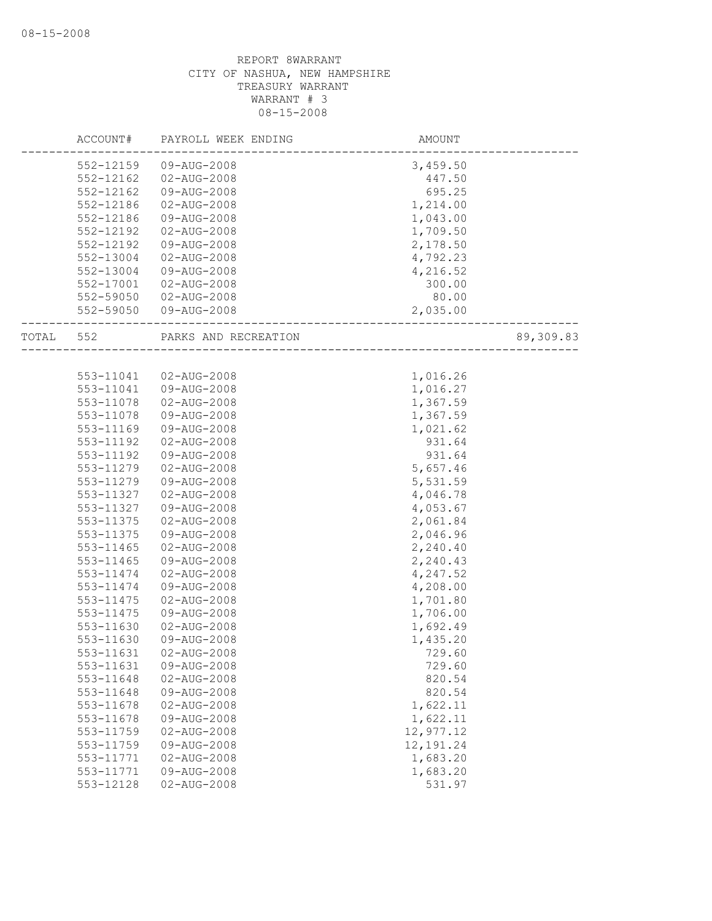|       | ACCOUNT#  | PAYROLL WEEK ENDING  | AMOUNT     |           |
|-------|-----------|----------------------|------------|-----------|
|       | 552-12159 | 09-AUG-2008          | 3,459.50   |           |
|       | 552-12162 | $02 - AUG - 2008$    | 447.50     |           |
|       | 552-12162 | 09-AUG-2008          | 695.25     |           |
|       | 552-12186 | 02-AUG-2008          | 1,214.00   |           |
|       | 552-12186 | 09-AUG-2008          | 1,043.00   |           |
|       | 552-12192 | 02-AUG-2008          | 1,709.50   |           |
|       | 552-12192 | 09-AUG-2008          | 2,178.50   |           |
|       | 552-13004 | 02-AUG-2008          | 4,792.23   |           |
|       | 552-13004 | 09-AUG-2008          | 4,216.52   |           |
|       | 552-17001 | 02-AUG-2008          | 300.00     |           |
|       | 552-59050 | $02 - AUG - 2008$    | 80.00      |           |
|       | 552-59050 | 09-AUG-2008          | 2,035.00   |           |
| TOTAL | 552       | PARKS AND RECREATION |            | 89,309.83 |
|       |           |                      |            |           |
|       | 553-11041 | 02-AUG-2008          | 1,016.26   |           |
|       | 553-11041 | 09-AUG-2008          | 1,016.27   |           |
|       | 553-11078 | 02-AUG-2008          | 1,367.59   |           |
|       | 553-11078 | 09-AUG-2008          | 1,367.59   |           |
|       | 553-11169 | 09-AUG-2008          | 1,021.62   |           |
|       | 553-11192 | 02-AUG-2008          | 931.64     |           |
|       | 553-11192 | 09-AUG-2008          | 931.64     |           |
|       | 553-11279 | 02-AUG-2008          | 5,657.46   |           |
|       | 553-11279 | 09-AUG-2008          | 5,531.59   |           |
|       | 553-11327 | 02-AUG-2008          | 4,046.78   |           |
|       | 553-11327 | 09-AUG-2008          | 4,053.67   |           |
|       | 553-11375 | 02-AUG-2008          | 2,061.84   |           |
|       | 553-11375 | 09-AUG-2008          | 2,046.96   |           |
|       | 553-11465 | $02 - AUG - 2008$    | 2,240.40   |           |
|       | 553-11465 | 09-AUG-2008          | 2,240.43   |           |
|       | 553-11474 | 02-AUG-2008          | 4,247.52   |           |
|       | 553-11474 | 09-AUG-2008          | 4,208.00   |           |
|       | 553-11475 | 02-AUG-2008          | 1,701.80   |           |
|       | 553-11475 | 09-AUG-2008          | 1,706.00   |           |
|       | 553-11630 | 02-AUG-2008          | 1,692.49   |           |
|       | 553-11630 | 09-AUG-2008          | 1,435.20   |           |
|       | 553-11631 | 02-AUG-2008          | 729.60     |           |
|       | 553-11631 | 09-AUG-2008          | 729.60     |           |
|       | 553-11648 | 02-AUG-2008          | 820.54     |           |
|       | 553-11648 | 09-AUG-2008          | 820.54     |           |
|       | 553-11678 | $02 - AUG - 2008$    | 1,622.11   |           |
|       | 553-11678 | 09-AUG-2008          | 1,622.11   |           |
|       | 553-11759 | $02 - AUG - 2008$    | 12,977.12  |           |
|       | 553-11759 | 09-AUG-2008          | 12, 191.24 |           |
|       | 553-11771 | 02-AUG-2008          | 1,683.20   |           |
|       | 553-11771 | 09-AUG-2008          | 1,683.20   |           |
|       | 553-12128 | $02 - AUG - 2008$    | 531.97     |           |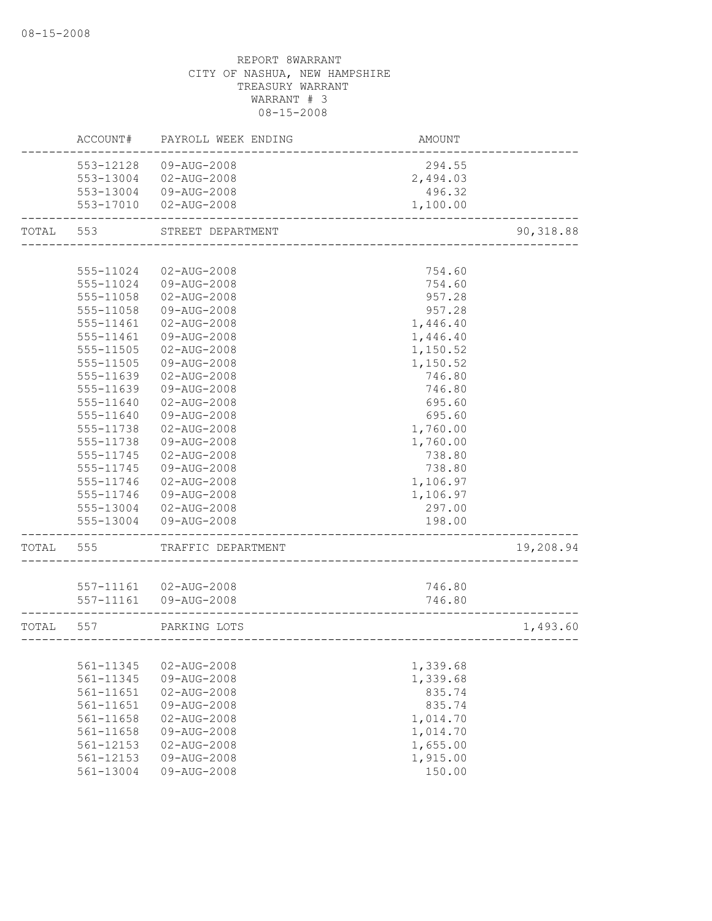|       | ACCOUNT#               | PAYROLL WEEK ENDING        | <b>AMOUNT</b>        |           |
|-------|------------------------|----------------------------|----------------------|-----------|
|       | 553-12128              | 09-AUG-2008                | 294.55               |           |
|       | 553-13004              | 02-AUG-2008                | 2,494.03             |           |
|       |                        | 553-13004 09-AUG-2008      | 496.32               |           |
|       |                        | 553-17010  02-AUG-2008     | 1,100.00             |           |
| TOTAL | 553                    | STREET DEPARTMENT          |                      | 90,318.88 |
|       |                        |                            |                      |           |
|       | 555-11024              | 02-AUG-2008                | 754.60               |           |
|       | 555-11024              | 09-AUG-2008                | 754.60               |           |
|       | 555-11058              | $02 - AUG - 2008$          | 957.28               |           |
|       | 555-11058              | 09-AUG-2008                | 957.28               |           |
|       | 555-11461              | 02-AUG-2008                | 1,446.40             |           |
|       | 555-11461              | 09-AUG-2008                | 1,446.40             |           |
|       | 555-11505              | 02-AUG-2008                | 1,150.52             |           |
|       | 555-11505              | 09-AUG-2008                | 1,150.52             |           |
|       | 555-11639              | 02-AUG-2008                | 746.80               |           |
|       | 555-11639              | 09-AUG-2008                | 746.80               |           |
|       | 555-11640              | $02 - AUG - 2008$          | 695.60               |           |
|       | 555-11640              | 09-AUG-2008                | 695.60               |           |
|       | 555-11738              | 02-AUG-2008                | 1,760.00             |           |
|       | 555-11738              | 09-AUG-2008                | 1,760.00             |           |
|       | 555-11745              | 02-AUG-2008                | 738.80               |           |
|       | 555-11745              | 09-AUG-2008                | 738.80               |           |
|       | 555-11746              | $02 - AUG - 2008$          | 1,106.97             |           |
|       | 555-11746              | 09-AUG-2008                | 1,106.97             |           |
|       | 555-13004              | 02-AUG-2008                | 297.00               |           |
|       | 555-13004              | 09-AUG-2008                | 198.00               |           |
| TOTAL | 555                    | TRAFFIC DEPARTMENT         |                      | 19,208.94 |
|       |                        |                            |                      |           |
|       |                        | 557-11161  02-AUG-2008     | 746.80               |           |
|       | 557-11161              | 09-AUG-2008                | 746.80               |           |
| TOTAL | 557                    | PARKING LOTS               |                      | 1,493.60  |
|       |                        |                            |                      |           |
|       | 561-11345<br>561-11345 | 02-AUG-2008                | 1,339.68<br>1,339.68 |           |
|       | 561-11651              | 09-AUG-2008<br>02-AUG-2008 | 835.74               |           |
|       | 561-11651              | 09-AUG-2008                | 835.74               |           |
|       | 561-11658              | 02-AUG-2008                | 1,014.70             |           |
|       | 561-11658              | 09-AUG-2008                | 1,014.70             |           |
|       | 561-12153              | $02 - AUG - 2008$          | 1,655.00             |           |
|       | 561-12153              | 09-AUG-2008                | 1,915.00             |           |
|       | 561-13004              | 09-AUG-2008                | 150.00               |           |
|       |                        |                            |                      |           |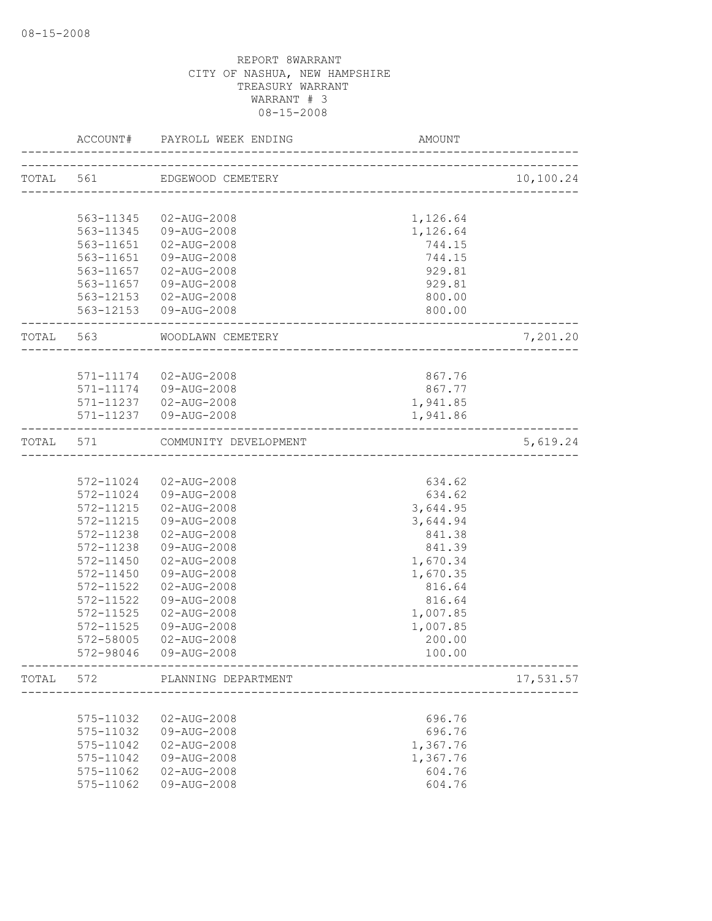|           | ACCOUNT#      | PAYROLL WEEK ENDING           | AMOUNT                                |           |
|-----------|---------------|-------------------------------|---------------------------------------|-----------|
| TOTAL 561 |               | EDGEWOOD CEMETERY             |                                       | 10,100.24 |
|           |               |                               | ------------------------------------  |           |
|           | 563-11345     | 02-AUG-2008                   | 1,126.64                              |           |
|           | 563-11345     | 09-AUG-2008                   | 1,126.64                              |           |
|           | 563-11651     | 02-AUG-2008                   | 744.15                                |           |
|           | 563-11651     | 09-AUG-2008                   | 744.15                                |           |
|           | 563-11657     | 02-AUG-2008                   | 929.81                                |           |
|           | 563-11657     | 09-AUG-2008                   | 929.81                                |           |
|           |               | 563-12153 02-AUG-2008         | 800.00                                |           |
|           |               | 563-12153 09-AUG-2008         | 800.00                                |           |
| TOTAL 563 |               | WOODLAWN CEMETERY             | _________________________             | 7,201.20  |
|           |               |                               |                                       |           |
|           | 571-11174     | 02-AUG-2008                   | 867.76                                |           |
|           |               | 571-11174   09-AUG-2008       | 867.77                                |           |
|           |               | 571-11237  02-AUG-2008        | 1,941.85                              |           |
|           |               | 571-11237  09-AUG-2008        | 1,941.86                              |           |
| TOTAL 571 |               | COMMUNITY DEVELOPMENT         | ------------------------------------- | 5,619.24  |
|           |               |                               |                                       |           |
|           | 572-11024     | 02-AUG-2008                   | 634.62                                |           |
|           | 572-11024     | 09-AUG-2008                   | 634.62                                |           |
|           | 572-11215     | 02-AUG-2008                   | 3,644.95                              |           |
|           | $572 - 11215$ | 09-AUG-2008                   | 3,644.94                              |           |
|           | 572-11238     | 02-AUG-2008                   | 841.38                                |           |
|           | 572-11238     | 09-AUG-2008                   | 841.39                                |           |
|           | 572-11450     | 02-AUG-2008                   | 1,670.34                              |           |
|           | 572-11450     | 09-AUG-2008                   | 1,670.35                              |           |
|           | 572-11522     | $02 - AUG - 2008$             | 816.64                                |           |
|           | 572-11522     | 09-AUG-2008                   | 816.64                                |           |
|           | 572-11525     | $02 - AUG - 2008$             | 1,007.85                              |           |
|           | $572 - 11525$ | 09-AUG-2008                   | 1,007.85                              |           |
|           | 572-58005     | 02-AUG-2008                   | 200.00                                |           |
|           | 572-98046     | 09-AUG-2008                   | 100.00                                |           |
|           |               | TOTAL 572 PLANNING DEPARTMENT |                                       | 17,531.57 |
|           |               | --------------------          |                                       |           |
|           | 575-11032     | 02-AUG-2008                   | 696.76                                |           |
|           | 575-11032     | 09-AUG-2008                   | 696.76                                |           |
|           | 575-11042     | $02 - AUG - 2008$             | 1,367.76                              |           |
|           | 575-11042     | 09-AUG-2008                   | 1,367.76                              |           |
|           | 575-11062     | $02 - AUG - 2008$             | 604.76                                |           |
|           | 575-11062     | 09-AUG-2008                   | 604.76                                |           |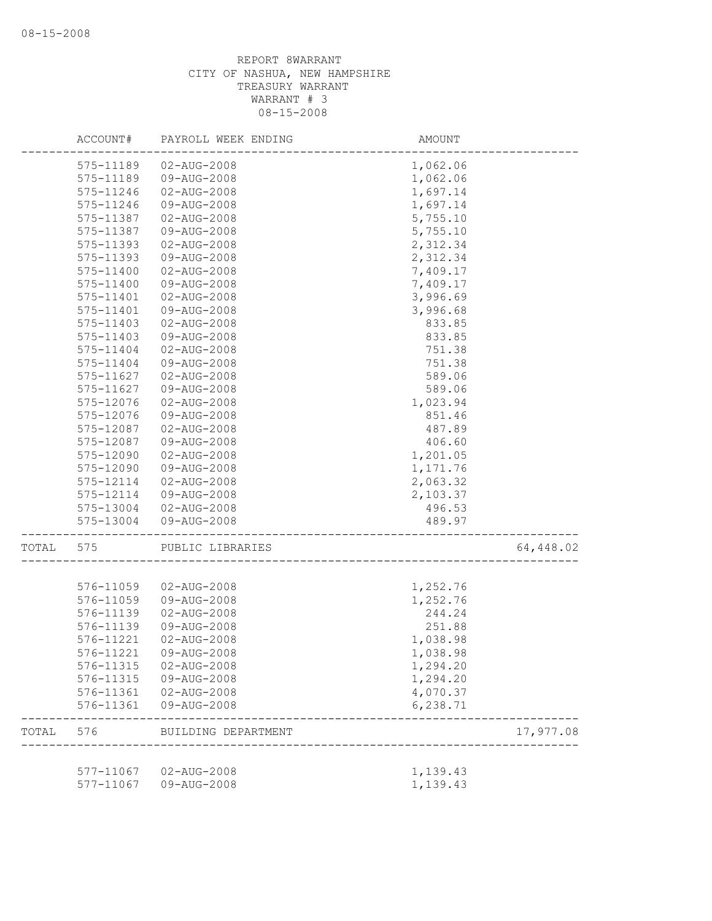|       | ACCOUNT#      | PAYROLL WEEK ENDING    | AMOUNT   |           |
|-------|---------------|------------------------|----------|-----------|
|       | 575-11189     | 02-AUG-2008            | 1,062.06 |           |
|       | 575-11189     | 09-AUG-2008            | 1,062.06 |           |
|       | 575-11246     | $02 - AUG - 2008$      | 1,697.14 |           |
|       | 575-11246     | 09-AUG-2008            | 1,697.14 |           |
|       | 575-11387     | 02-AUG-2008            | 5,755.10 |           |
|       | 575-11387     | 09-AUG-2008            | 5,755.10 |           |
|       | 575-11393     | 02-AUG-2008            | 2,312.34 |           |
|       | 575-11393     | 09-AUG-2008            | 2,312.34 |           |
|       | 575-11400     | 02-AUG-2008            | 7,409.17 |           |
|       | 575-11400     | 09-AUG-2008            | 7,409.17 |           |
|       | 575-11401     | 02-AUG-2008            | 3,996.69 |           |
|       | $575 - 11401$ | 09-AUG-2008            | 3,996.68 |           |
|       | 575-11403     | 02-AUG-2008            | 833.85   |           |
|       | 575-11403     | 09-AUG-2008            | 833.85   |           |
|       | 575-11404     | 02-AUG-2008            | 751.38   |           |
|       | 575-11404     | 09-AUG-2008            | 751.38   |           |
|       | 575-11627     | $02 - AUG - 2008$      | 589.06   |           |
|       | 575-11627     | 09-AUG-2008            | 589.06   |           |
|       | 575-12076     | 02-AUG-2008            | 1,023.94 |           |
|       | 575-12076     | 09-AUG-2008            | 851.46   |           |
|       | 575-12087     | 02-AUG-2008            | 487.89   |           |
|       | 575-12087     | 09-AUG-2008            | 406.60   |           |
|       | 575-12090     | 02-AUG-2008            | 1,201.05 |           |
|       | 575-12090     | 09-AUG-2008            | 1,171.76 |           |
|       | 575-12114     | 02-AUG-2008            | 2,063.32 |           |
|       | 575-12114     | 09-AUG-2008            | 2,103.37 |           |
|       | 575-13004     | 02-AUG-2008            | 496.53   |           |
|       | 575-13004     | 09-AUG-2008            | 489.97   |           |
| TOTAL | 575           | PUBLIC LIBRARIES       |          | 64,448.02 |
|       |               |                        |          |           |
|       | 576-11059     | 02-AUG-2008            | 1,252.76 |           |
|       | 576-11059     | 09-AUG-2008            | 1,252.76 |           |
|       | 576-11139     | 02-AUG-2008            | 244.24   |           |
|       | 576-11139     | 09-AUG-2008            | 251.88   |           |
|       | 576-11221     | 02-AUG-2008            | 1,038.98 |           |
|       | 576-11221     | 09-AUG-2008            | 1,038.98 |           |
|       |               | 576-11315 02-AUG-2008  | 1,294.20 |           |
|       | 576-11315     | 09-AUG-2008            | 1,294.20 |           |
|       | 576-11361     | 02-AUG-2008            | 4,070.37 |           |
|       | 576-11361     | 09-AUG-2008            | 6,238.71 |           |
| TOTAL | 576           | BUILDING DEPARTMENT    |          | 17,977.08 |
|       |               | 577-11067  02-AUG-2008 | 1,139.43 |           |
|       | 577-11067     | 09-AUG-2008            | 1,139.43 |           |
|       |               |                        |          |           |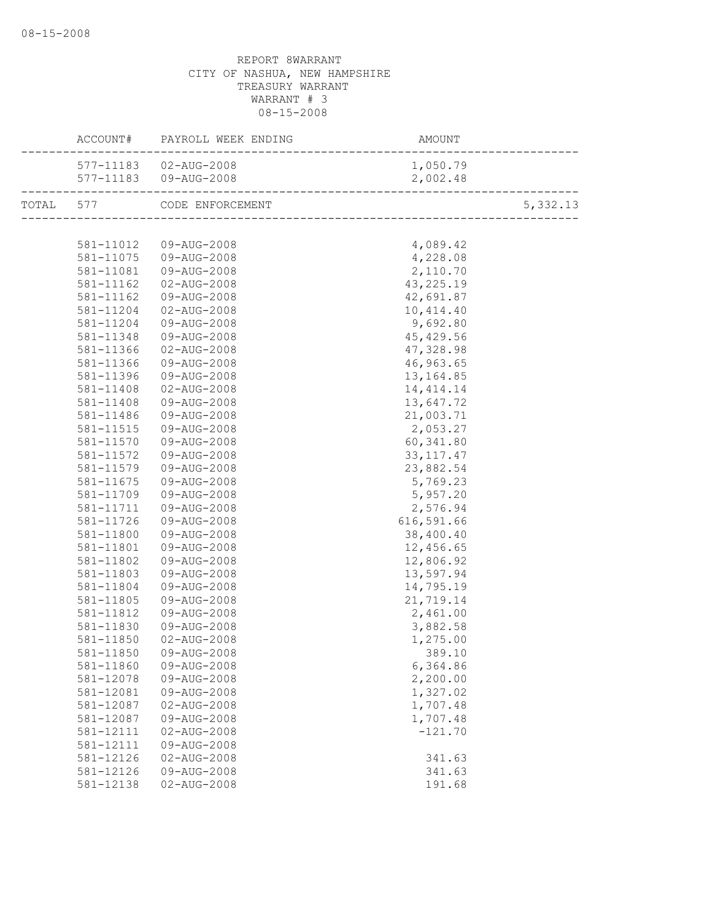|           | ACCOUNT# PAYROLL WEEK ENDING | AMOUNT      |          |
|-----------|------------------------------|-------------|----------|
|           | 577-11183  02-AUG-2008       | 1,050.79    |          |
|           |                              | 2,002.48    |          |
|           | TOTAL 577 CODE ENFORCEMENT   |             | 5,332.13 |
|           |                              |             |          |
|           | 581-11012  09-AUG-2008       | 4,089.42    |          |
| 581-11075 | 09-AUG-2008                  | 4,228.08    |          |
| 581-11081 | 09-AUG-2008                  | 2,110.70    |          |
| 581-11162 | 02-AUG-2008                  | 43, 225. 19 |          |
| 581-11162 | 09-AUG-2008                  | 42,691.87   |          |
| 581-11204 | 02-AUG-2008                  | 10,414.40   |          |
| 581-11204 | 09-AUG-2008                  | 9,692.80    |          |
| 581-11348 | 09-AUG-2008                  | 45, 429.56  |          |
| 581-11366 | 02-AUG-2008                  | 47,328.98   |          |
| 581-11366 | 09-AUG-2008                  | 46,963.65   |          |
| 581-11396 | 09-AUG-2008                  | 13,164.85   |          |
| 581-11408 | 02-AUG-2008                  | 14, 414.14  |          |
| 581-11408 | 09-AUG-2008                  | 13,647.72   |          |
| 581-11486 | 09-AUG-2008                  | 21,003.71   |          |
| 581-11515 | 09-AUG-2008                  | 2,053.27    |          |
| 581-11570 | 09-AUG-2008                  | 60,341.80   |          |
| 581-11572 | 09-AUG-2008                  | 33, 117. 47 |          |
| 581-11579 | 09-AUG-2008                  | 23,882.54   |          |
| 581-11675 | 09-AUG-2008                  | 5,769.23    |          |
| 581-11709 | 09-AUG-2008                  | 5,957.20    |          |
| 581-11711 | 09-AUG-2008                  | 2,576.94    |          |
| 581-11726 | 09-AUG-2008                  | 616,591.66  |          |
| 581-11800 | 09-AUG-2008                  | 38,400.40   |          |
| 581-11801 | 09-AUG-2008                  | 12,456.65   |          |
| 581-11802 | 09-AUG-2008                  | 12,806.92   |          |
| 581-11803 | 09-AUG-2008                  | 13,597.94   |          |
| 581-11804 | 09-AUG-2008                  | 14,795.19   |          |
| 581-11805 | 09-AUG-2008                  | 21,719.14   |          |
| 581-11812 | 09-AUG-2008                  | 2,461.00    |          |
| 581-11830 | 09-AUG-2008                  | 3,882.58    |          |
| 581-11850 | $02 - AUG - 2008$            | 1,275.00    |          |
| 581-11850 | 09-AUG-2008                  | 389.10      |          |
| 581-11860 | 09-AUG-2008                  | 6,364.86    |          |
| 581-12078 | 09-AUG-2008                  | 2,200.00    |          |
| 581-12081 | 09-AUG-2008                  | 1,327.02    |          |
| 581-12087 | 02-AUG-2008                  | 1,707.48    |          |
| 581-12087 | 09-AUG-2008                  | 1,707.48    |          |
| 581-12111 | $02 - AUG - 2008$            | $-121.70$   |          |
| 581-12111 | 09-AUG-2008                  |             |          |
| 581-12126 | 02-AUG-2008                  | 341.63      |          |
| 581-12126 | 09-AUG-2008                  | 341.63      |          |
| 581-12138 | $02 - AUG - 2008$            | 191.68      |          |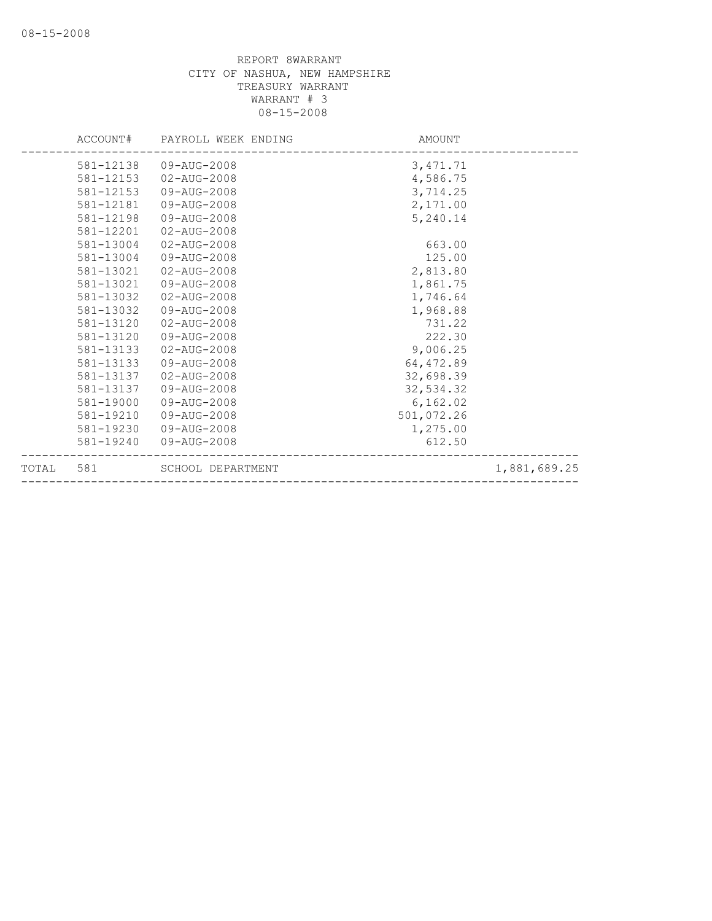|       |           | ACCOUNT# PAYROLL WEEK ENDING | AMOUNT     |              |
|-------|-----------|------------------------------|------------|--------------|
|       | 581-12138 | 09-AUG-2008                  | 3, 471.71  |              |
|       | 581-12153 | $02 - AUG - 2008$            | 4,586.75   |              |
|       | 581-12153 | 09-AUG-2008                  | 3,714.25   |              |
|       | 581-12181 | 09-AUG-2008                  | 2,171.00   |              |
|       | 581-12198 | 09-AUG-2008                  | 5,240.14   |              |
|       | 581-12201 | $02 - AUG - 2008$            |            |              |
|       | 581-13004 | $02 - AUG - 2008$            | 663.00     |              |
|       | 581-13004 | 09-AUG-2008                  | 125.00     |              |
|       | 581-13021 | 02-AUG-2008                  | 2,813.80   |              |
|       | 581-13021 | 09-AUG-2008                  | 1,861.75   |              |
|       | 581-13032 | $02 - AUG - 2008$            | 1,746.64   |              |
|       | 581-13032 | 09-AUG-2008                  | 1,968.88   |              |
|       | 581-13120 | $02 - AUG - 2008$            | 731.22     |              |
|       | 581-13120 | 09-AUG-2008                  | 222.30     |              |
|       | 581-13133 | 02-AUG-2008                  | 9,006.25   |              |
|       | 581-13133 | 09-AUG-2008                  | 64, 472.89 |              |
|       | 581-13137 | 02-AUG-2008                  | 32,698.39  |              |
|       | 581-13137 | 09-AUG-2008                  | 32,534.32  |              |
|       | 581-19000 | 09-AUG-2008                  | 6, 162.02  |              |
|       | 581-19210 | 09-AUG-2008                  | 501,072.26 |              |
|       | 581-19230 | 09-AUG-2008                  | 1,275.00   |              |
|       | 581-19240 | 09-AUG-2008                  | 612.50     |              |
| TOTAL | 581       | SCHOOL DEPARTMENT            |            | 1,881,689.25 |
|       |           |                              |            |              |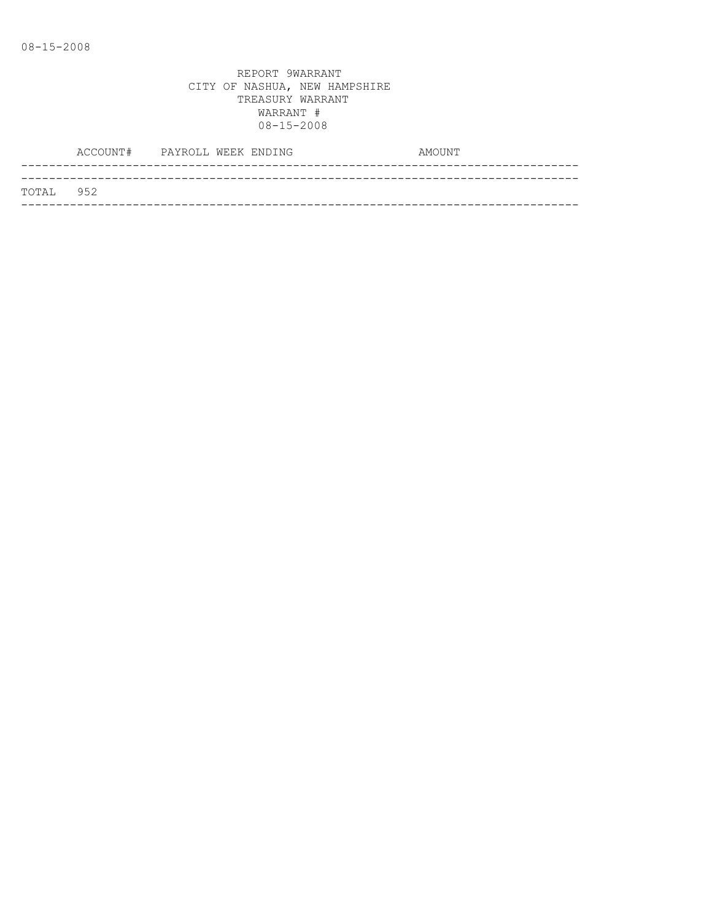|           | ACCOUNT# PAYROLL WEEK ENDING |  |  | AMOUNT |
|-----------|------------------------------|--|--|--------|
|           |                              |  |  |        |
| TOTAL 952 |                              |  |  |        |
|           |                              |  |  |        |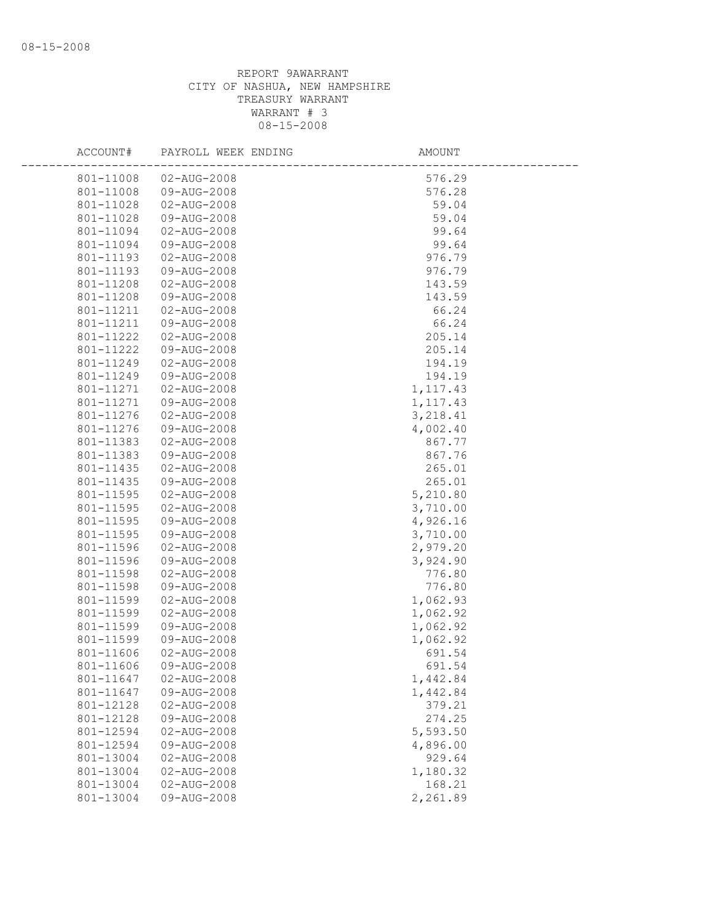| ACCOUNT#               | PAYROLL WEEK ENDING              | AMOUNT           |
|------------------------|----------------------------------|------------------|
| 801-11008              | 02-AUG-2008                      | 576.29           |
| 801-11008              | 09-AUG-2008                      | 576.28           |
| 801-11028              | 02-AUG-2008                      | 59.04            |
| 801-11028              | 09-AUG-2008                      | 59.04            |
| 801-11094              | $02 - AUG - 2008$                | 99.64            |
| 801-11094              | 09-AUG-2008                      | 99.64            |
| 801-11193              | 02-AUG-2008                      | 976.79           |
| 801-11193              | 09-AUG-2008                      | 976.79           |
| 801-11208              | 02-AUG-2008                      | 143.59           |
| 801-11208              | 09-AUG-2008                      | 143.59           |
| 801-11211              | 02-AUG-2008                      | 66.24            |
| 801-11211              | 09-AUG-2008                      | 66.24            |
| 801-11222              | $02 - AUG - 2008$                | 205.14           |
| 801-11222              | 09-AUG-2008                      | 205.14           |
| 801-11249              | $02 - AUG - 2008$                | 194.19           |
| 801-11249              | 09-AUG-2008                      | 194.19           |
| 801-11271              | 02-AUG-2008                      | 1, 117.43        |
| 801-11271              | 09-AUG-2008                      | 1, 117.43        |
| 801-11276              | $02 - AUG - 2008$                | 3,218.41         |
| 801-11276              | 09-AUG-2008                      | 4,002.40         |
| 801-11383              | 02-AUG-2008                      | 867.77           |
| 801-11383              | 09-AUG-2008                      | 867.76           |
| 801-11435              | 02-AUG-2008                      | 265.01           |
| 801-11435              | 09-AUG-2008                      | 265.01           |
| 801-11595              | 02-AUG-2008                      | 5,210.80         |
| 801-11595              | 02-AUG-2008                      | 3,710.00         |
| 801-11595              | 09-AUG-2008                      | 4,926.16         |
| 801-11595              | 09-AUG-2008                      | 3,710.00         |
| 801-11596              | $02 - AUG - 2008$                | 2,979.20         |
| 801-11596              | 09-AUG-2008                      | 3,924.90         |
| 801-11598              | $02 - AUG - 2008$<br>09-AUG-2008 | 776.80<br>776.80 |
| 801-11598<br>801-11599 | $02 - AUG - 2008$                | 1,062.93         |
| 801-11599              | $02 - AUG - 2008$                | 1,062.92         |
| 801-11599              | 09-AUG-2008                      | 1,062.92         |
| 801-11599              | 09-AUG-2008                      | 1,062.92         |
| 801-11606              | $02 - AUG - 2008$                | 691.54           |
| 801-11606              | 09-AUG-2008                      | 691.54           |
| 801-11647              | 02-AUG-2008                      | 1,442.84         |
| 801-11647              | $09 - AUG - 2008$                | 1,442.84         |
| 801-12128              | 02-AUG-2008                      | 379.21           |
| 801-12128              | 09-AUG-2008                      | 274.25           |
| 801-12594              | $02 - AUG - 2008$                | 5,593.50         |
| 801-12594              | 09-AUG-2008                      | 4,896.00         |
| 801-13004              | $02 - AUG - 2008$                | 929.64           |
| 801-13004              | $02 - AUG - 2008$                | 1,180.32         |
| 801-13004              | 02-AUG-2008                      | 168.21           |
| 801-13004              | 09-AUG-2008                      | 2,261.89         |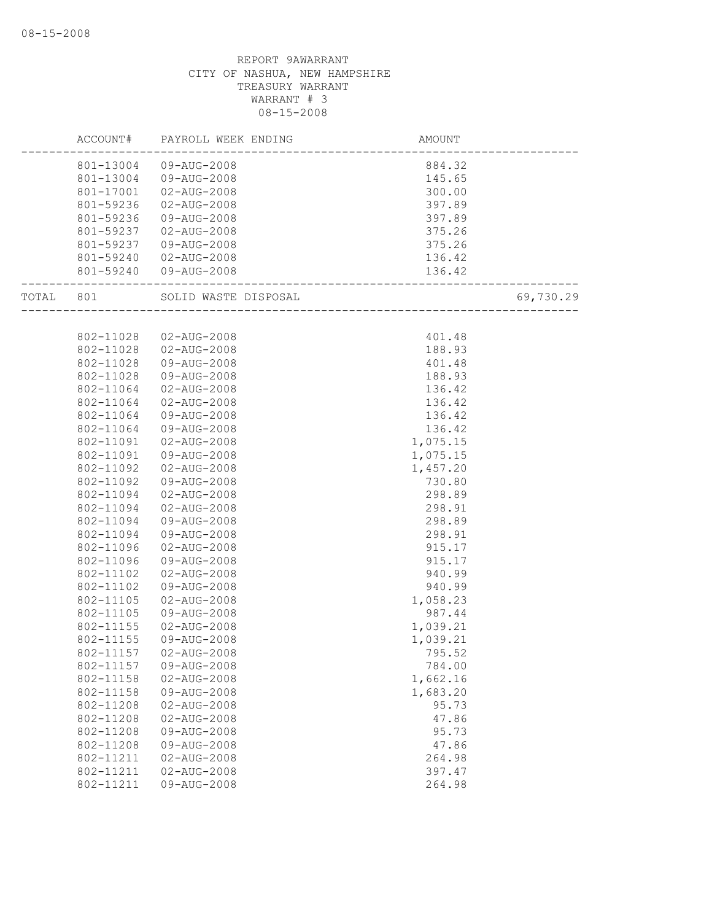|       | ACCOUNT#  | PAYROLL WEEK ENDING   | <b>AMOUNT</b>                    |           |
|-------|-----------|-----------------------|----------------------------------|-----------|
|       |           | 801-13004 09-AUG-2008 | 884.32                           |           |
|       | 801-13004 | 09-AUG-2008           | 145.65                           |           |
|       | 801-17001 | 02-AUG-2008           | 300.00                           |           |
|       | 801-59236 | 02-AUG-2008           | 397.89                           |           |
|       | 801-59236 | 09-AUG-2008           | 397.89                           |           |
|       | 801-59237 | 02-AUG-2008           | 375.26                           |           |
|       | 801-59237 | 09-AUG-2008           | 375.26                           |           |
|       | 801-59240 | 02-AUG-2008           | 136.42                           |           |
|       |           | 801-59240 09-AUG-2008 | 136.42<br>---------------------- |           |
| TOTAL | 801       | SOLID WASTE DISPOSAL  | -----------------                | 69,730.29 |
|       |           |                       |                                  |           |
|       | 802-11028 | 02-AUG-2008           | 401.48                           |           |
|       | 802-11028 | 02-AUG-2008           | 188.93                           |           |
|       | 802-11028 | 09-AUG-2008           | 401.48                           |           |
|       | 802-11028 | 09-AUG-2008           | 188.93                           |           |
|       | 802-11064 | 02-AUG-2008           | 136.42                           |           |
|       | 802-11064 | $02 - AUG - 2008$     | 136.42                           |           |
|       | 802-11064 | 09-AUG-2008           | 136.42                           |           |
|       | 802-11064 | 09-AUG-2008           | 136.42                           |           |
|       | 802-11091 | 02-AUG-2008           | 1,075.15                         |           |
|       | 802-11091 | 09-AUG-2008           | 1,075.15                         |           |
|       | 802-11092 | $02 - AUG - 2008$     | 1,457.20                         |           |
|       | 802-11092 | 09-AUG-2008           | 730.80                           |           |
|       | 802-11094 | 02-AUG-2008           | 298.89                           |           |
|       | 802-11094 | 02-AUG-2008           | 298.91                           |           |
|       | 802-11094 | 09-AUG-2008           | 298.89                           |           |
|       | 802-11094 | 09-AUG-2008           | 298.91                           |           |
|       | 802-11096 | 02-AUG-2008           | 915.17                           |           |
|       | 802-11096 | 09-AUG-2008           | 915.17                           |           |
|       | 802-11102 | 02-AUG-2008           | 940.99                           |           |
|       | 802-11102 | 09-AUG-2008           | 940.99                           |           |
|       | 802-11105 | 02-AUG-2008           | 1,058.23                         |           |
|       | 802-11105 | 09-AUG-2008           | 987.44                           |           |
|       | 802-11155 | 02-AUG-2008           | 1,039.21                         |           |
|       | 802-11155 | 09-AUG-2008           | 1,039.21                         |           |
|       | 802-11157 | $02 - AUG - 2008$     | 795.52                           |           |
|       | 802-11157 | 09-AUG-2008           | 784.00                           |           |
|       | 802-11158 | $02 - AUG - 2008$     | 1,662.16                         |           |
|       | 802-11158 | 09-AUG-2008           | 1,683.20                         |           |
|       | 802-11208 | $02 - AUG - 2008$     | 95.73                            |           |
|       | 802-11208 | $02 - AUG - 2008$     | 47.86                            |           |
|       | 802-11208 | 09-AUG-2008           | 95.73                            |           |
|       | 802-11208 | 09-AUG-2008           | 47.86                            |           |
|       | 802-11211 | $02 - AUG - 2008$     | 264.98                           |           |
|       | 802-11211 | $02 - AUG - 2008$     | 397.47                           |           |
|       | 802-11211 | 09-AUG-2008           | 264.98                           |           |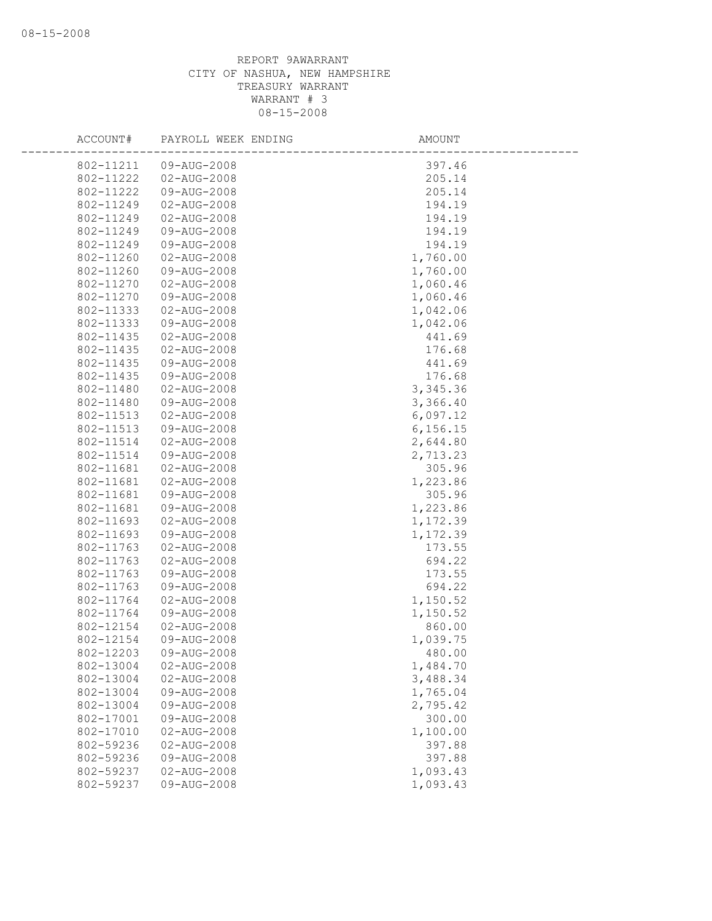| ACCOUNT#               | PAYROLL WEEK ENDING        | AMOUNT               |
|------------------------|----------------------------|----------------------|
| 802-11211              | 09-AUG-2008                | 397.46               |
| 802-11222              | 02-AUG-2008                | 205.14               |
| 802-11222              | 09-AUG-2008                | 205.14               |
| 802-11249              | 02-AUG-2008                | 194.19               |
| 802-11249              | $02 - AUG - 2008$          | 194.19               |
| 802-11249              | 09-AUG-2008                | 194.19               |
| 802-11249              | 09-AUG-2008                | 194.19               |
| 802-11260              | 02-AUG-2008                | 1,760.00             |
| 802-11260              | 09-AUG-2008                | 1,760.00             |
| 802-11270              | 02-AUG-2008                | 1,060.46             |
| 802-11270              | 09-AUG-2008                | 1,060.46             |
| 802-11333              | 02-AUG-2008                | 1,042.06             |
| 802-11333              | 09-AUG-2008                | 1,042.06             |
| 802-11435              | 02-AUG-2008                | 441.69               |
| 802-11435              | 02-AUG-2008                | 176.68               |
| 802-11435              | 09-AUG-2008                | 441.69               |
| 802-11435              | 09-AUG-2008                | 176.68               |
| 802-11480              | $02 - AUG - 2008$          | 3,345.36             |
| 802-11480              | 09-AUG-2008                | 3,366.40             |
| 802-11513              | $02 - AUG - 2008$          | 6,097.12             |
| 802-11513              | 09-AUG-2008                | 6, 156.15            |
| 802-11514              | 02-AUG-2008                | 2,644.80             |
| 802-11514              | 09-AUG-2008                | 2,713.23             |
| 802-11681              | $02 - AUG - 2008$          | 305.96               |
| 802-11681              | 02-AUG-2008                | 1,223.86             |
| 802-11681              | 09-AUG-2008                | 305.96               |
| 802-11681              | 09-AUG-2008                | 1,223.86             |
| 802-11693              | 02-AUG-2008                | 1,172.39             |
| 802-11693              | 09-AUG-2008                | 1,172.39             |
| 802-11763              | 02-AUG-2008                | 173.55               |
| 802-11763              | 02-AUG-2008                | 694.22               |
| 802-11763              | 09-AUG-2008                | 173.55               |
| 802-11763              | 09-AUG-2008                | 694.22               |
| 802-11764              | $02 - AUG - 2008$          | 1,150.52             |
| 802-11764              | 09-AUG-2008                | 1,150.52             |
| 802-12154<br>802-12154 | 02-AUG-2008<br>09-AUG-2008 | 860.00               |
|                        | 09-AUG-2008                | 1,039.75             |
| 802-12203              |                            | 480.00               |
| 802-13004<br>802-13004 | 02-AUG-2008<br>02-AUG-2008 | 1,484.70<br>3,488.34 |
| 802-13004              | 09-AUG-2008                | 1,765.04             |
| 802-13004              | 09-AUG-2008                | 2,795.42             |
| 802-17001              | 09-AUG-2008                | 300.00               |
| 802-17010              | 02-AUG-2008                | 1,100.00             |
| 802-59236              | 02-AUG-2008                | 397.88               |
| 802-59236              | 09-AUG-2008                | 397.88               |
| 802-59237              | $02 - AUG - 2008$          | 1,093.43             |
| 802-59237              | 09-AUG-2008                | 1,093.43             |
|                        |                            |                      |